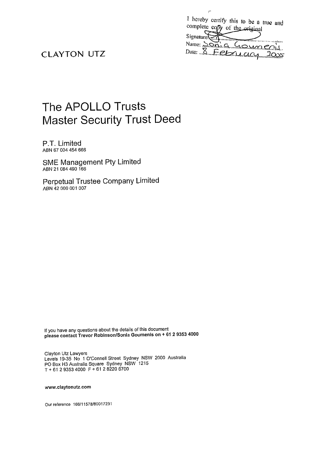|                        | complete copy of the original | I hereby certify this to be a true and |
|------------------------|-------------------------------|----------------------------------------|
| Signature <sub>c</sub> |                               |                                        |
|                        |                               | Name: SON G GOMM COL                   |
|                        |                               | Date: 8 February 2005                  |

**I-**

# **CLAYTON** UTZ

# The APOLLO Trusts Master Security Trust Deed

P.T. Limited **ABN** 67 004 454 666

SME Management Pty Limited **ABN** 21 084 490 166

Perpetual Trustee Company Limited **ABN** 42 000 001 007

**If you have any questions about the details of this document please contact Trevor RobinsonlSonia Gournenis on** + **61 2 9353 4000** 

**Clayton** Utz **Lawyers Levels** 19-35 **No** 1 **O'Connell Street Sydney NSW** 2000 **Australia PO Box H3 Australia Square Sydney NSW** 1215 T+61 293534000 F+61282206700

**www.claytonutz.com** 

**Our reference** 16611 1578180017231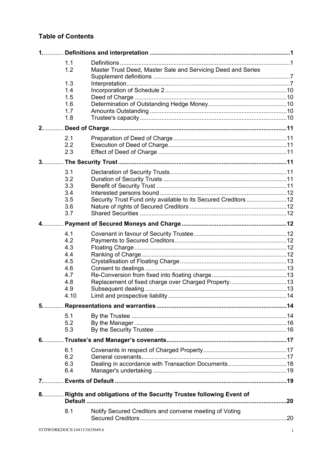# **Table of Contents**

|      | 1.1  |                                                                       |  |
|------|------|-----------------------------------------------------------------------|--|
|      | 1.2  | Master Trust Deed, Master Sale and Servicing Deed and Series          |  |
|      | 1.3  |                                                                       |  |
|      | 1.4  |                                                                       |  |
|      | 1.5  |                                                                       |  |
|      | 1.6  |                                                                       |  |
|      | 1.7  |                                                                       |  |
|      | 1.8  |                                                                       |  |
| 2.   |      |                                                                       |  |
|      | 2.1  |                                                                       |  |
|      | 2.2  |                                                                       |  |
|      | 2.3  |                                                                       |  |
|      |      |                                                                       |  |
|      | 3.1  |                                                                       |  |
|      | 3.2  |                                                                       |  |
|      | 3.3  |                                                                       |  |
|      | 3.4  |                                                                       |  |
|      | 3.5  | Security Trust Fund only available to its Secured Creditors 12        |  |
|      | 3.6  |                                                                       |  |
|      | 3.7  |                                                                       |  |
|      |      |                                                                       |  |
|      | 4.1  |                                                                       |  |
|      | 4.2  |                                                                       |  |
|      | 4.3  |                                                                       |  |
|      | 4.4  |                                                                       |  |
|      | 4.5  |                                                                       |  |
|      | 4.6  |                                                                       |  |
|      | 4.7  |                                                                       |  |
|      | 4.8  |                                                                       |  |
|      | 4.9  |                                                                       |  |
|      | 4.10 |                                                                       |  |
| 5.   |      |                                                                       |  |
|      | 5.1  |                                                                       |  |
|      | 5.2  |                                                                       |  |
|      | 5.3  |                                                                       |  |
| $6.$ |      |                                                                       |  |
|      | 6.1  |                                                                       |  |
|      | 6.2  |                                                                       |  |
|      | 6.3  |                                                                       |  |
|      | 6.4  |                                                                       |  |
|      |      |                                                                       |  |
|      |      | 8.  Rights and obligations of the Security Trustee following Event of |  |
|      |      |                                                                       |  |
|      | 8.1  | Notify Secured Creditors and convene meeting of Voting                |  |
|      |      |                                                                       |  |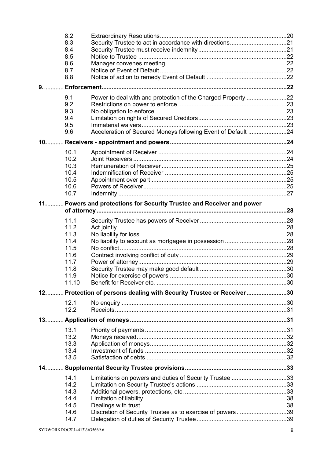|       | 8.2           |                                                                         |  |
|-------|---------------|-------------------------------------------------------------------------|--|
|       | 8.3           |                                                                         |  |
|       | 8.4           |                                                                         |  |
|       | 8.5           |                                                                         |  |
|       | 8.6           |                                                                         |  |
|       | 8.7           |                                                                         |  |
|       | 8.8           |                                                                         |  |
| $9.$  |               |                                                                         |  |
|       | 9.1           |                                                                         |  |
|       | 9.2           |                                                                         |  |
|       | 9.3           |                                                                         |  |
|       | 9.4           |                                                                         |  |
|       | 9.5           |                                                                         |  |
|       | 9.6           | Acceleration of Secured Moneys following Event of Default 24            |  |
| $10.$ |               |                                                                         |  |
|       | 10.1          |                                                                         |  |
|       | 10.2          |                                                                         |  |
|       | 10.3          |                                                                         |  |
|       | 10.4          |                                                                         |  |
|       | 10.5          |                                                                         |  |
|       | 10.6          |                                                                         |  |
|       | 10.7          |                                                                         |  |
| $11$  |               | Powers and protections for Security Trustee and Receiver and power      |  |
|       |               |                                                                         |  |
|       | 11.1          |                                                                         |  |
|       | 11.2          |                                                                         |  |
|       | 11.3          |                                                                         |  |
|       | 11.4          |                                                                         |  |
|       | 11.5          |                                                                         |  |
|       | 11.6          |                                                                         |  |
|       | 117           |                                                                         |  |
|       | 11.8          |                                                                         |  |
|       | 11.9<br>11.10 |                                                                         |  |
|       |               |                                                                         |  |
|       |               | 12.  Protection of persons dealing with Security Trustee or Receiver 30 |  |
|       | 12.1          |                                                                         |  |
|       | 12.2          |                                                                         |  |
| $13$  |               |                                                                         |  |
|       | 13.1          |                                                                         |  |
|       | 13.2          |                                                                         |  |
|       | 13.3          |                                                                         |  |
|       | 13.4          |                                                                         |  |
|       | 13.5          |                                                                         |  |
| 14.   |               |                                                                         |  |
|       | 14.1          | Limitations on powers and duties of Security Trustee 33                 |  |
|       | 14.2          |                                                                         |  |
|       | 14.3          |                                                                         |  |
|       | 14.4          |                                                                         |  |
|       | 14.5          |                                                                         |  |
|       | 14.6          | Discretion of Security Trustee as to exercise of powers39               |  |
|       | 14.7          |                                                                         |  |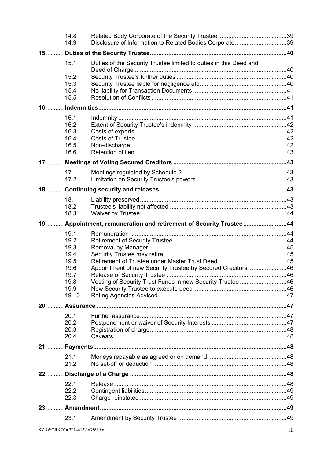|        | 14.8<br>14.9 | Disclosure of Information to Related Bodies Corporate39           |  |
|--------|--------------|-------------------------------------------------------------------|--|
|        |              |                                                                   |  |
|        | 15.1         | Duties of the Security Trustee limited to duties in this Deed and |  |
|        | 15.2         |                                                                   |  |
|        | 15.3         |                                                                   |  |
|        | 15.4         |                                                                   |  |
|        | 15.5         |                                                                   |  |
| $16.$  |              |                                                                   |  |
|        | 16.1         |                                                                   |  |
|        | 16.2         |                                                                   |  |
|        | 16.3<br>16.4 |                                                                   |  |
|        | 16.5         |                                                                   |  |
|        | 16.6         |                                                                   |  |
|        |              |                                                                   |  |
|        | 17.1         |                                                                   |  |
|        | 17.2         |                                                                   |  |
| $18$ . |              |                                                                   |  |
|        | 18.1         |                                                                   |  |
|        | 18.2         |                                                                   |  |
|        | 18.3         |                                                                   |  |
| 19     |              | Appointment, remuneration and retirement of Security Trustee44    |  |
|        | 19.1         |                                                                   |  |
|        | 19.2         |                                                                   |  |
|        | 19.3<br>19.4 |                                                                   |  |
|        | 19.5         |                                                                   |  |
|        | 19.6         | Appointment of new Security Trustee by Secured Creditors 46       |  |
|        | 19 7<br>19.8 |                                                                   |  |
|        | 19.9         | Vesting of Security Trust Funds in new Security Trustee 46        |  |
|        | 19.10        |                                                                   |  |
| $20$   |              |                                                                   |  |
|        | 20.1         |                                                                   |  |
|        | 20.2         |                                                                   |  |
|        | 20.3         |                                                                   |  |
|        | 20.4         |                                                                   |  |
|        |              |                                                                   |  |
|        | 21.1         |                                                                   |  |
|        | 21.2         |                                                                   |  |
| 22     |              |                                                                   |  |
|        | 22.1         |                                                                   |  |
|        | 22.2<br>22.3 |                                                                   |  |
|        |              |                                                                   |  |
|        |              |                                                                   |  |
|        | 23.1         |                                                                   |  |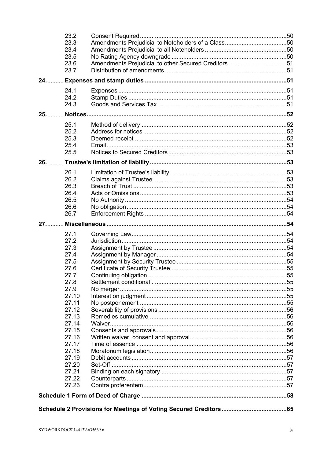|        | 23.2<br>23.3   |                                                     |  |
|--------|----------------|-----------------------------------------------------|--|
|        | 23.4           |                                                     |  |
|        | 23.5           |                                                     |  |
|        | 23.6           | Amendments Prejudicial to other Secured Creditors51 |  |
|        | 23.7           |                                                     |  |
| 24     |                |                                                     |  |
|        | 24.1           |                                                     |  |
|        | 24.2           |                                                     |  |
|        | 24.3           |                                                     |  |
| $25$ . |                |                                                     |  |
|        | 25.1           |                                                     |  |
|        | 25.2           |                                                     |  |
|        | 25.3           |                                                     |  |
|        | 25.4           |                                                     |  |
|        | 25.5           |                                                     |  |
|        |                |                                                     |  |
|        | 26.1           |                                                     |  |
|        | 26.2           |                                                     |  |
|        | 26.3           |                                                     |  |
|        | 26.4           |                                                     |  |
|        | 26.5           |                                                     |  |
|        | 26.6           |                                                     |  |
|        | 26.7           |                                                     |  |
| $27.$  |                |                                                     |  |
|        |                |                                                     |  |
|        | 27.1           |                                                     |  |
|        | 27.2           |                                                     |  |
|        | 27.3           |                                                     |  |
|        | 27.4           |                                                     |  |
|        | 27.5           |                                                     |  |
|        | 27.6           |                                                     |  |
|        | 27.7           |                                                     |  |
|        | 27.8           |                                                     |  |
|        | 27.9           |                                                     |  |
|        | 27.10          |                                                     |  |
|        | 27.11          |                                                     |  |
|        | 27.12<br>27.13 |                                                     |  |
|        | 27.14          |                                                     |  |
|        | 27.15          |                                                     |  |
|        | 27.16          |                                                     |  |
|        | 27.17          |                                                     |  |
|        | 27.18          |                                                     |  |
|        | 27.19          |                                                     |  |
|        | 27.20          |                                                     |  |
|        | 27.21          |                                                     |  |
|        | 27.22          |                                                     |  |
|        | 27.23          |                                                     |  |
|        |                |                                                     |  |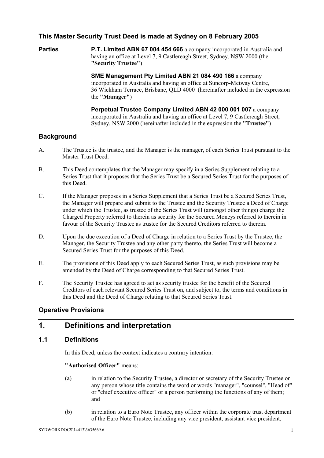### **This Master Security Trust Deed is made at Sydney on 8 February 2005**

**Parties P.T. Limited ABN 67 004 454 666** a company incorporated in Australia and having an office at Level 7, 9 Castlereagh Street, Sydney, NSW 2000 (the **"Security Trustee"**)

> **SME Management Pty Limited ABN 21 084 490 166** a company incorporated in Australia and having an office at Suncorp-Metway Centre, 36 Wickham Terrace, Brisbane, QLD 4000 (hereinafter included in the expression the **"Manager"**)

 **Perpetual Trustee Company Limited ABN 42 000 001 007** a company incorporated in Australia and having an office at Level 7, 9 Castlereagh Street, Sydney, NSW 2000 (hereinafter included in the expression the **"Trustee"**)

#### **Background**

- A. The Trustee is the trustee, and the Manager is the manager, of each Series Trust pursuant to the Master Trust Deed.
- B. This Deed contemplates that the Manager may specify in a Series Supplement relating to a Series Trust that it proposes that the Series Trust be a Secured Series Trust for the purposes of this Deed.
- C. If the Manager proposes in a Series Supplement that a Series Trust be a Secured Series Trust, the Manager will prepare and submit to the Trustee and the Security Trustee a Deed of Charge under which the Trustee, as trustee of the Series Trust will (amongst other things) charge the Charged Property referred to therein as security for the Secured Moneys referred to therein in favour of the Security Trustee as trustee for the Secured Creditors referred to therein.
- D. Upon the due execution of a Deed of Charge in relation to a Series Trust by the Trustee, the Manager, the Security Trustee and any other party thereto, the Series Trust will become a Secured Series Trust for the purposes of this Deed.
- E. The provisions of this Deed apply to each Secured Series Trust, as such provisions may be amended by the Deed of Charge corresponding to that Secured Series Trust.
- F. The Security Trustee has agreed to act as security trustee for the benefit of the Secured Creditors of each relevant Secured Series Trust on, and subject to, the terms and conditions in this Deed and the Deed of Charge relating to that Secured Series Trust.

### **Operative Provisions**

## **1. Definitions and interpretation**

#### **1.1 Definitions**

In this Deed, unless the context indicates a contrary intention:

#### **"Authorised Officer"** means:

- (a) in relation to the Security Trustee, a director or secretary of the Security Trustee or any person whose title contains the word or words "manager", "counsel", "Head of" or "chief executive officer" or a person performing the functions of any of them; and
- (b) in relation to a Euro Note Trustee, any officer within the corporate trust department of the Euro Note Trustee, including any vice president, assistant vice president,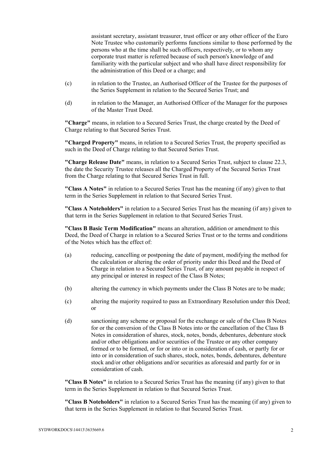assistant secretary, assistant treasurer, trust officer or any other officer of the Euro Note Trustee who customarily performs functions similar to those performed by the persons who at the time shall be such officers, respectively, or to whom any corporate trust matter is referred because of such person's knowledge of and familiarity with the particular subject and who shall have direct responsibility for the administration of this Deed or a charge; and

- (c) in relation to the Trustee, an Authorised Officer of the Trustee for the purposes of the Series Supplement in relation to the Secured Series Trust; and
- (d) in relation to the Manager, an Authorised Officer of the Manager for the purposes of the Master Trust Deed.

**"Charge"** means, in relation to a Secured Series Trust, the charge created by the Deed of Charge relating to that Secured Series Trust.

**"Charged Property"** means, in relation to a Secured Series Trust, the property specified as such in the Deed of Charge relating to that Secured Series Trust.

**"Charge Release Date"** means, in relation to a Secured Series Trust, subject to clause 22.3, the date the Security Trustee releases all the Charged Property of the Secured Series Trust from the Charge relating to that Secured Series Trust in full.

**"Class A Notes"** in relation to a Secured Series Trust has the meaning (if any) given to that term in the Series Supplement in relation to that Secured Series Trust.

**"Class A Noteholders"** in relation to a Secured Series Trust has the meaning (if any) given to that term in the Series Supplement in relation to that Secured Series Trust.

**"Class B Basic Term Modification"** means an alteration, addition or amendment to this Deed, the Deed of Charge in relation to a Secured Series Trust or to the terms and conditions of the Notes which has the effect of:

- (a) reducing, cancelling or postponing the date of payment, modifying the method for the calculation or altering the order of priority under this Deed and the Deed of Charge in relation to a Secured Series Trust, of any amount payable in respect of any principal or interest in respect of the Class B Notes;
- (b) altering the currency in which payments under the Class B Notes are to be made;
- (c) altering the majority required to pass an Extraordinary Resolution under this Deed; or
- (d) sanctioning any scheme or proposal for the exchange or sale of the Class B Notes for or the conversion of the Class B Notes into or the cancellation of the Class B Notes in consideration of shares, stock, notes, bonds, debentures, debenture stock and/or other obligations and/or securities of the Trustee or any other company formed or to be formed, or for or into or in consideration of cash, or partly for or into or in consideration of such shares, stock, notes, bonds, debentures, debenture stock and/or other obligations and/or securities as aforesaid and partly for or in consideration of cash.

**"Class B Notes"** in relation to a Secured Series Trust has the meaning (if any) given to that term in the Series Supplement in relation to that Secured Series Trust.

**"Class B Noteholders"** in relation to a Secured Series Trust has the meaning (if any) given to that term in the Series Supplement in relation to that Secured Series Trust.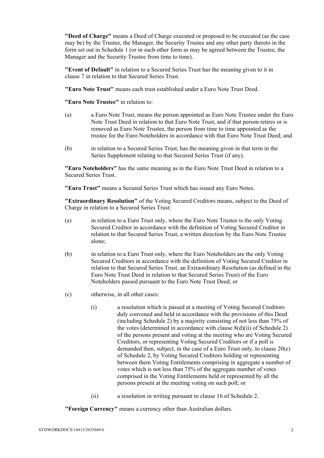**"Deed of Charge"** means a Deed of Charge executed or proposed to be executed (as the case may be) by the Trustee, the Manager, the Security Trustee and any other party thereto in the form set out in Schedule 1 (or in such other form as may be agreed between the Trustee, the Manager and the Security Trustee from time to time).

**"Event of Default"** in relation to a Secured Series Trust has the meaning given to it in clause 7 in relation to that Secured Series Trust.

**"Euro Note Trust"** means each trust established under a Euro Note Trust Deed.

**"Euro Note Trustee"** in relation to:

- (a) a Euro Note Trust, means the person appointed as Euro Note Trustee under the Euro Note Trust Deed in relation to that Euro Note Trust, and if that person retires or is removed as Euro Note Trustee, the person from time to time appointed as the trustee for the Euro Noteholders in accordance with that Euro Note Trust Deed; and
- (b) in relation to a Secured Series Trust, has the meaning given in that term in the Series Supplement relating to that Secured Series Trust (if any).

**"Euro Noteholders"** has the same meaning as in the Euro Note Trust Deed in relation to a Secured Series Trust.

**"Euro Trust"** means a Secured Series Trust which has issued any Euro Notes.

**"Extraordinary Resolution"** of the Voting Secured Creditors means, subject to the Deed of Charge in relation to a Secured Series Trust:

- (a) in relation to a Euro Trust only, where the Euro Note Trustee is the only Voting Secured Creditor in accordance with the definition of Voting Secured Creditor in relation to that Secured Series Trust, a written direction by the Euro Note Trustee alone;
- (b) in relation to a Euro Trust only, where the Euro Noteholders are the only Voting Secured Creditors in accordance with the definition of Voting Secured Creditor in relation to that Secured Series Trust, an Extraordinary Resolution (as defined in the Euro Note Trust Deed in relation to that Secured Series Trust) of the Euro Noteholders passed pursuant to the Euro Note Trust Deed; or
- (c) otherwise, in all other cases:
	- (i) a resolution which is passed at a meeting of Voting Secured Creditors duly convened and held in accordance with the provisions of this Deed (including Schedule 2) by a majority consisting of not less than 75% of the votes (determined in accordance with clause 8(d)(ii) of Schedule 2) of the persons present and voting at the meeting who are Voting Secured Creditors, or representing Voting Secured Creditors or if a poll is demanded then, subject, in the case of a Euro Trust only, to clause 20(e) of Schedule 2, by Voting Secured Creditors holding or representing between them Voting Entitlements comprising in aggregate a number of votes which is not less than 75% of the aggregate number of votes comprised in the Voting Entitlements held or represented by all the persons present at the meeting voting on such poll; or
	- (ii) a resolution in writing pursuant to clause 16 of Schedule 2.

**"Foreign Currency"** means a currency other than Australian dollars.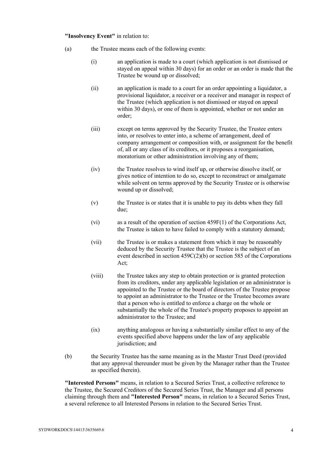#### **"Insolvency Event"** in relation to:

- (a) the Trustee means each of the following events:
	- (i) an application is made to a court (which application is not dismissed or stayed on appeal within 30 days) for an order or an order is made that the Trustee be wound up or dissolved;
	- (ii) an application is made to a court for an order appointing a liquidator, a provisional liquidator, a receiver or a receiver and manager in respect of the Trustee (which application is not dismissed or stayed on appeal within 30 days), or one of them is appointed, whether or not under an order;
	- (iii) except on terms approved by the Security Trustee, the Trustee enters into, or resolves to enter into, a scheme of arrangement, deed of company arrangement or composition with, or assignment for the benefit of, all or any class of its creditors, or it proposes a reorganisation, moratorium or other administration involving any of them;
	- (iv) the Trustee resolves to wind itself up, or otherwise dissolve itself, or gives notice of intention to do so, except to reconstruct or amalgamate while solvent on terms approved by the Security Trustee or is otherwise wound up or dissolved;
	- (v) the Trustee is or states that it is unable to pay its debts when they fall due;
	- (vi) as a result of the operation of section 459F(1) of the Corporations Act, the Trustee is taken to have failed to comply with a statutory demand;
	- (vii) the Trustee is or makes a statement from which it may be reasonably deduced by the Security Trustee that the Trustee is the subject of an event described in section 459C(2)(b) or section 585 of the Corporations Act;
	- (viii) the Trustee takes any step to obtain protection or is granted protection from its creditors, under any applicable legislation or an administrator is appointed to the Trustee or the board of directors of the Trustee propose to appoint an administrator to the Trustee or the Trustee becomes aware that a person who is entitled to enforce a charge on the whole or substantially the whole of the Trustee's property proposes to appoint an administrator to the Trustee; and
	- (ix) anything analogous or having a substantially similar effect to any of the events specified above happens under the law of any applicable jurisdiction; and
- (b) the Security Trustee has the same meaning as in the Master Trust Deed (provided that any approval thereunder must be given by the Manager rather than the Trustee as specified therein).

**"Interested Persons"** means, in relation to a Secured Series Trust, a collective reference to the Trustee, the Secured Creditors of the Secured Series Trust, the Manager and all persons claiming through them and **"Interested Person"** means, in relation to a Secured Series Trust, a several reference to all Interested Persons in relation to the Secured Series Trust.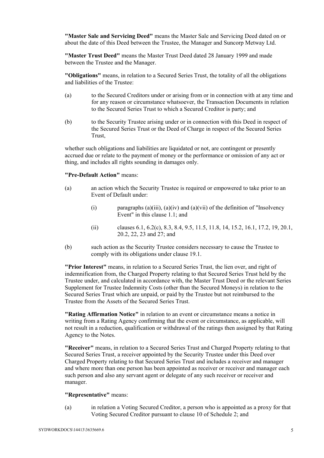**"Master Sale and Servicing Deed"** means the Master Sale and Servicing Deed dated on or about the date of this Deed between the Trustee, the Manager and Suncorp Metway Ltd.

**"Master Trust Deed"** means the Master Trust Deed dated 28 January 1999 and made between the Trustee and the Manager.

**"Obligations"** means, in relation to a Secured Series Trust, the totality of all the obligations and liabilities of the Trustee:

- (a) to the Secured Creditors under or arising from or in connection with at any time and for any reason or circumstance whatsoever, the Transaction Documents in relation to the Secured Series Trust to which a Secured Creditor is party; and
- (b) to the Security Trustee arising under or in connection with this Deed in respect of the Secured Series Trust or the Deed of Charge in respect of the Secured Series Trust,

whether such obligations and liabilities are liquidated or not, are contingent or presently accrued due or relate to the payment of money or the performance or omission of any act or thing, and includes all rights sounding in damages only.

#### **"Pre-Default Action"** means:

- (a) an action which the Security Trustee is required or empowered to take prior to an Event of Default under:
	- (i) paragraphs (a)(iii), (a)(iv) and (a)(vii) of the definition of "Insolvency Event" in this clause 1.1; and
	- (ii) clauses 6.1, 6.2(c), 8.3, 8.4, 9.5, 11.5, 11.8, 14, 15.2, 16.1, 17.2, 19, 20.1, 20.2, 22, 23 and 27; and
- (b) such action as the Security Trustee considers necessary to cause the Trustee to comply with its obligations under clause 19.1.

**"Prior Interest"** means, in relation to a Secured Series Trust, the lien over, and right of indemnification from, the Charged Property relating to that Secured Series Trust held by the Trustee under, and calculated in accordance with, the Master Trust Deed or the relevant Series Supplement for Trustee Indemnity Costs (other than the Secured Moneys) in relation to the Secured Series Trust which are unpaid, or paid by the Trustee but not reimbursed to the Trustee from the Assets of the Secured Series Trust.

**"Rating Affirmation Notice"** in relation to an event or circumstance means a notice in writing from a Rating Agency confirming that the event or circumstance, as applicable, will not result in a reduction, qualification or withdrawal of the ratings then assigned by that Rating Agency to the Notes.

**"Receiver"** means, in relation to a Secured Series Trust and Charged Property relating to that Secured Series Trust, a receiver appointed by the Security Trustee under this Deed over Charged Property relating to that Secured Series Trust and includes a receiver and manager and where more than one person has been appointed as receiver or receiver and manager each such person and also any servant agent or delegate of any such receiver or receiver and manager.

#### **"Representative"** means:

(a) in relation a Voting Secured Creditor, a person who is appointed as a proxy for that Voting Secured Creditor pursuant to clause 10 of Schedule 2; and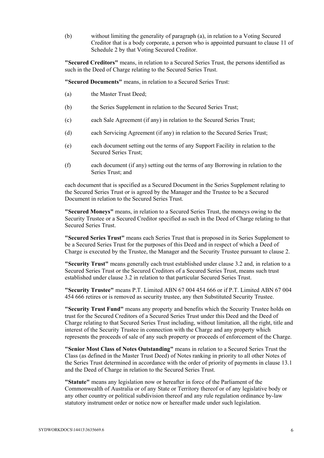(b) without limiting the generality of paragraph (a), in relation to a Voting Secured Creditor that is a body corporate, a person who is appointed pursuant to clause 11 of Schedule 2 by that Voting Secured Creditor.

**"Secured Creditors"** means, in relation to a Secured Series Trust, the persons identified as such in the Deed of Charge relating to the Secured Series Trust.

**"Secured Documents"** means, in relation to a Secured Series Trust:

- (a) the Master Trust Deed;
- (b) the Series Supplement in relation to the Secured Series Trust;
- (c) each Sale Agreement (if any) in relation to the Secured Series Trust;
- (d) each Servicing Agreement (if any) in relation to the Secured Series Trust;
- (e) each document setting out the terms of any Support Facility in relation to the Secured Series Trust;
- (f) each document (if any) setting out the terms of any Borrowing in relation to the Series Trust; and

each document that is specified as a Secured Document in the Series Supplement relating to the Secured Series Trust or is agreed by the Manager and the Trustee to be a Secured Document in relation to the Secured Series Trust.

**"Secured Moneys"** means, in relation to a Secured Series Trust, the moneys owing to the Security Trustee or a Secured Creditor specified as such in the Deed of Charge relating to that Secured Series Trust.

**"Secured Series Trust"** means each Series Trust that is proposed in its Series Supplement to be a Secured Series Trust for the purposes of this Deed and in respect of which a Deed of Charge is executed by the Trustee, the Manager and the Security Trustee pursuant to clause 2.

**"Security Trust"** means generally each trust established under clause 3.2 and, in relation to a Secured Series Trust or the Secured Creditors of a Secured Series Trust, means such trust established under clause 3.2 in relation to that particular Secured Series Trust.

**"Security Trustee"** means P.T. Limited ABN 67 004 454 666 or if P.T. Limited ABN 67 004 454 666 retires or is removed as security trustee, any then Substituted Security Trustee.

**"Security Trust Fund"** means any property and benefits which the Security Trustee holds on trust for the Secured Creditors of a Secured Series Trust under this Deed and the Deed of Charge relating to that Secured Series Trust including, without limitation, all the right, title and interest of the Security Trustee in connection with the Charge and any property which represents the proceeds of sale of any such property or proceeds of enforcement of the Charge.

**"Senior Most Class of Notes Outstanding"** means in relation to a Secured Series Trust the Class (as defined in the Master Trust Deed) of Notes ranking in priority to all other Notes of the Series Trust determined in accordance with the order of priority of payments in clause 13.1 and the Deed of Charge in relation to the Secured Series Trust.

**"Statute"** means any legislation now or hereafter in force of the Parliament of the Commonwealth of Australia or of any State or Territory thereof or of any legislative body or any other country or political subdivision thereof and any rule regulation ordinance by-law statutory instrument order or notice now or hereafter made under such legislation.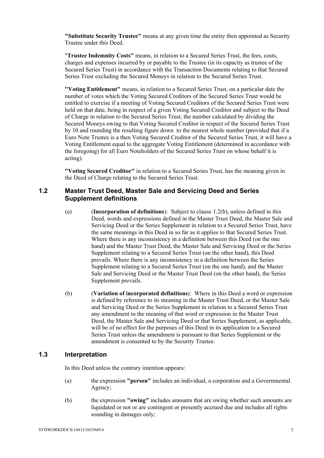**"Substitute Security Trustee"** means at any given time the entity then appointed as Security Trustee under this Deed.

"**Trustee Indemnity Costs"** means, in relation to a Secured Series Trust, the fees, costs, charges and expenses incurred by or payable to the Trustee (in its capacity as trustee of the Secured Series Trust) in accordance with the Transaction Documents relating to that Secured Series Trust excluding the Secured Moneys in relation to the Secured Series Trust.

**"Voting Entitlement"** means, in relation to a Secured Series Trust, on a particular date the number of votes which the Voting Secured Creditors of the Secured Series Trust would be entitled to exercise if a meeting of Voting Secured Creditors of the Secured Series Trust were held on that date, being in respect of a given Voting Secured Creditor and subject to the Deed of Charge in relation to the Secured Series Trust, the number calculated by dividing the Secured Moneys owing to that Voting Secured Creditor in respect of the Secured Series Trust by 10 and rounding the resulting figure down to the nearest whole number (provided that if a Euro Note Trustee is a then Voting Secured Creditor of the Secured Series Trust, it will have a Voting Entitlement equal to the aggregate Voting Entitlement (determined in accordance with the foregoing) for all Euro Noteholders of the Secured Series Trust on whose behalf it is acting).

**"Voting Secured Creditor"** in relation to a Secured Series Trust, has the meaning given in the Deed of Charge relating to the Secured Series Trust.

#### **1.2 Master Trust Deed, Master Sale and Servicing Deed and Series Supplement definitions**

- (a) (**Incorporation of definitions**): Subject to clause 1.2(b), unless defined in this Deed, words and expressions defined in the Master Trust Deed, the Master Sale and Servicing Deed or the Series Supplement in relation to a Secured Series Trust, have the same meanings in this Deed in so far as it applies to that Secured Series Trust. Where there is any inconsistency in a definition between this Deed (on the one hand) and the Master Trust Deed, the Master Sale and Servicing Deed or the Series Supplement relating to a Secured Series Trust (on the other hand), this Deed prevails. Where there is any inconsistency in a definition between the Series Supplement relating to a Secured Series Trust (on the one hand), and the Master Sale and Servicing Deed or the Master Trust Deed (on the other hand), the Series Supplement prevails.
- (b) (**Variation of incorporated definitions**): Where in this Deed a word or expression is defined by reference to its meaning in the Master Trust Deed, or the Master Sale and Servicing Deed or the Series Supplement in relation to a Secured Series Trust any amendment to the meaning of that word or expression in the Master Trust Deed, the Master Sale and Servicing Deed or that Series Supplement, as applicable, will be of no effect for the purposes of this Deed in its application to a Secured Series Trust unless the amendment is pursuant to that Series Supplement or the amendment is consented to by the Security Trustee.

## **1.3 Interpretation**

In this Deed unless the contrary intention appears:

- (a) the expression **"person"** includes an individual, a corporation and a Governmental Agency;
- (b) the expression **"owing"** includes amounts that are owing whether such amounts are liquidated or not or are contingent or presently accrued due and includes all rights sounding in damages only;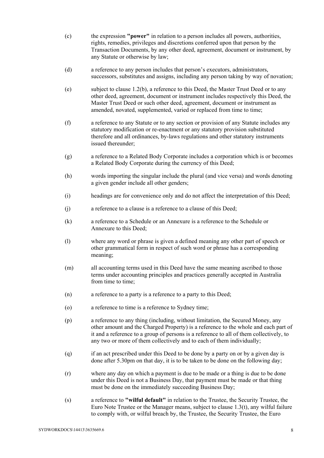- (c) the expression **"power"** in relation to a person includes all powers, authorities, rights, remedies, privileges and discretions conferred upon that person by the Transaction Documents, by any other deed, agreement, document or instrument, by any Statute or otherwise by law;
- (d) a reference to any person includes that person's executors, administrators, successors, substitutes and assigns, including any person taking by way of novation;
- (e) subject to clause 1.2(b), a reference to this Deed, the Master Trust Deed or to any other deed, agreement, document or instrument includes respectively this Deed, the Master Trust Deed or such other deed, agreement, document or instrument as amended, novated, supplemented, varied or replaced from time to time;
- (f) a reference to any Statute or to any section or provision of any Statute includes any statutory modification or re-enactment or any statutory provision substituted therefore and all ordinances, by-laws regulations and other statutory instruments issued thereunder;
- (g) a reference to a Related Body Corporate includes a corporation which is or becomes a Related Body Corporate during the currency of this Deed;
- (h) words importing the singular include the plural (and vice versa) and words denoting a given gender include all other genders;
- (i) headings are for convenience only and do not affect the interpretation of this Deed;
- (j) a reference to a clause is a reference to a clause of this Deed;
- (k) a reference to a Schedule or an Annexure is a reference to the Schedule or Annexure to this Deed;
- (l) where any word or phrase is given a defined meaning any other part of speech or other grammatical form in respect of such word or phrase has a corresponding meaning;
- (m) all accounting terms used in this Deed have the same meaning ascribed to those terms under accounting principles and practices generally accepted in Australia from time to time;
- (n) a reference to a party is a reference to a party to this Deed;
- (o) a reference to time is a reference to Sydney time;
- (p) a reference to any thing (including, without limitation, the Secured Money, any other amount and the Charged Property) is a reference to the whole and each part of it and a reference to a group of persons is a reference to all of them collectively, to any two or more of them collectively and to each of them individually;
- (q) if an act prescribed under this Deed to be done by a party on or by a given day is done after 5.30pm on that day, it is to be taken to be done on the following day;
- (r) where any day on which a payment is due to be made or a thing is due to be done under this Deed is not a Business Day, that payment must be made or that thing must be done on the immediately succeeding Business Day;
- (s) a reference to **"wilful default"** in relation to the Trustee, the Security Trustee, the Euro Note Trustee or the Manager means, subject to clause 1.3(t), any wilful failure to comply with, or wilful breach by, the Trustee, the Security Trustee, the Euro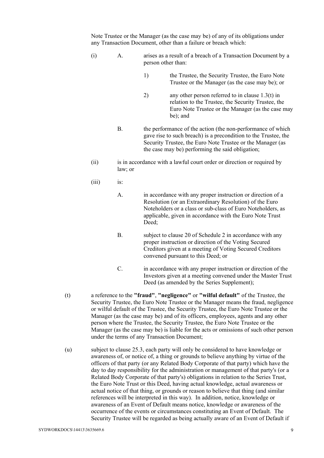Note Trustee or the Manager (as the case may be) of any of its obligations under any Transaction Document, other than a failure or breach which:

- (i) A. arises as a result of a breach of a Transaction Document by a person other than:
	- 1) the Trustee, the Security Trustee, the Euro Note Trustee or the Manager (as the case may be); or
	- 2) any other person referred to in clause 1.3(t) in relation to the Trustee, the Security Trustee, the Euro Note Trustee or the Manager (as the case may be); and
	- B. the performance of the action (the non-performance of which gave rise to such breach) is a precondition to the Trustee, the Security Trustee, the Euro Note Trustee or the Manager (as the case may be) performing the said obligation;
- (ii) is in accordance with a lawful court order or direction or required by law; or
- (iii) is:
	- A. in accordance with any proper instruction or direction of a Resolution (or an Extraordinary Resolution) of the Euro Noteholders or a class or sub-class of Euro Noteholders, as applicable, given in accordance with the Euro Note Trust Deed;
	- B. subject to clause 20 of Schedule 2 in accordance with any proper instruction or direction of the Voting Secured Creditors given at a meeting of Voting Secured Creditors convened pursuant to this Deed; or
	- C. in accordance with any proper instruction or direction of the Investors given at a meeting convened under the Master Trust Deed (as amended by the Series Supplement);
- (t) a reference to the **"fraud"**, **"negligence"** or **"wilful default"** of the Trustee, the Security Trustee, the Euro Note Trustee or the Manager means the fraud, negligence or wilful default of the Trustee, the Security Trustee, the Euro Note Trustee or the Manager (as the case may be) and of its officers, employees, agents and any other person where the Trustee, the Security Trustee, the Euro Note Trustee or the Manager (as the case may be) is liable for the acts or omissions of such other person under the terms of any Transaction Document;
- (u) subject to clause 25.3, each party will only be considered to have knowledge or awareness of, or notice of, a thing or grounds to believe anything by virtue of the officers of that party (or any Related Body Corporate of that party) which have the day to day responsibility for the administration or management of that party's (or a Related Body Corporate of that party's) obligations in relation to the Series Trust, the Euro Note Trust or this Deed, having actual knowledge, actual awareness or actual notice of that thing, or grounds or reason to believe that thing (and similar references will be interpreted in this way). In addition, notice, knowledge or awareness of an Event of Default means notice, knowledge or awareness of the occurrence of the events or circumstances constituting an Event of Default. The Security Trustee will be regarded as being actually aware of an Event of Default if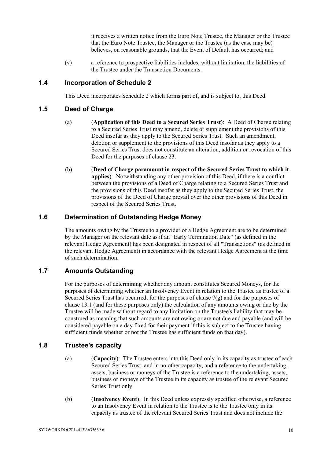it receives a written notice from the Euro Note Trustee, the Manager or the Trustee that the Euro Note Trustee, the Manager or the Trustee (as the case may be) believes, on reasonable grounds, that the Event of Default has occurred; and

(v) a reference to prospective liabilities includes, without limitation, the liabilities of the Trustee under the Transaction Documents.

#### **1.4 Incorporation of Schedule 2**

This Deed incorporates Schedule 2 which forms part of, and is subject to, this Deed.

#### **1.5 Deed of Charge**

- (a) (**Application of this Deed to a Secured Series Trust**): A Deed of Charge relating to a Secured Series Trust may amend, delete or supplement the provisions of this Deed insofar as they apply to the Secured Series Trust. Such an amendment, deletion or supplement to the provisions of this Deed insofar as they apply to a Secured Series Trust does not constitute an alteration, addition or revocation of this Deed for the purposes of clause 23.
- (b) (**Deed of Charge paramount in respect of the Secured Series Trust to which it applies**): Notwithstanding any other provision of this Deed, if there is a conflict between the provisions of a Deed of Charge relating to a Secured Series Trust and the provisions of this Deed insofar as they apply to the Secured Series Trust, the provisions of the Deed of Charge prevail over the other provisions of this Deed in respect of the Secured Series Trust.

#### **1.6 Determination of Outstanding Hedge Money**

The amounts owing by the Trustee to a provider of a Hedge Agreement are to be determined by the Manager on the relevant date as if an "Early Termination Date" (as defined in the relevant Hedge Agreement) has been designated in respect of all "Transactions" (as defined in the relevant Hedge Agreement) in accordance with the relevant Hedge Agreement at the time of such determination.

### **1.7 Amounts Outstanding**

For the purposes of determining whether any amount constitutes Secured Moneys, for the purposes of determining whether an Insolvency Event in relation to the Trustee as trustee of a Secured Series Trust has occurred, for the purposes of clause  $7(g)$  and for the purposes of clause 13.1 (and for these purposes only) the calculation of any amounts owing or due by the Trustee will be made without regard to any limitation on the Trustee's liability that may be construed as meaning that such amounts are not owing or are not due and payable (and will be considered payable on a day fixed for their payment if this is subject to the Trustee having sufficient funds whether or not the Trustee has sufficient funds on that day).

#### **1.8 Trustee's capacity**

- (a) (**Capacity**): The Trustee enters into this Deed only in its capacity as trustee of each Secured Series Trust, and in no other capacity, and a reference to the undertaking, assets, business or moneys of the Trustee is a reference to the undertaking, assets, business or moneys of the Trustee in its capacity as trustee of the relevant Secured Series Trust only.
- (b) (**Insolvency Event**): In this Deed unless expressly specified otherwise, a reference to an Insolvency Event in relation to the Trustee is to the Trustee only in its capacity as trustee of the relevant Secured Series Trust and does not include the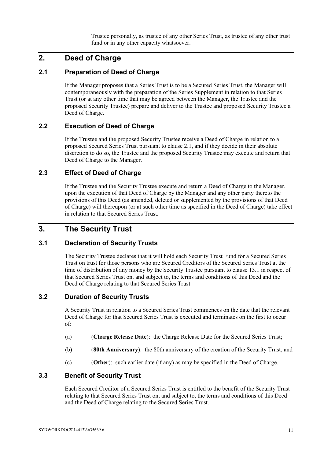Trustee personally, as trustee of any other Series Trust, as trustee of any other trust fund or in any other capacity whatsoever.

# **2. Deed of Charge**

#### **2.1 Preparation of Deed of Charge**

If the Manager proposes that a Series Trust is to be a Secured Series Trust, the Manager will contemporaneously with the preparation of the Series Supplement in relation to that Series Trust (or at any other time that may be agreed between the Manager, the Trustee and the proposed Security Trustee) prepare and deliver to the Trustee and proposed Security Trustee a Deed of Charge.

#### **2.2 Execution of Deed of Charge**

If the Trustee and the proposed Security Trustee receive a Deed of Charge in relation to a proposed Secured Series Trust pursuant to clause 2.1, and if they decide in their absolute discretion to do so, the Trustee and the proposed Security Trustee may execute and return that Deed of Charge to the Manager.

#### **2.3 Effect of Deed of Charge**

If the Trustee and the Security Trustee execute and return a Deed of Charge to the Manager, upon the execution of that Deed of Charge by the Manager and any other party thereto the provisions of this Deed (as amended, deleted or supplemented by the provisions of that Deed of Charge) will thereupon (or at such other time as specified in the Deed of Charge) take effect in relation to that Secured Series Trust.

# **3. The Security Trust**

#### **3.1 Declaration of Security Trusts**

The Security Trustee declares that it will hold each Security Trust Fund for a Secured Series Trust on trust for those persons who are Secured Creditors of the Secured Series Trust at the time of distribution of any money by the Security Trustee pursuant to clause 13.1 in respect of that Secured Series Trust on, and subject to, the terms and conditions of this Deed and the Deed of Charge relating to that Secured Series Trust.

#### **3.2 Duration of Security Trusts**

A Security Trust in relation to a Secured Series Trust commences on the date that the relevant Deed of Charge for that Secured Series Trust is executed and terminates on the first to occur of:

- (a) (**Charge Release Date**): the Charge Release Date for the Secured Series Trust;
- (b) (**80th Anniversary**): the 80th anniversary of the creation of the Security Trust; and
- (c) (**Other**): such earlier date (if any) as may be specified in the Deed of Charge.

#### **3.3 Benefit of Security Trust**

Each Secured Creditor of a Secured Series Trust is entitled to the benefit of the Security Trust relating to that Secured Series Trust on, and subject to, the terms and conditions of this Deed and the Deed of Charge relating to the Secured Series Trust.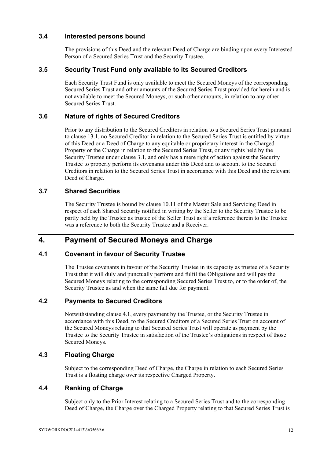#### **3.4 Interested persons bound**

The provisions of this Deed and the relevant Deed of Charge are binding upon every Interested Person of a Secured Series Trust and the Security Trustee.

#### **3.5 Security Trust Fund only available to its Secured Creditors**

Each Security Trust Fund is only available to meet the Secured Moneys of the corresponding Secured Series Trust and other amounts of the Secured Series Trust provided for herein and is not available to meet the Secured Moneys, or such other amounts, in relation to any other Secured Series Trust.

#### **3.6 Nature of rights of Secured Creditors**

Prior to any distribution to the Secured Creditors in relation to a Secured Series Trust pursuant to clause 13.1, no Secured Creditor in relation to the Secured Series Trust is entitled by virtue of this Deed or a Deed of Charge to any equitable or proprietary interest in the Charged Property or the Charge in relation to the Secured Series Trust, or any rights held by the Security Trustee under clause 3.1, and only has a mere right of action against the Security Trustee to properly perform its covenants under this Deed and to account to the Secured Creditors in relation to the Secured Series Trust in accordance with this Deed and the relevant Deed of Charge.

#### **3.7 Shared Securities**

The Security Trustee is bound by clause 10.11 of the Master Sale and Servicing Deed in respect of each Shared Security notified in writing by the Seller to the Security Trustee to be partly held by the Trustee as trustee of the Seller Trust as if a reference therein to the Trustee was a reference to both the Security Trustee and a Receiver.

# **4. Payment of Secured Moneys and Charge**

### **4.1 Covenant in favour of Security Trustee**

The Trustee covenants in favour of the Security Trustee in its capacity as trustee of a Security Trust that it will duly and punctually perform and fulfil the Obligations and will pay the Secured Moneys relating to the corresponding Secured Series Trust to, or to the order of, the Security Trustee as and when the same fall due for payment.

### **4.2 Payments to Secured Creditors**

Notwithstanding clause 4.1, every payment by the Trustee, or the Security Trustee in accordance with this Deed, to the Secured Creditors of a Secured Series Trust on account of the Secured Moneys relating to that Secured Series Trust will operate as payment by the Trustee to the Security Trustee in satisfaction of the Trustee's obligations in respect of those Secured Moneys.

#### **4.3 Floating Charge**

Subject to the corresponding Deed of Charge, the Charge in relation to each Secured Series Trust is a floating charge over its respective Charged Property.

### **4.4 Ranking of Charge**

Subject only to the Prior Interest relating to a Secured Series Trust and to the corresponding Deed of Charge, the Charge over the Charged Property relating to that Secured Series Trust is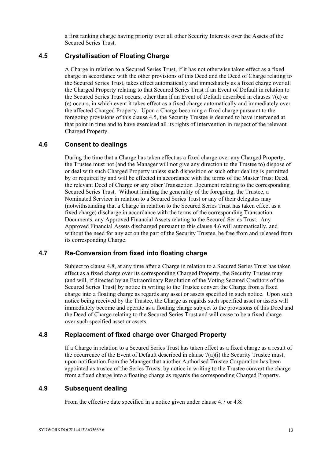a first ranking charge having priority over all other Security Interests over the Assets of the Secured Series Trust.

### **4.5 Crystallisation of Floating Charge**

A Charge in relation to a Secured Series Trust, if it has not otherwise taken effect as a fixed charge in accordance with the other provisions of this Deed and the Deed of Charge relating to the Secured Series Trust, takes effect automatically and immediately as a fixed charge over all the Charged Property relating to that Secured Series Trust if an Event of Default in relation to the Secured Series Trust occurs, other than if an Event of Default described in clauses 7(c) or (e) occurs, in which event it takes effect as a fixed charge automatically and immediately over the affected Charged Property. Upon a Charge becoming a fixed charge pursuant to the foregoing provisions of this clause 4.5, the Security Trustee is deemed to have intervened at that point in time and to have exercised all its rights of intervention in respect of the relevant Charged Property.

#### **4.6 Consent to dealings**

During the time that a Charge has taken effect as a fixed charge over any Charged Property, the Trustee must not (and the Manager will not give any direction to the Trustee to) dispose of or deal with such Charged Property unless such disposition or such other dealing is permitted by or required by and will be effected in accordance with the terms of the Master Trust Deed, the relevant Deed of Charge or any other Transaction Document relating to the corresponding Secured Series Trust. Without limiting the generality of the foregoing, the Trustee, a Nominated Servicer in relation to a Secured Series Trust or any of their delegates may (notwithstanding that a Charge in relation to the Secured Series Trust has taken effect as a fixed charge) discharge in accordance with the terms of the corresponding Transaction Documents, any Approved Financial Assets relating to the Secured Series Trust. Any Approved Financial Assets discharged pursuant to this clause 4.6 will automatically, and without the need for any act on the part of the Security Trustee, be free from and released from its corresponding Charge.

#### **4.7 Re-Conversion from fixed into floating charge**

Subject to clause 4.8, at any time after a Charge in relation to a Secured Series Trust has taken effect as a fixed charge over its corresponding Charged Property, the Security Trustee may (and will, if directed by an Extraordinary Resolution of the Voting Secured Creditors of the Secured Series Trust) by notice in writing to the Trustee convert the Charge from a fixed charge into a floating charge as regards any asset or assets specified in such notice. Upon such notice being received by the Trustee, the Charge as regards such specified asset or assets will immediately become and operate as a floating charge subject to the provisions of this Deed and the Deed of Charge relating to the Secured Series Trust and will cease to be a fixed charge over such specified asset or assets.

## **4.8 Replacement of fixed charge over Charged Property**

If a Charge in relation to a Secured Series Trust has taken effect as a fixed charge as a result of the occurrence of the Event of Default described in clause  $7(a)(i)$  the Security Trustee must, upon notification from the Manager that another Authorised Trustee Corporation has been appointed as trustee of the Series Trusts, by notice in writing to the Trustee convert the charge from a fixed charge into a floating charge as regards the corresponding Charged Property.

#### **4.9 Subsequent dealing**

From the effective date specified in a notice given under clause 4.7 or 4.8: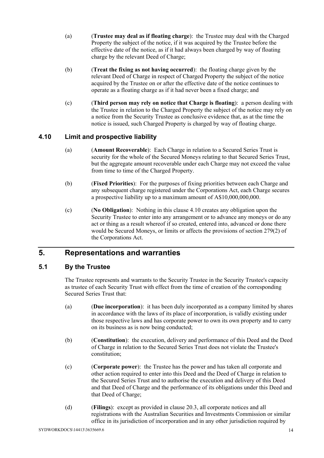- (a) (**Trustee may deal as if floating charge**): the Trustee may deal with the Charged Property the subject of the notice, if it was acquired by the Trustee before the effective date of the notice, as if it had always been charged by way of floating charge by the relevant Deed of Charge;
- (b) (**Treat the fixing as not having occurred**): the floating charge given by the relevant Deed of Charge in respect of Charged Property the subject of the notice acquired by the Trustee on or after the effective date of the notice continues to operate as a floating charge as if it had never been a fixed charge; and
- (c) (**Third person may rely on notice that Charge is floating**): a person dealing with the Trustee in relation to the Charged Property the subject of the notice may rely on a notice from the Security Trustee as conclusive evidence that, as at the time the notice is issued, such Charged Property is charged by way of floating charge.

### **4.10 Limit and prospective liability**

- (a) (**Amount Recoverable**): Each Charge in relation to a Secured Series Trust is security for the whole of the Secured Moneys relating to that Secured Series Trust, but the aggregate amount recoverable under each Charge may not exceed the value from time to time of the Charged Property.
- (b) (**Fixed Priorities**): For the purposes of fixing priorities between each Charge and any subsequent charge registered under the Corporations Act, each Charge secures a prospective liability up to a maximum amount of A\$10,000,000,000.
- (c) (**No Obligation**): Nothing in this clause 4.10 creates any obligation upon the Security Trustee to enter into any arrangement or to advance any moneys or do any act or thing as a result whereof if so created, entered into, advanced or done there would be Secured Moneys, or limits or affects the provisions of section 279(2) of the Corporations Act.

# **5. Representations and warranties**

### **5.1 By the Trustee**

The Trustee represents and warrants to the Security Trustee in the Security Trustee's capacity as trustee of each Security Trust with effect from the time of creation of the corresponding Secured Series Trust that:

- (a) (**Due incorporation**): it has been duly incorporated as a company limited by shares in accordance with the laws of its place of incorporation, is validly existing under those respective laws and has corporate power to own its own property and to carry on its business as is now being conducted;
- (b) (**Constitution**): the execution, delivery and performance of this Deed and the Deed of Charge in relation to the Secured Series Trust does not violate the Trustee's constitution;
- (c) (**Corporate power**): the Trustee has the power and has taken all corporate and other action required to enter into this Deed and the Deed of Charge in relation to the Secured Series Trust and to authorise the execution and delivery of this Deed and that Deed of Charge and the performance of its obligations under this Deed and that Deed of Charge;
- (d) (**Filings**): except as provided in clause 20.3, all corporate notices and all registrations with the Australian Securities and Investments Commission or similar office in its jurisdiction of incorporation and in any other jurisdiction required by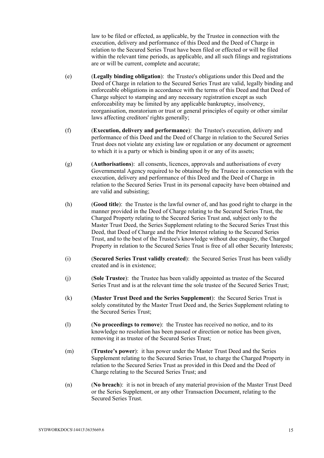law to be filed or effected, as applicable, by the Trustee in connection with the execution, delivery and performance of this Deed and the Deed of Charge in relation to the Secured Series Trust have been filed or effected or will be filed within the relevant time periods, as applicable, and all such filings and registrations are or will be current, complete and accurate;

- (e) (**Legally binding obligation**): the Trustee's obligations under this Deed and the Deed of Charge in relation to the Secured Series Trust are valid, legally binding and enforceable obligations in accordance with the terms of this Deed and that Deed of Charge subject to stamping and any necessary registration except as such enforceability may be limited by any applicable bankruptcy, insolvency, reorganisation, moratorium or trust or general principles of equity or other similar laws affecting creditors' rights generally;
- (f) (**Execution, delivery and performance**): the Trustee's execution, delivery and performance of this Deed and the Deed of Charge in relation to the Secured Series Trust does not violate any existing law or regulation or any document or agreement to which it is a party or which is binding upon it or any of its assets;
- (g) (**Authorisations**): all consents, licences, approvals and authorisations of every Governmental Agency required to be obtained by the Trustee in connection with the execution, delivery and performance of this Deed and the Deed of Charge in relation to the Secured Series Trust in its personal capacity have been obtained and are valid and subsisting;
- (h) (**Good title**): the Trustee is the lawful owner of, and has good right to charge in the manner provided in the Deed of Charge relating to the Secured Series Trust, the Charged Property relating to the Secured Series Trust and, subject only to the Master Trust Deed, the Series Supplement relating to the Secured Series Trust this Deed, that Deed of Charge and the Prior Interest relating to the Secured Series Trust, and to the best of the Trustee's knowledge without due enquiry, the Charged Property in relation to the Secured Series Trust is free of all other Security Interests;
- (i) (**Secured Series Trust validly created**): the Secured Series Trust has been validly created and is in existence;
- (j) (**Sole Trustee**): the Trustee has been validly appointed as trustee of the Secured Series Trust and is at the relevant time the sole trustee of the Secured Series Trust;
- (k) (**Master Trust Deed and the Series Supplement**): the Secured Series Trust is solely constituted by the Master Trust Deed and, the Series Supplement relating to the Secured Series Trust;
- (l) (**No proceedings to remove**): the Trustee has received no notice, and to its knowledge no resolution has been passed or direction or notice has been given, removing it as trustee of the Secured Series Trust;
- (m) (**Trustee's power**): it has power under the Master Trust Deed and the Series Supplement relating to the Secured Series Trust, to charge the Charged Property in relation to the Secured Series Trust as provided in this Deed and the Deed of Charge relating to the Secured Series Trust; and
- (n) (**No breach**): it is not in breach of any material provision of the Master Trust Deed or the Series Supplement, or any other Transaction Document, relating to the Secured Series Trust.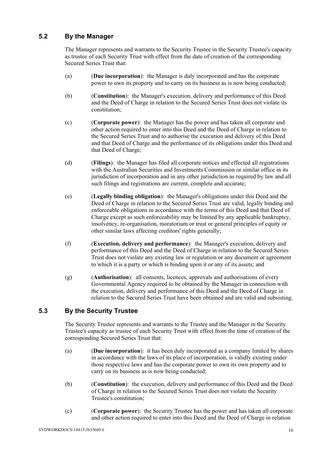## **5.2 By the Manager**

The Manager represents and warrants to the Security Trustee in the Security Trustee's capacity as trustee of each Security Trust with effect from the date of creation of the corresponding Secured Series Trust that:

- (a) (**Due incorporation**): the Manager is duly incorporated and has the corporate power to own its property and to carry on its business as is now being conducted;
- (b) (**Constitution**): the Manager's execution, delivery and performance of this Deed and the Deed of Charge in relation to the Secured Series Trust does not violate its constitution;
- (c) (**Corporate power**): the Manager has the power and has taken all corporate and other action required to enter into this Deed and the Deed of Charge in relation to the Secured Series Trust and to authorise the execution and delivery of this Deed and that Deed of Charge and the performance of its obligations under this Deed and that Deed of Charge;
- (d) (**Filings**): the Manager has filed all corporate notices and effected all registrations with the Australian Securities and Investments Commission or similar office in its jurisdiction of incorporation and in any other jurisdiction as required by law and all such filings and registrations are current, complete and accurate;
- (e) (**Legally binding obligation**): the Manager's obligations under this Deed and the Deed of Charge in relation to the Secured Series Trust are valid, legally binding and enforceable obligations in accordance with the terms of this Deed and that Deed of Charge except as such enforceability may be limited by any applicable bankruptcy, insolvency, re-organisation, moratorium or trust or general principles of equity or other similar laws affecting creditors' rights generally;
- (f) (**Execution, delivery and performance**): the Manager's execution, delivery and performance of this Deed and the Deed of Charge in relation to the Secured Series Trust does not violate any existing law or regulation or any document or agreement to which it is a party or which is binding upon it or any of its assets; and
- (g) (**Authorisation**): all consents, licences, approvals and authorisations of every Governmental Agency required to be obtained by the Manager in connection with the execution, delivery and performance of this Deed and the Deed of Charge in relation to the Secured Series Trust have been obtained and are valid and subsisting.

### **5.3 By the Security Trustee**

The Security Trustee represents and warrants to the Trustee and the Manager in the Security Trustee's capacity as trustee of each Security Trust with effect from the time of creation of the corresponding Secured Series Trust that:

- (a) (**Due incorporation**): it has been duly incorporated as a company limited by shares in accordance with the laws of its place of incorporation, is validly existing under those respective laws and has the corporate power to own its own property and to carry on its business as is now being conducted;
- (b) (**Constitution**): the execution, delivery and performance of this Deed and the Deed of Charge in relation to the Secured Series Trust does not violate the Security Trustee's constitution;
- (c) (**Corporate power**): the Security Trustee has the power and has taken all corporate and other action required to enter into this Deed and the Deed of Charge in relation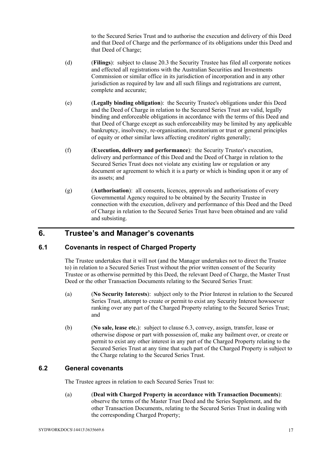to the Secured Series Trust and to authorise the execution and delivery of this Deed and that Deed of Charge and the performance of its obligations under this Deed and that Deed of Charge;

- (d) (**Filings**): subject to clause 20.3 the Security Trustee has filed all corporate notices and effected all registrations with the Australian Securities and Investments Commission or similar office in its jurisdiction of incorporation and in any other jurisdiction as required by law and all such filings and registrations are current, complete and accurate;
- (e) (**Legally binding obligation**): the Security Trustee's obligations under this Deed and the Deed of Charge in relation to the Secured Series Trust are valid, legally binding and enforceable obligations in accordance with the terms of this Deed and that Deed of Charge except as such enforceability may be limited by any applicable bankruptcy, insolvency, re-organisation, moratorium or trust or general principles of equity or other similar laws affecting creditors' rights generally;
- (f) (**Execution, delivery and performance**): the Security Trustee's execution, delivery and performance of this Deed and the Deed of Charge in relation to the Secured Series Trust does not violate any existing law or regulation or any document or agreement to which it is a party or which is binding upon it or any of its assets; and
- (g) (**Authorisation**): all consents, licences, approvals and authorisations of every Governmental Agency required to be obtained by the Security Trustee in connection with the execution, delivery and performance of this Deed and the Deed of Charge in relation to the Secured Series Trust have been obtained and are valid and subsisting.

# **6. Trustee's and Manager's covenants**

### **6.1 Covenants in respect of Charged Property**

The Trustee undertakes that it will not (and the Manager undertakes not to direct the Trustee to) in relation to a Secured Series Trust without the prior written consent of the Security Trustee or as otherwise permitted by this Deed, the relevant Deed of Charge, the Master Trust Deed or the other Transaction Documents relating to the Secured Series Trust:

- (a) (**No Security Interests**): subject only to the Prior Interest in relation to the Secured Series Trust, attempt to create or permit to exist any Security Interest howsoever ranking over any part of the Charged Property relating to the Secured Series Trust; and
- (b) (**No sale, lease etc.**): subject to clause 6.3, convey, assign, transfer, lease or otherwise dispose or part with possession of, make any bailment over, or create or permit to exist any other interest in any part of the Charged Property relating to the Secured Series Trust at any time that such part of the Charged Property is subject to the Charge relating to the Secured Series Trust.

#### **6.2 General covenants**

The Trustee agrees in relation to each Secured Series Trust to:

(a) (**Deal with Charged Property in accordance with Transaction Documents**): observe the terms of the Master Trust Deed and the Series Supplement, and the other Transaction Documents, relating to the Secured Series Trust in dealing with the corresponding Charged Property;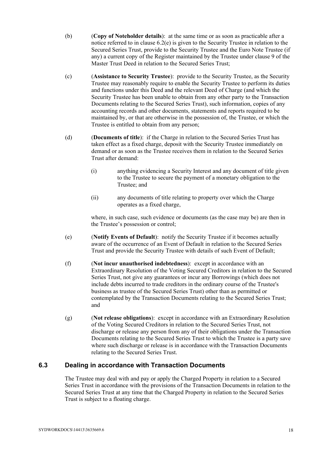- (b) (**Copy of Noteholder details**): at the same time or as soon as practicable after a notice referred to in clause  $6.2(e)$  is given to the Security Trustee in relation to the Secured Series Trust, provide to the Security Trustee and the Euro Note Trustee (if any) a current copy of the Register maintained by the Trustee under clause 9 of the Master Trust Deed in relation to the Secured Series Trust;
- (c) (**Assistance to Security Trustee**): provide to the Security Trustee, as the Security Trustee may reasonably require to enable the Security Trustee to perform its duties and functions under this Deed and the relevant Deed of Charge (and which the Security Trustee has been unable to obtain from any other party to the Transaction Documents relating to the Secured Series Trust), such information, copies of any accounting records and other documents, statements and reports required to be maintained by, or that are otherwise in the possession of, the Trustee, or which the Trustee is entitled to obtain from any person;
- (d) (**Documents of title**): if the Charge in relation to the Secured Series Trust has taken effect as a fixed charge, deposit with the Security Trustee immediately on demand or as soon as the Trustee receives them in relation to the Secured Series Trust after demand:
	- (i) anything evidencing a Security Interest and any document of title given to the Trustee to secure the payment of a monetary obligation to the Trustee; and
	- (ii) any documents of title relating to property over which the Charge operates as a fixed charge,

where, in such case, such evidence or documents (as the case may be) are then in the Trustee's possession or control;

- (e) (**Notify Events of Default**): notify the Security Trustee if it becomes actually aware of the occurrence of an Event of Default in relation to the Secured Series Trust and provide the Security Trustee with details of such Event of Default;
- (f) (**Not incur unauthorised indebtedness**): except in accordance with an Extraordinary Resolution of the Voting Secured Creditors in relation to the Secured Series Trust, not give any guarantees or incur any Borrowings (which does not include debts incurred to trade creditors in the ordinary course of the Trustee's business as trustee of the Secured Series Trust) other than as permitted or contemplated by the Transaction Documents relating to the Secured Series Trust; and
- (g) (**Not release obligations**): except in accordance with an Extraordinary Resolution of the Voting Secured Creditors in relation to the Secured Series Trust, not discharge or release any person from any of their obligations under the Transaction Documents relating to the Secured Series Trust to which the Trustee is a party save where such discharge or release is in accordance with the Transaction Documents relating to the Secured Series Trust.

#### **6.3 Dealing in accordance with Transaction Documents**

The Trustee may deal with and pay or apply the Charged Property in relation to a Secured Series Trust in accordance with the provisions of the Transaction Documents in relation to the Secured Series Trust at any time that the Charged Property in relation to the Secured Series Trust is subject to a floating charge.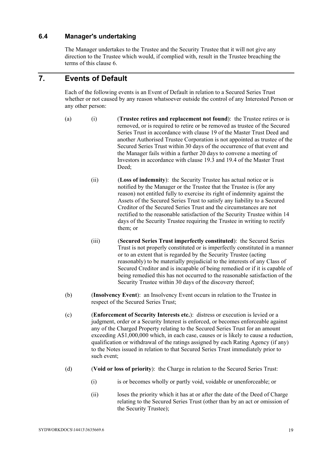#### **6.4 Manager's undertaking**

The Manager undertakes to the Trustee and the Security Trustee that it will not give any direction to the Trustee which would, if complied with, result in the Trustee breaching the terms of this clause 6.

# **7. Events of Default**

Each of the following events is an Event of Default in relation to a Secured Series Trust whether or not caused by any reason whatsoever outside the control of any Interested Person or any other person:

- (a) (i) (**Trustee retires and replacement not found**): the Trustee retires or is removed, or is required to retire or be removed as trustee of the Secured Series Trust in accordance with clause 19 of the Master Trust Deed and another Authorised Trustee Corporation is not appointed as trustee of the Secured Series Trust within 30 days of the occurrence of that event and the Manager fails within a further 20 days to convene a meeting of Investors in accordance with clause 19.3 and 19.4 of the Master Trust Deed;
	- (ii) (**Loss of indemnity**): the Security Trustee has actual notice or is notified by the Manager or the Trustee that the Trustee is (for any reason) not entitled fully to exercise its right of indemnity against the Assets of the Secured Series Trust to satisfy any liability to a Secured Creditor of the Secured Series Trust and the circumstances are not rectified to the reasonable satisfaction of the Security Trustee within 14 days of the Security Trustee requiring the Trustee in writing to rectify them; or
	- (iii) (**Secured Series Trust imperfectly constituted**): the Secured Series Trust is not properly constituted or is imperfectly constituted in a manner or to an extent that is regarded by the Security Trustee (acting reasonably) to be materially prejudicial to the interests of any Class of Secured Creditor and is incapable of being remedied or if it is capable of being remedied this has not occurred to the reasonable satisfaction of the Security Trustee within 30 days of the discovery thereof;
- (b) (**Insolvency Event**): an Insolvency Event occurs in relation to the Trustee in respect of the Secured Series Trust;
- (c) (**Enforcement of Security Interests etc.**): distress or execution is levied or a judgment, order or a Security Interest is enforced, or becomes enforceable against any of the Charged Property relating to the Secured Series Trust for an amount exceeding A\$1,000,000 which, in each case, causes or is likely to cause a reduction, qualification or withdrawal of the ratings assigned by each Rating Agency (if any) to the Notes issued in relation to that Secured Series Trust immediately prior to such event;
- (d) (**Void or loss of priority**): the Charge in relation to the Secured Series Trust:
	- (i) is or becomes wholly or partly void, voidable or unenforceable; or
	- (ii) loses the priority which it has at or after the date of the Deed of Charge relating to the Secured Series Trust (other than by an act or omission of the Security Trustee);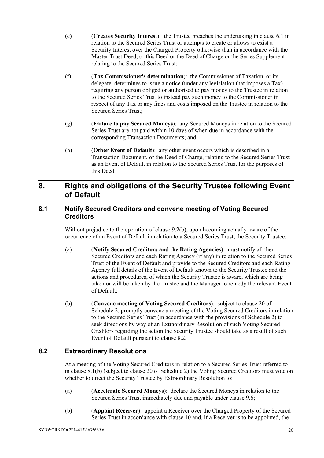- (e) (**Creates Security Interest**): the Trustee breaches the undertaking in clause 6.1 in relation to the Secured Series Trust or attempts to create or allows to exist a Security Interest over the Charged Property otherwise than in accordance with the Master Trust Deed, or this Deed or the Deed of Charge or the Series Supplement relating to the Secured Series Trust;
- (f) (**Tax Commissioner's determination**): the Commissioner of Taxation, or its delegate, determines to issue a notice (under any legislation that imposes a Tax) requiring any person obliged or authorised to pay money to the Trustee in relation to the Secured Series Trust to instead pay such money to the Commissioner in respect of any Tax or any fines and costs imposed on the Trustee in relation to the Secured Series Trust;
- (g) (**Failure to pay Secured Moneys**): any Secured Moneys in relation to the Secured Series Trust are not paid within 10 days of when due in accordance with the corresponding Transaction Documents; and
- (h) (**Other Event of Default**): any other event occurs which is described in a Transaction Document, or the Deed of Charge, relating to the Secured Series Trust as an Event of Default in relation to the Secured Series Trust for the purposes of this Deed.

# **8. Rights and obligations of the Security Trustee following Event of Default**

### **8.1 Notify Secured Creditors and convene meeting of Voting Secured Creditors**

Without prejudice to the operation of clause 9.2(b), upon becoming actually aware of the occurrence of an Event of Default in relation to a Secured Series Trust, the Security Trustee:

- (a) (**Notify Secured Creditors and the Rating Agencies**): must notify all then Secured Creditors and each Rating Agency (if any) in relation to the Secured Series Trust of the Event of Default and provide to the Secured Creditors and each Rating Agency full details of the Event of Default known to the Security Trustee and the actions and procedures, of which the Security Trustee is aware, which are being taken or will be taken by the Trustee and the Manager to remedy the relevant Event of Default;
- (b) (**Convene meeting of Voting Secured Creditors**): subject to clause 20 of Schedule 2, promptly convene a meeting of the Voting Secured Creditors in relation to the Secured Series Trust (in accordance with the provisions of Schedule 2) to seek directions by way of an Extraordinary Resolution of such Voting Secured Creditors regarding the action the Security Trustee should take as a result of such Event of Default pursuant to clause 8.2.

### **8.2 Extraordinary Resolutions**

At a meeting of the Voting Secured Creditors in relation to a Secured Series Trust referred to in clause 8.1(b) (subject to clause 20 of Schedule 2) the Voting Secured Creditors must vote on whether to direct the Security Trustee by Extraordinary Resolution to:

- (a) (**Accelerate Secured Moneys**): declare the Secured Moneys in relation to the Secured Series Trust immediately due and payable under clause 9.6;
- (b) (**Appoint Receiver**): appoint a Receiver over the Charged Property of the Secured Series Trust in accordance with clause 10 and, if a Receiver is to be appointed, the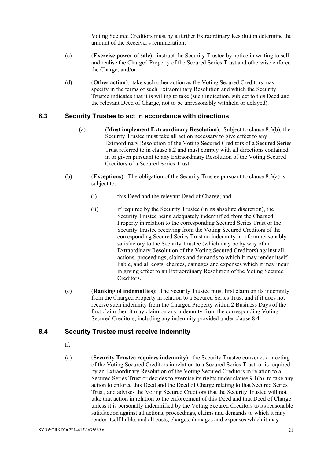Voting Secured Creditors must by a further Extraordinary Resolution determine the amount of the Receiver's remuneration;

- (c) (**Exercise power of sale**): instruct the Security Trustee by notice in writing to sell and realise the Charged Property of the Secured Series Trust and otherwise enforce the Charge; and/or
- (d) (**Other action**): take such other action as the Voting Secured Creditors may specify in the terms of such Extraordinary Resolution and which the Security Trustee indicates that it is willing to take (such indication, subject to this Deed and the relevant Deed of Charge, not to be unreasonably withheld or delayed).

#### **8.3 Security Trustee to act in accordance with directions**

- (a) (**Must implement Extraordinary Resolution**): Subject to clause 8.3(b), the Security Trustee must take all action necessary to give effect to any Extraordinary Resolution of the Voting Secured Creditors of a Secured Series Trust referred to in clause 8.2 and must comply with all directions contained in or given pursuant to any Extraordinary Resolution of the Voting Secured Creditors of a Secured Series Trust.
- (b) (**Exceptions**): The obligation of the Security Trustee pursuant to clause 8.3(a) is subject to:
	- (i) this Deed and the relevant Deed of Charge; and
	- (ii) if required by the Security Trustee (in its absolute discretion), the Security Trustee being adequately indemnified from the Charged Property in relation to the corresponding Secured Series Trust or the Security Trustee receiving from the Voting Secured Creditors of the corresponding Secured Series Trust an indemnity in a form reasonably satisfactory to the Security Trustee (which may be by way of an Extraordinary Resolution of the Voting Secured Creditors) against all actions, proceedings, claims and demands to which it may render itself liable, and all costs, charges, damages and expenses which it may incur, in giving effect to an Extraordinary Resolution of the Voting Secured Creditors.
- (c) (**Ranking of indemnities**): The Security Trustee must first claim on its indemnity from the Charged Property in relation to a Secured Series Trust and if it does not receive such indemnity from the Charged Property within 2 Business Days of the first claim then it may claim on any indemnity from the corresponding Voting Secured Creditors, including any indemnity provided under clause 8.4.

### **8.4 Security Trustee must receive indemnity**

- If:
- (a) (**Security Trustee requires indemnity**): the Security Trustee convenes a meeting of the Voting Secured Creditors in relation to a Secured Series Trust, or is required by an Extraordinary Resolution of the Voting Secured Creditors in relation to a Secured Series Trust or decides to exercise its rights under clause 9.1(b), to take any action to enforce this Deed and the Deed of Charge relating to that Secured Series Trust, and advises the Voting Secured Creditors that the Security Trustee will not take that action in relation to the enforcement of this Deed and that Deed of Charge unless it is personally indemnified by the Voting Secured Creditors to its reasonable satisfaction against all actions, proceedings, claims and demands to which it may render itself liable, and all costs, charges, damages and expenses which it may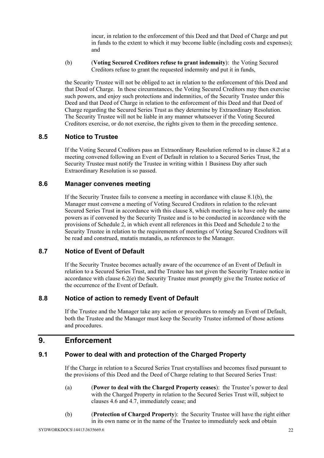incur, in relation to the enforcement of this Deed and that Deed of Charge and put in funds to the extent to which it may become liable (including costs and expenses); and

(b) (**Voting Secured Creditors refuse to grant indemnity**): the Voting Secured Creditors refuse to grant the requested indemnity and put it in funds,

the Security Trustee will not be obliged to act in relation to the enforcement of this Deed and that Deed of Charge. In these circumstances, the Voting Secured Creditors may then exercise such powers, and enjoy such protections and indemnities, of the Security Trustee under this Deed and that Deed of Charge in relation to the enforcement of this Deed and that Deed of Charge regarding the Secured Series Trust as they determine by Extraordinary Resolution. The Security Trustee will not be liable in any manner whatsoever if the Voting Secured Creditors exercise, or do not exercise, the rights given to them in the preceding sentence.

#### **8.5 Notice to Trustee**

If the Voting Secured Creditors pass an Extraordinary Resolution referred to in clause 8.2 at a meeting convened following an Event of Default in relation to a Secured Series Trust, the Security Trustee must notify the Trustee in writing within 1 Business Day after such Extraordinary Resolution is so passed.

#### **8.6 Manager convenes meeting**

If the Security Trustee fails to convene a meeting in accordance with clause 8.1(b), the Manager must convene a meeting of Voting Secured Creditors in relation to the relevant Secured Series Trust in accordance with this clause 8, which meeting is to have only the same powers as if convened by the Security Trustee and is to be conducted in accordance with the provisions of Schedule 2, in which event all references in this Deed and Schedule 2 to the Security Trustee in relation to the requirements of meetings of Voting Secured Creditors will be read and construed, mutatis mutandis, as references to the Manager.

#### **8.7 Notice of Event of Default**

If the Security Trustee becomes actually aware of the occurrence of an Event of Default in relation to a Secured Series Trust, and the Trustee has not given the Security Trustee notice in accordance with clause 6.2(e) the Security Trustee must promptly give the Trustee notice of the occurrence of the Event of Default.

#### **8.8 Notice of action to remedy Event of Default**

If the Trustee and the Manager take any action or procedures to remedy an Event of Default, both the Trustee and the Manager must keep the Security Trustee informed of those actions and procedures.

## **9. Enforcement**

#### **9.1 Power to deal with and protection of the Charged Property**

If the Charge in relation to a Secured Series Trust crystallises and becomes fixed pursuant to the provisions of this Deed and the Deed of Charge relating to that Secured Series Trust:

- (a) (**Power to deal with the Charged Property ceases**): the Trustee's power to deal with the Charged Property in relation to the Secured Series Trust will, subject to clauses 4.6 and 4.7, immediately cease; and
- (b) (**Protection of Charged Property**): the Security Trustee will have the right either in its own name or in the name of the Trustee to immediately seek and obtain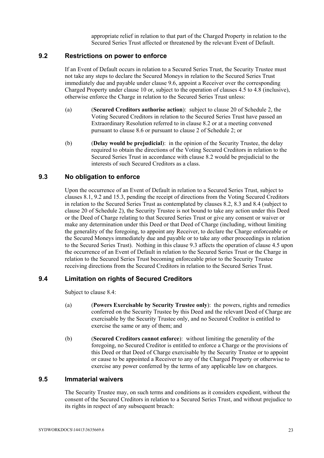appropriate relief in relation to that part of the Charged Property in relation to the Secured Series Trust affected or threatened by the relevant Event of Default.

#### **9.2 Restrictions on power to enforce**

If an Event of Default occurs in relation to a Secured Series Trust, the Security Trustee must not take any steps to declare the Secured Moneys in relation to the Secured Series Trust immediately due and payable under clause 9.6, appoint a Receiver over the corresponding Charged Property under clause 10 or, subject to the operation of clauses 4.5 to 4.8 (inclusive), otherwise enforce the Charge in relation to the Secured Series Trust unless:

- (a) (**Secured Creditors authorise action**): subject to clause 20 of Schedule 2, the Voting Secured Creditors in relation to the Secured Series Trust have passed an Extraordinary Resolution referred to in clause 8.2 or at a meeting convened pursuant to clause 8.6 or pursuant to clause 2 of Schedule 2; or
- (b) (**Delay would be prejudicial**): in the opinion of the Security Trustee, the delay required to obtain the directions of the Voting Secured Creditors in relation to the Secured Series Trust in accordance with clause 8.2 would be prejudicial to the interests of such Secured Creditors as a class.

#### **9.3 No obligation to enforce**

Upon the occurrence of an Event of Default in relation to a Secured Series Trust, subject to clauses 8.1, 9.2 and 15.3, pending the receipt of directions from the Voting Secured Creditors in relation to the Secured Series Trust as contemplated by clauses 8.2, 8.3 and 8.4 (subject to clause 20 of Schedule 2), the Security Trustee is not bound to take any action under this Deed or the Deed of Charge relating to that Secured Series Trust or give any consent or waiver or make any determination under this Deed or that Deed of Charge (including, without limiting the generality of the foregoing, to appoint any Receiver, to declare the Charge enforceable or the Secured Moneys immediately due and payable or to take any other proceedings in relation to the Secured Series Trust). Nothing in this clause 9.3 affects the operation of clause 4.5 upon the occurrence of an Event of Default in relation to the Secured Series Trust or the Charge in relation to the Secured Series Trust becoming enforceable prior to the Security Trustee receiving directions from the Secured Creditors in relation to the Secured Series Trust.

### **9.4 Limitation on rights of Secured Creditors**

Subject to clause 8.4:

- (a) (**Powers Exercisable by Security Trustee only**): the powers, rights and remedies conferred on the Security Trustee by this Deed and the relevant Deed of Charge are exercisable by the Security Trustee only, and no Secured Creditor is entitled to exercise the same or any of them; and
- (b) (**Secured Creditors cannot enforce**): without limiting the generality of the foregoing, no Secured Creditor is entitled to enforce a Charge or the provisions of this Deed or that Deed of Charge exercisable by the Security Trustee or to appoint or cause to be appointed a Receiver to any of the Charged Property or otherwise to exercise any power conferred by the terms of any applicable law on chargees.

#### **9.5 Immaterial waivers**

The Security Trustee may, on such terms and conditions as it considers expedient, without the consent of the Secured Creditors in relation to a Secured Series Trust, and without prejudice to its rights in respect of any subsequent breach: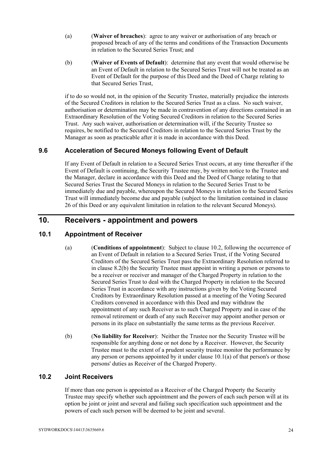- (a) (**Waiver of breaches**): agree to any waiver or authorisation of any breach or proposed breach of any of the terms and conditions of the Transaction Documents in relation to the Secured Series Trust; and
- (b) (**Waiver of Events of Default**): determine that any event that would otherwise be an Event of Default in relation to the Secured Series Trust will not be treated as an Event of Default for the purpose of this Deed and the Deed of Charge relating to that Secured Series Trust,

if to do so would not, in the opinion of the Security Trustee, materially prejudice the interests of the Secured Creditors in relation to the Secured Series Trust as a class. No such waiver, authorisation or determination may be made in contravention of any directions contained in an Extraordinary Resolution of the Voting Secured Creditors in relation to the Secured Series Trust. Any such waiver, authorisation or determination will, if the Security Trustee so requires, be notified to the Secured Creditors in relation to the Secured Series Trust by the Manager as soon as practicable after it is made in accordance with this Deed.

### **9.6 Acceleration of Secured Moneys following Event of Default**

If any Event of Default in relation to a Secured Series Trust occurs, at any time thereafter if the Event of Default is continuing, the Security Trustee may, by written notice to the Trustee and the Manager, declare in accordance with this Deed and the Deed of Charge relating to that Secured Series Trust the Secured Moneys in relation to the Secured Series Trust to be immediately due and payable, whereupon the Secured Moneys in relation to the Secured Series Trust will immediately become due and payable (subject to the limitation contained in clause 26 of this Deed or any equivalent limitation in relation to the relevant Secured Moneys).

## **10. Receivers - appointment and powers**

### **10.1 Appointment of Receiver**

- (a) (**Conditions of appointment**): Subject to clause 10.2, following the occurrence of an Event of Default in relation to a Secured Series Trust, if the Voting Secured Creditors of the Secured Series Trust pass the Extraordinary Resolution referred to in clause 8.2(b) the Security Trustee must appoint in writing a person or persons to be a receiver or receiver and manager of the Charged Property in relation to the Secured Series Trust to deal with the Charged Property in relation to the Secured Series Trust in accordance with any instructions given by the Voting Secured Creditors by Extraordinary Resolution passed at a meeting of the Voting Secured Creditors convened in accordance with this Deed and may withdraw the appointment of any such Receiver as to such Charged Property and in case of the removal retirement or death of any such Receiver may appoint another person or persons in its place on substantially the same terms as the previous Receiver.
- (b) (**No liability for Receiver**): Neither the Trustee nor the Security Trustee will be responsible for anything done or not done by a Receiver. However, the Security Trustee must to the extent of a prudent security trustee monitor the performance by any person or persons appointed by it under clause 10.1(a) of that person's or those persons' duties as Receiver of the Charged Property.

#### **10.2 Joint Receivers**

If more than one person is appointed as a Receiver of the Charged Property the Security Trustee may specify whether such appointment and the powers of each such person will at its option be joint or joint and several and failing such specification such appointment and the powers of each such person will be deemed to be joint and several.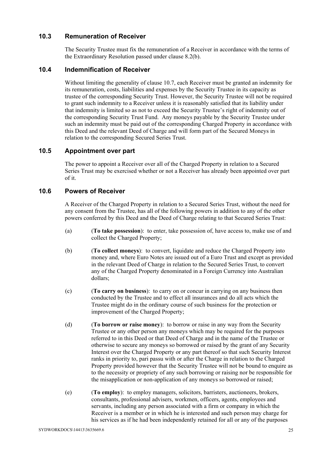#### **10.3 Remuneration of Receiver**

The Security Trustee must fix the remuneration of a Receiver in accordance with the terms of the Extraordinary Resolution passed under clause 8.2(b).

#### **10.4 Indemnification of Receiver**

Without limiting the generality of clause 10.7, each Receiver must be granted an indemnity for its remuneration, costs, liabilities and expenses by the Security Trustee in its capacity as trustee of the corresponding Security Trust. However, the Security Trustee will not be required to grant such indemnity to a Receiver unless it is reasonably satisfied that its liability under that indemnity is limited so as not to exceed the Security Trustee's right of indemnity out of the corresponding Security Trust Fund. Any moneys payable by the Security Trustee under such an indemnity must be paid out of the corresponding Charged Property in accordance with this Deed and the relevant Deed of Charge and will form part of the Secured Moneys in relation to the corresponding Secured Series Trust.

#### **10.5 Appointment over part**

The power to appoint a Receiver over all of the Charged Property in relation to a Secured Series Trust may be exercised whether or not a Receiver has already been appointed over part of it.

#### **10.6 Powers of Receiver**

A Receiver of the Charged Property in relation to a Secured Series Trust, without the need for any consent from the Trustee, has all of the following powers in addition to any of the other powers conferred by this Deed and the Deed of Charge relating to that Secured Series Trust:

- (a) (**To take possession**): to enter, take possession of, have access to, make use of and collect the Charged Property;
- (b) (**To collect moneys**): to convert, liquidate and reduce the Charged Property into money and, where Euro Notes are issued out of a Euro Trust and except as provided in the relevant Deed of Charge in relation to the Secured Series Trust, to convert any of the Charged Property denominated in a Foreign Currency into Australian dollars;
- (c) (**To carry on business**): to carry on or concur in carrying on any business then conducted by the Trustee and to effect all insurances and do all acts which the Trustee might do in the ordinary course of such business for the protection or improvement of the Charged Property;
- (d) (**To borrow or raise money**): to borrow or raise in any way from the Security Trustee or any other person any moneys which may be required for the purposes referred to in this Deed or that Deed of Charge and in the name of the Trustee or otherwise to secure any moneys so borrowed or raised by the grant of any Security Interest over the Charged Property or any part thereof so that such Security Interest ranks in priority to, pari passu with or after the Charge in relation to the Charged Property provided however that the Security Trustee will not be bound to enquire as to the necessity or propriety of any such borrowing or raising nor be responsible for the misapplication or non-application of any moneys so borrowed or raised;
- (e) (**To employ**): to employ managers, solicitors, barristers, auctioneers, brokers, consultants, professional advisers, workmen, officers, agents, employees and servants, including any person associated with a firm or company in which the Receiver is a member or in which he is interested and such person may charge for his services as if he had been independently retained for all or any of the purposes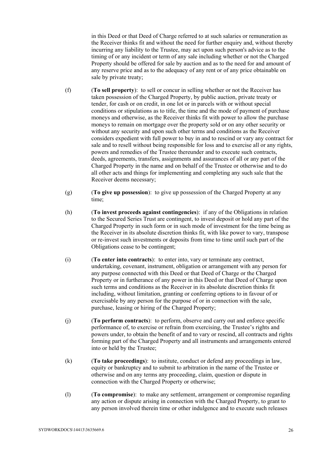in this Deed or that Deed of Charge referred to at such salaries or remuneration as the Receiver thinks fit and without the need for further enquiry and, without thereby incurring any liability to the Trustee, may act upon such person's advice as to the timing of or any incident or term of any sale including whether or not the Charged Property should be offered for sale by auction and as to the need for and amount of any reserve price and as to the adequacy of any rent or of any price obtainable on sale by private treaty;

- (f) (**To sell property**): to sell or concur in selling whether or not the Receiver has taken possession of the Charged Property, by public auction, private treaty or tender, for cash or on credit, in one lot or in parcels with or without special conditions or stipulations as to title, the time and the mode of payment of purchase moneys and otherwise, as the Receiver thinks fit with power to allow the purchase moneys to remain on mortgage over the property sold or on any other security or without any security and upon such other terms and conditions as the Receiver considers expedient with full power to buy in and to rescind or vary any contract for sale and to resell without being responsible for loss and to exercise all or any rights, powers and remedies of the Trustee thereunder and to execute such contracts, deeds, agreements, transfers, assignments and assurances of all or any part of the Charged Property in the name and on behalf of the Trustee or otherwise and to do all other acts and things for implementing and completing any such sale that the Receiver deems necessary;
- (g) (**To give up possession**): to give up possession of the Charged Property at any time;
- (h) (**To invest proceeds against contingencies**): if any of the Obligations in relation to the Secured Series Trust are contingent, to invest deposit or hold any part of the Charged Property in such form or in such mode of investment for the time being as the Receiver in its absolute discretion thinks fit, with like power to vary, transpose or re-invest such investments or deposits from time to time until such part of the Obligations cease to be contingent;
- (i) (**To enter into contracts**): to enter into, vary or terminate any contract, undertaking, covenant, instrument, obligation or arrangement with any person for any purpose connected with this Deed or that Deed of Charge or the Charged Property or in furtherance of any power in this Deed or that Deed of Charge upon such terms and conditions as the Receiver in its absolute discretion thinks fit including, without limitation, granting or conferring options to in favour of or exercisable by any person for the purpose of or in connection with the sale, purchase, leasing or hiring of the Charged Property;
- (j) (**To perform contracts**): to perform, observe and carry out and enforce specific performance of, to exercise or refrain from exercising, the Trustee's rights and powers under, to obtain the benefit of and to vary or rescind, all contracts and rights forming part of the Charged Property and all instruments and arrangements entered into or held by the Trustee;
- (k) (**To take proceedings**): to institute, conduct or defend any proceedings in law, equity or bankruptcy and to submit to arbitration in the name of the Trustee or otherwise and on any terms any proceeding, claim, question or dispute in connection with the Charged Property or otherwise;
- (l) (**To compromise**): to make any settlement, arrangement or compromise regarding any action or dispute arising in connection with the Charged Property, to grant to any person involved therein time or other indulgence and to execute such releases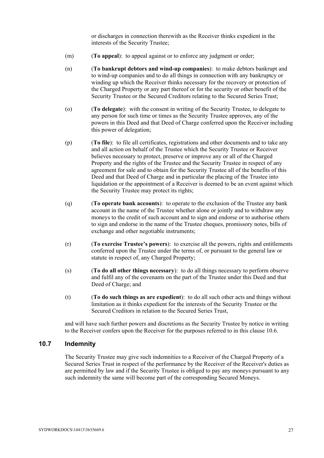or discharges in connection therewith as the Receiver thinks expedient in the interests of the Security Trustee;

- (m) (**To appeal**): to appeal against or to enforce any judgment or order;
- (n) (**To bankrupt debtors and wind-up companies**): to make debtors bankrupt and to wind-up companies and to do all things in connection with any bankruptcy or winding up which the Receiver thinks necessary for the recovery or protection of the Charged Property or any part thereof or for the security or other benefit of the Security Trustee or the Secured Creditors relating to the Secured Series Trust;
- (o) (**To delegate**): with the consent in writing of the Security Trustee, to delegate to any person for such time or times as the Security Trustee approves, any of the powers in this Deed and that Deed of Charge conferred upon the Receiver including this power of delegation;
- (p) (**To file**): to file all certificates, registrations and other documents and to take any and all action on behalf of the Trustee which the Security Trustee or Receiver believes necessary to protect, preserve or improve any or all of the Charged Property and the rights of the Trustee and the Security Trustee in respect of any agreement for sale and to obtain for the Security Trustee all of the benefits of this Deed and that Deed of Charge and in particular the placing of the Trustee into liquidation or the appointment of a Receiver is deemed to be an event against which the Security Trustee may protect its rights;
- (q) (**To operate bank accounts**): to operate to the exclusion of the Trustee any bank account in the name of the Trustee whether alone or jointly and to withdraw any moneys to the credit of such account and to sign and endorse or to authorise others to sign and endorse in the name of the Trustee cheques, promissory notes, bills of exchange and other negotiable instruments;
- (r) (**To exercise Trustee's powers**): to exercise all the powers, rights and entitlements conferred upon the Trustee under the terms of, or pursuant to the general law or statute in respect of, any Charged Property;
- (s) (**To do all other things necessary**): to do all things necessary to perform observe and fulfil any of the covenants on the part of the Trustee under this Deed and that Deed of Charge; and
- (t) (**To do such things as are expedient**): to do all such other acts and things without limitation as it thinks expedient for the interests of the Security Trustee or the Secured Creditors in relation to the Secured Series Trust,

and will have such further powers and discretions as the Security Trustee by notice in writing to the Receiver confers upon the Receiver for the purposes referred to in this clause 10.6.

#### **10.7 Indemnity**

The Security Trustee may give such indemnities to a Receiver of the Charged Property of a Secured Series Trust in respect of the performance by the Receiver of the Receiver's duties as are permitted by law and if the Security Trustee is obliged to pay any moneys pursuant to any such indemnity the same will become part of the corresponding Secured Moneys.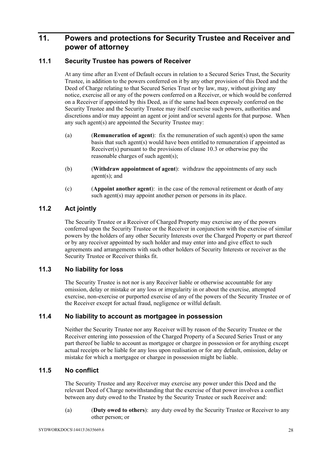# **11. Powers and protections for Security Trustee and Receiver and power of attorney**

### **11.1 Security Trustee has powers of Receiver**

At any time after an Event of Default occurs in relation to a Secured Series Trust, the Security Trustee, in addition to the powers conferred on it by any other provision of this Deed and the Deed of Charge relating to that Secured Series Trust or by law, may, without giving any notice, exercise all or any of the powers conferred on a Receiver, or which would be conferred on a Receiver if appointed by this Deed, as if the same had been expressly conferred on the Security Trustee and the Security Trustee may itself exercise such powers, authorities and discretions and/or may appoint an agent or joint and/or several agents for that purpose. When any such agent(s) are appointed the Security Trustee may:

- (a) (**Remuneration of agent**): fix the remuneration of such agent(s) upon the same basis that such agent(s) would have been entitled to remuneration if appointed as Receiver(s) pursuant to the provisions of clause 10.3 or otherwise pay the reasonable charges of such agent(s);
- (b) (**Withdraw appointment of agent**): withdraw the appointments of any such agent(s); and
- (c) (**Appoint another agent**): in the case of the removal retirement or death of any such agent(s) may appoint another person or persons in its place.

## **11.2 Act jointly**

The Security Trustee or a Receiver of Charged Property may exercise any of the powers conferred upon the Security Trustee or the Receiver in conjunction with the exercise of similar powers by the holders of any other Security Interests over the Charged Property or part thereof or by any receiver appointed by such holder and may enter into and give effect to such agreements and arrangements with such other holders of Security Interests or receiver as the Security Trustee or Receiver thinks fit.

#### **11.3 No liability for loss**

The Security Trustee is not nor is any Receiver liable or otherwise accountable for any omission, delay or mistake or any loss or irregularity in or about the exercise, attempted exercise, non-exercise or purported exercise of any of the powers of the Security Trustee or of the Receiver except for actual fraud, negligence or wilful default.

### **11.4 No liability to account as mortgagee in possession**

Neither the Security Trustee nor any Receiver will by reason of the Security Trustee or the Receiver entering into possession of the Charged Property of a Secured Series Trust or any part thereof be liable to account as mortgagee or chargee in possession or for anything except actual receipts or be liable for any loss upon realisation or for any default, omission, delay or mistake for which a mortgagee or chargee in possession might be liable.

#### **11.5 No conflict**

The Security Trustee and any Receiver may exercise any power under this Deed and the relevant Deed of Charge notwithstanding that the exercise of that power involves a conflict between any duty owed to the Trustee by the Security Trustee or such Receiver and:

(a) (**Duty owed to others**): any duty owed by the Security Trustee or Receiver to any other person; or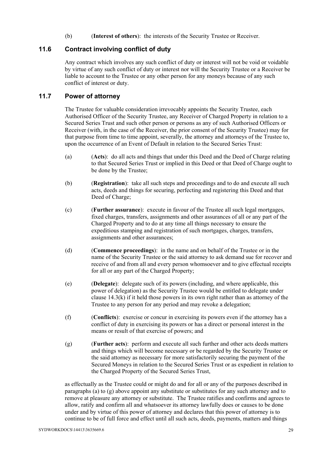(b) (**Interest of others**): the interests of the Security Trustee or Receiver.

#### **11.6 Contract involving conflict of duty**

Any contract which involves any such conflict of duty or interest will not be void or voidable by virtue of any such conflict of duty or interest nor will the Security Trustee or a Receiver be liable to account to the Trustee or any other person for any moneys because of any such conflict of interest or duty.

#### **11.7 Power of attorney**

The Trustee for valuable consideration irrevocably appoints the Security Trustee, each Authorised Officer of the Security Trustee, any Receiver of Charged Property in relation to a Secured Series Trust and such other person or persons as any of such Authorised Officers or Receiver (with, in the case of the Receiver, the prior consent of the Security Trustee) may for that purpose from time to time appoint, severally, the attorney and attorneys of the Trustee to, upon the occurrence of an Event of Default in relation to the Secured Series Trust:

- (a) (**Acts**): do all acts and things that under this Deed and the Deed of Charge relating to that Secured Series Trust or implied in this Deed or that Deed of Charge ought to be done by the Trustee;
- (b) (**Registration**): take all such steps and proceedings and to do and execute all such acts, deeds and things for securing, perfecting and registering this Deed and that Deed of Charge;
- (c) (**Further assurance**): execute in favour of the Trustee all such legal mortgages, fixed charges, transfers, assignments and other assurances of all or any part of the Charged Property and to do at any time all things necessary to ensure the expeditious stamping and registration of such mortgages, charges, transfers, assignments and other assurances;
- (d) (**Commence proceedings**): in the name and on behalf of the Trustee or in the name of the Security Trustee or the said attorney to ask demand sue for recover and receive of and from all and every person whomsoever and to give effectual receipts for all or any part of the Charged Property;
- (e) (**Delegate**): delegate such of its powers (including, and where applicable, this power of delegation) as the Security Trustee would be entitled to delegate under clause 14.3(k) if it held those powers in its own right rather than as attorney of the Trustee to any person for any period and may revoke a delegation;
- (f) (**Conflicts**): exercise or concur in exercising its powers even if the attorney has a conflict of duty in exercising its powers or has a direct or personal interest in the means or result of that exercise of powers; and
- (g) (**Further acts**): perform and execute all such further and other acts deeds matters and things which will become necessary or be regarded by the Security Trustee or the said attorney as necessary for more satisfactorily securing the payment of the Secured Moneys in relation to the Secured Series Trust or as expedient in relation to the Charged Property of the Secured Series Trust,

as effectually as the Trustee could or might do and for all or any of the purposes described in paragraphs (a) to  $(g)$  above appoint any substitute or substitutes for any such attorney and to remove at pleasure any attorney or substitute. The Trustee ratifies and confirms and agrees to allow, ratify and confirm all and whatsoever its attorney lawfully does or causes to be done under and by virtue of this power of attorney and declares that this power of attorney is to continue to be of full force and effect until all such acts, deeds, payments, matters and things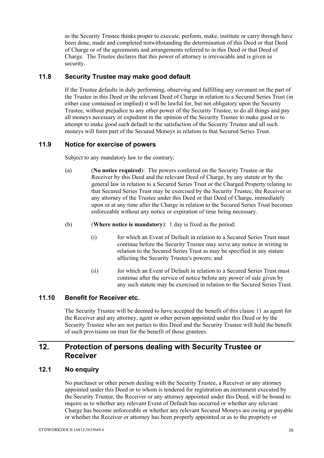as the Security Trustee thinks proper to execute, perform, make, institute or carry through have been done, made and completed notwithstanding the determination of this Deed or that Deed of Charge or of the agreements and arrangements referred to in this Deed or that Deed of Charge. The Trustee declares that this power of attorney is irrevocable and is given as security.

#### **11.8 Security Trustee may make good default**

If the Trustee defaults in duly performing, observing and fulfilling any covenant on the part of the Trustee in this Deed or the relevant Deed of Charge in relation to a Secured Series Trust (in either case contained or implied) it will be lawful for, but not obligatory upon the Security Trustee, without prejudice to any other power of the Security Trustee, to do all things and pay all moneys necessary or expedient in the opinion of the Security Trustee to make good or to attempt to make good such default to the satisfaction of the Security Trustee and all such moneys will form part of the Secured Moneys in relation to that Secured Series Trust.

#### **11.9 Notice for exercise of powers**

Subject to any mandatory law to the contrary:

- (a) (**No notice required**): The powers conferred on the Security Trustee or the Receiver by this Deed and the relevant Deed of Charge, by any statute or by the general law in relation to a Secured Series Trust or the Charged Property relating to that Secured Series Trust may be exercised by the Security Trustee, the Receiver or any attorney of the Trustee under this Deed or that Deed of Charge, immediately upon or at any time after the Charge in relation to the Secured Series Trust becomes enforceable without any notice or expiration of time being necessary.
- (b) (**Where notice is mandatory**): 1 day is fixed as the period:
	- (i) for which an Event of Default in relation to a Secured Series Trust must continue before the Security Trustee may serve any notice in writing in relation to the Secured Series Trust as may be specified in any statute affecting the Security Trustee's powers; and
	- (ii) for which an Event of Default in relation to a Secured Series Trust must continue after the service of notice before any power of sale given by any such statute may be exercised in relation to the Secured Series Trust.

#### **11.10 Benefit for Receiver etc.**

The Security Trustee will be deemed to have accepted the benefit of this clause 11 as agent for the Receiver and any attorney, agent or other person appointed under this Deed or by the Security Trustee who are not parties to this Deed and the Security Trustee will hold the benefit of such provisions on trust for the benefit of those grantees.

# **12. Protection of persons dealing with Security Trustee or Receiver**

#### **12.1 No enquiry**

No purchaser or other person dealing with the Security Trustee, a Receiver or any attorney appointed under this Deed or to whom is tendered for registration an instrument executed by the Security Trustee, the Receiver or any attorney appointed under this Deed, will be bound to inquire as to whether any relevant Event of Default has occurred or whether any relevant Charge has become enforceable or whether any relevant Secured Moneys are owing or payable or whether the Receiver or attorney has been properly appointed or as to the propriety or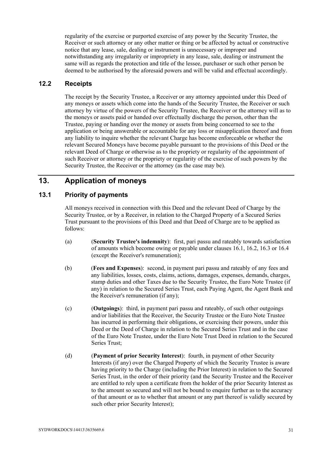regularity of the exercise or purported exercise of any power by the Security Trustee, the Receiver or such attorney or any other matter or thing or be affected by actual or constructive notice that any lease, sale, dealing or instrument is unnecessary or improper and notwithstanding any irregularity or impropriety in any lease, sale, dealing or instrument the same will as regards the protection and title of the lessee, purchaser or such other person be deemed to be authorised by the aforesaid powers and will be valid and effectual accordingly.

#### **12.2 Receipts**

The receipt by the Security Trustee, a Receiver or any attorney appointed under this Deed of any moneys or assets which come into the hands of the Security Trustee, the Receiver or such attorney by virtue of the powers of the Security Trustee, the Receiver or the attorney will as to the moneys or assets paid or handed over effectually discharge the person, other than the Trustee, paying or handing over the money or assets from being concerned to see to the application or being answerable or accountable for any loss or misapplication thereof and from any liability to inquire whether the relevant Charge has become enforceable or whether the relevant Secured Moneys have become payable pursuant to the provisions of this Deed or the relevant Deed of Charge or otherwise as to the propriety or regularity of the appointment of such Receiver or attorney or the propriety or regularity of the exercise of such powers by the Security Trustee, the Receiver or the attorney (as the case may be).

# **13. Application of moneys**

#### **13.1 Priority of payments**

All moneys received in connection with this Deed and the relevant Deed of Charge by the Security Trustee, or by a Receiver, in relation to the Charged Property of a Secured Series Trust pursuant to the provisions of this Deed and that Deed of Charge are to be applied as follows:

- (a) (**Security Trustee's indemnity**): first, pari passu and rateably towards satisfaction of amounts which become owing or payable under clauses 16.1, 16.2, 16.3 or 16.4 (except the Receiver's remuneration);
- (b) (**Fees and Expenses**): second, in payment pari passu and rateably of any fees and any liabilities, losses, costs, claims, actions, damages, expenses, demands, charges, stamp duties and other Taxes due to the Security Trustee, the Euro Note Trustee (if any) in relation to the Secured Series Trust, each Paying Agent, the Agent Bank and the Receiver's remuneration (if any);
- (c) (**Outgoings**): third, in payment pari passu and rateably, of such other outgoings and/or liabilities that the Receiver, the Security Trustee or the Euro Note Trustee has incurred in performing their obligations, or exercising their powers, under this Deed or the Deed of Charge in relation to the Secured Series Trust and in the case of the Euro Note Trustee, under the Euro Note Trust Deed in relation to the Secured Series Trust;
- (d) (**Payment of prior Security Interest**): fourth, in payment of other Security Interests (if any) over the Charged Property of which the Security Trustee is aware having priority to the Charge (including the Prior Interest) in relation to the Secured Series Trust, in the order of their priority (and the Security Trustee and the Receiver are entitled to rely upon a certificate from the holder of the prior Security Interest as to the amount so secured and will not be bound to enquire further as to the accuracy of that amount or as to whether that amount or any part thereof is validly secured by such other prior Security Interest):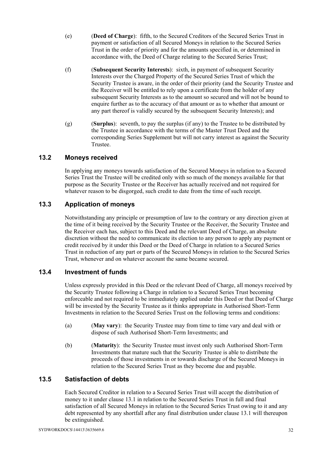- (e) (**Deed of Charge**): fifth, to the Secured Creditors of the Secured Series Trust in payment or satisfaction of all Secured Moneys in relation to the Secured Series Trust in the order of priority and for the amounts specified in, or determined in accordance with, the Deed of Charge relating to the Secured Series Trust;
- (f) (**Subsequent Security Interests**): sixth, in payment of subsequent Security Interests over the Charged Property of the Secured Series Trust of which the Security Trustee is aware, in the order of their priority (and the Security Trustee and the Receiver will be entitled to rely upon a certificate from the holder of any subsequent Security Interests as to the amount so secured and will not be bound to enquire further as to the accuracy of that amount or as to whether that amount or any part thereof is validly secured by the subsequent Security Interests); and
- (g) (**Surplus**): seventh, to pay the surplus (if any) to the Trustee to be distributed by the Trustee in accordance with the terms of the Master Trust Deed and the corresponding Series Supplement but will not carry interest as against the Security Trustee.

### **13.2 Moneys received**

In applying any moneys towards satisfaction of the Secured Moneys in relation to a Secured Series Trust the Trustee will be credited only with so much of the moneys available for that purpose as the Security Trustee or the Receiver has actually received and not required for whatever reason to be disgorged, such credit to date from the time of such receipt.

## **13.3 Application of moneys**

Notwithstanding any principle or presumption of law to the contrary or any direction given at the time of it being received by the Security Trustee or the Receiver, the Security Trustee and the Receiver each has, subject to this Deed and the relevant Deed of Charge, an absolute discretion without the need to communicate its election to any person to apply any payment or credit received by it under this Deed or the Deed of Charge in relation to a Secured Series Trust in reduction of any part or parts of the Secured Moneys in relation to the Secured Series Trust, whenever and on whatever account the same became secured.

### **13.4 Investment of funds**

Unless expressly provided in this Deed or the relevant Deed of Charge, all moneys received by the Security Trustee following a Charge in relation to a Secured Series Trust becoming enforceable and not required to be immediately applied under this Deed or that Deed of Charge will be invested by the Security Trustee as it thinks appropriate in Authorised Short-Term Investments in relation to the Secured Series Trust on the following terms and conditions:

- (a) (**May vary**): the Security Trustee may from time to time vary and deal with or dispose of such Authorised Short-Term Investments; and
- (b) (**Maturity**): the Security Trustee must invest only such Authorised Short-Term Investments that mature such that the Security Trustee is able to distribute the proceeds of those investments in or towards discharge of the Secured Moneys in relation to the Secured Series Trust as they become due and payable.

### **13.5 Satisfaction of debts**

Each Secured Creditor in relation to a Secured Series Trust will accept the distribution of money to it under clause 13.1 in relation to the Secured Series Trust in full and final satisfaction of all Secured Moneys in relation to the Secured Series Trust owing to it and any debt represented by any shortfall after any final distribution under clause 13.1 will thereupon be extinguished.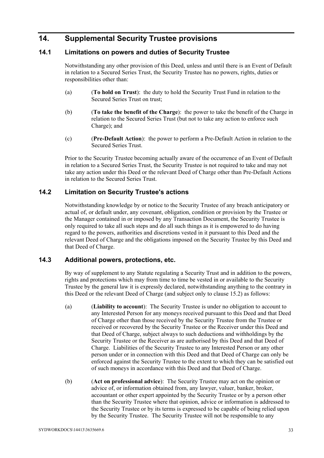## **14. Supplemental Security Trustee provisions**

### **14.1 Limitations on powers and duties of Security Trustee**

Notwithstanding any other provision of this Deed, unless and until there is an Event of Default in relation to a Secured Series Trust, the Security Trustee has no powers, rights, duties or responsibilities other than:

- (a) (**To hold on Trust**): the duty to hold the Security Trust Fund in relation to the Secured Series Trust on trust;
- (b) (**To take the benefit of the Charge**): the power to take the benefit of the Charge in relation to the Secured Series Trust (but not to take any action to enforce such Charge); and
- (c) (**Pre-Default Action**): the power to perform a Pre-Default Action in relation to the Secured Series Trust.

Prior to the Security Trustee becoming actually aware of the occurrence of an Event of Default in relation to a Secured Series Trust, the Security Trustee is not required to take and may not take any action under this Deed or the relevant Deed of Charge other than Pre-Default Actions in relation to the Secured Series Trust.

#### **14.2 Limitation on Security Trustee's actions**

Notwithstanding knowledge by or notice to the Security Trustee of any breach anticipatory or actual of, or default under, any covenant, obligation, condition or provision by the Trustee or the Manager contained in or imposed by any Transaction Document, the Security Trustee is only required to take all such steps and do all such things as it is empowered to do having regard to the powers, authorities and discretions vested in it pursuant to this Deed and the relevant Deed of Charge and the obligations imposed on the Security Trustee by this Deed and that Deed of Charge.

#### **14.3 Additional powers, protections, etc.**

By way of supplement to any Statute regulating a Security Trust and in addition to the powers, rights and protections which may from time to time be vested in or available to the Security Trustee by the general law it is expressly declared, notwithstanding anything to the contrary in this Deed or the relevant Deed of Charge (and subject only to clause 15.2) as follows:

- (a) (**Liability to account**): The Security Trustee is under no obligation to account to any Interested Person for any moneys received pursuant to this Deed and that Deed of Charge other than those received by the Security Trustee from the Trustee or received or recovered by the Security Trustee or the Receiver under this Deed and that Deed of Charge, subject always to such deductions and withholdings by the Security Trustee or the Receiver as are authorised by this Deed and that Deed of Charge. Liabilities of the Security Trustee to any Interested Person or any other person under or in connection with this Deed and that Deed of Charge can only be enforced against the Security Trustee to the extent to which they can be satisfied out of such moneys in accordance with this Deed and that Deed of Charge.
- (b) (**Act on professional advice**): The Security Trustee may act on the opinion or advice of, or information obtained from, any lawyer, valuer, banker, broker, accountant or other expert appointed by the Security Trustee or by a person other than the Security Trustee where that opinion, advice or information is addressed to the Security Trustee or by its terms is expressed to be capable of being relied upon by the Security Trustee. The Security Trustee will not be responsible to any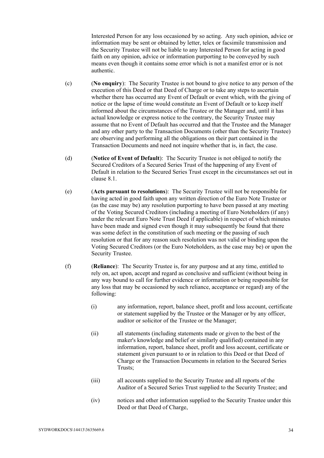Interested Person for any loss occasioned by so acting. Any such opinion, advice or information may be sent or obtained by letter, telex or facsimile transmission and the Security Trustee will not be liable to any Interested Person for acting in good faith on any opinion, advice or information purporting to be conveyed by such means even though it contains some error which is not a manifest error or is not authentic.

- (c) (**No enquiry**): The Security Trustee is not bound to give notice to any person of the execution of this Deed or that Deed of Charge or to take any steps to ascertain whether there has occurred any Event of Default or event which, with the giving of notice or the lapse of time would constitute an Event of Default or to keep itself informed about the circumstances of the Trustee or the Manager and, until it has actual knowledge or express notice to the contrary, the Security Trustee may assume that no Event of Default has occurred and that the Trustee and the Manager and any other party to the Transaction Documents (other than the Security Trustee) are observing and performing all the obligations on their part contained in the Transaction Documents and need not inquire whether that is, in fact, the case.
- (d) (**Notice of Event of Default**): The Security Trustee is not obliged to notify the Secured Creditors of a Secured Series Trust of the happening of any Event of Default in relation to the Secured Series Trust except in the circumstances set out in clause 8.1.
- (e) (**Acts pursuant to resolutions**): The Security Trustee will not be responsible for having acted in good faith upon any written direction of the Euro Note Trustee or (as the case may be) any resolution purporting to have been passed at any meeting of the Voting Secured Creditors (including a meeting of Euro Noteholders (if any) under the relevant Euro Note Trust Deed if applicable) in respect of which minutes have been made and signed even though it may subsequently be found that there was some defect in the constitution of such meeting or the passing of such resolution or that for any reason such resolution was not valid or binding upon the Voting Secured Creditors (or the Euro Noteholders, as the case may be) or upon the Security Trustee.
- (f) (**Reliance**): The Security Trustee is, for any purpose and at any time, entitled to rely on, act upon, accept and regard as conclusive and sufficient (without being in any way bound to call for further evidence or information or being responsible for any loss that may be occasioned by such reliance, acceptance or regard) any of the following:
	- (i) any information, report, balance sheet, profit and loss account, certificate or statement supplied by the Trustee or the Manager or by any officer, auditor or solicitor of the Trustee or the Manager;
	- (ii) all statements (including statements made or given to the best of the maker's knowledge and belief or similarly qualified) contained in any information, report, balance sheet, profit and loss account, certificate or statement given pursuant to or in relation to this Deed or that Deed of Charge or the Transaction Documents in relation to the Secured Series Trusts;
	- (iii) all accounts supplied to the Security Trustee and all reports of the Auditor of a Secured Series Trust supplied to the Security Trustee; and
	- (iv) notices and other information supplied to the Security Trustee under this Deed or that Deed of Charge,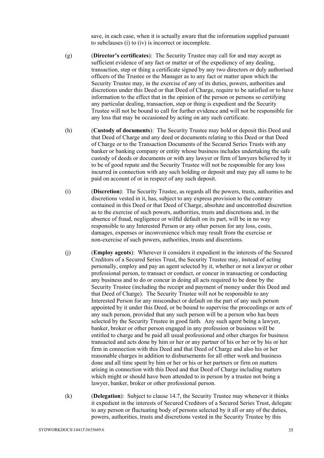save, in each case, when it is actually aware that the information supplied pursuant to subclauses (i) to (iv) is incorrect or incomplete.

- (g) (**Director's certificates**): The Security Trustee may call for and may accept as sufficient evidence of any fact or matter or of the expediency of any dealing, transaction, step or thing a certificate signed by any two directors or duly authorised officers of the Trustee or the Manager as to any fact or matter upon which the Security Trustee may, in the exercise of any of its duties, powers, authorities and discretions under this Deed or that Deed of Charge, require to be satisfied or to have information to the effect that in the opinion of the person or persons so certifying any particular dealing, transaction, step or thing is expedient and the Security Trustee will not be bound to call for further evidence and will not be responsible for any loss that may be occasioned by acting on any such certificate.
- (h) (**Custody of documents**): The Security Trustee may hold or deposit this Deed and that Deed of Charge and any deed or documents relating to this Deed or that Deed of Charge or to the Transaction Documents of the Secured Series Trusts with any banker or banking company or entity whose business includes undertaking the safe custody of deeds or documents or with any lawyer or firm of lawyers believed by it to be of good repute and the Security Trustee will not be responsible for any loss incurred in connection with any such holding or deposit and may pay all sums to be paid on account of or in respect of any such deposit.
- (i) (**Discretion**): The Security Trustee, as regards all the powers, trusts, authorities and discretions vested in it, has, subject to any express provision to the contrary contained in this Deed or that Deed of Charge, absolute and uncontrolled discretion as to the exercise of such powers, authorities, trusts and discretions and, in the absence of fraud, negligence or wilful default on its part, will be in no way responsible to any Interested Person or any other person for any loss, costs, damages, expenses or inconvenience which may result from the exercise or non-exercise of such powers, authorities, trusts and discretions.
- (j) (**Employ agents**): Wherever it considers it expedient in the interests of the Secured Creditors of a Secured Series Trust, the Security Trustee may, instead of acting personally, employ and pay an agent selected by it, whether or not a lawyer or other professional person, to transact or conduct, or concur in transacting or conducting any business and to do or concur in doing all acts required to be done by the Security Trustee (including the receipt and payment of money under this Deed and that Deed of Charge). The Security Trustee will not be responsible to any Interested Person for any misconduct or default on the part of any such person appointed by it under this Deed, or be bound to supervise the proceedings or acts of any such person, provided that any such person will be a person who has been selected by the Security Trustee in good faith. Any such agent being a lawyer, banker, broker or other person engaged in any profession or business will be entitled to charge and be paid all usual professional and other charges for business transacted and acts done by him or her or any partner of his or her or by his or her firm in connection with this Deed and that Deed of Charge and also his or her reasonable charges in addition to disbursements for all other work and business done and all time spent by him or her or his or her partners or firm on matters arising in connection with this Deed and that Deed of Charge including matters which might or should have been attended to in person by a trustee not being a lawyer, banker, broker or other professional person.
- (k) (**Delegation**): Subject to clause 14.7, the Security Trustee may whenever it thinks it expedient in the interests of Secured Creditors of a Secured Series Trust, delegate to any person or fluctuating body of persons selected by it all or any of the duties, powers, authorities, trusts and discretions vested in the Security Trustee by this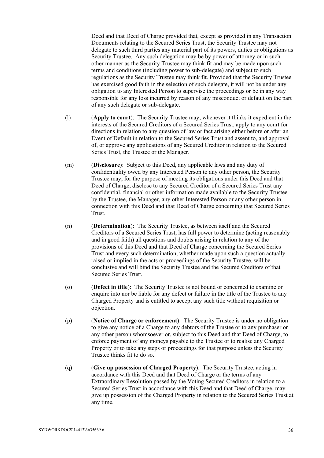Deed and that Deed of Charge provided that, except as provided in any Transaction Documents relating to the Secured Series Trust, the Security Trustee may not delegate to such third parties any material part of its powers, duties or obligations as Security Trustee. Any such delegation may be by power of attorney or in such other manner as the Security Trustee may think fit and may be made upon such terms and conditions (including power to sub-delegate) and subject to such regulations as the Security Trustee may think fit. Provided that the Security Trustee has exercised good faith in the selection of such delegate, it will not be under any obligation to any Interested Person to supervise the proceedings or be in any way responsible for any loss incurred by reason of any misconduct or default on the part of any such delegate or sub-delegate.

- (l) (**Apply to court**): The Security Trustee may, whenever it thinks it expedient in the interests of the Secured Creditors of a Secured Series Trust, apply to any court for directions in relation to any question of law or fact arising either before or after an Event of Default in relation to the Secured Series Trust and assent to, and approval of, or approve any applications of any Secured Creditor in relation to the Secured Series Trust, the Trustee or the Manager.
- (m) (**Disclosure**): Subject to this Deed, any applicable laws and any duty of confidentiality owed by any Interested Person to any other person, the Security Trustee may, for the purpose of meeting its obligations under this Deed and that Deed of Charge, disclose to any Secured Creditor of a Secured Series Trust any confidential, financial or other information made available to the Security Trustee by the Trustee, the Manager, any other Interested Person or any other person in connection with this Deed and that Deed of Charge concerning that Secured Series Trust.
- (n) (**Determination**): The Security Trustee, as between itself and the Secured Creditors of a Secured Series Trust, has full power to determine (acting reasonably and in good faith) all questions and doubts arising in relation to any of the provisions of this Deed and that Deed of Charge concerning the Secured Series Trust and every such determination, whether made upon such a question actually raised or implied in the acts or proceedings of the Security Trustee, will be conclusive and will bind the Security Trustee and the Secured Creditors of that Secured Series Trust.
- (o) (**Defect in title**): The Security Trustee is not bound or concerned to examine or enquire into nor be liable for any defect or failure in the title of the Trustee to any Charged Property and is entitled to accept any such title without requisition or objection.
- (p) (**Notice of Charge or enforcement**): The Security Trustee is under no obligation to give any notice of a Charge to any debtors of the Trustee or to any purchaser or any other person whomsoever or, subject to this Deed and that Deed of Charge, to enforce payment of any moneys payable to the Trustee or to realise any Charged Property or to take any steps or proceedings for that purpose unless the Security Trustee thinks fit to do so.
- (q) (**Give up possession of Charged Property**): The Security Trustee, acting in accordance with this Deed and that Deed of Charge or the terms of any Extraordinary Resolution passed by the Voting Secured Creditors in relation to a Secured Series Trust in accordance with this Deed and that Deed of Charge, may give up possession of the Charged Property in relation to the Secured Series Trust at any time.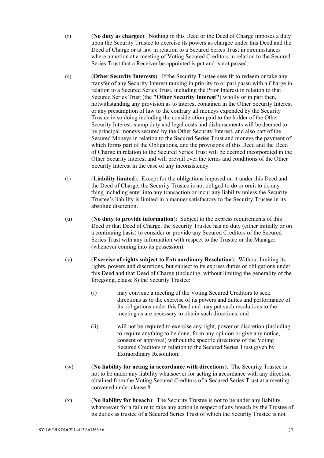- (r) (**No duty as chargee**): Nothing in this Deed or the Deed of Charge imposes a duty upon the Security Trustee to exercise its powers as chargee under this Deed and the Deed of Charge or at law in relation to a Secured Series Trust in circumstances where a motion at a meeting of Voting Secured Creditors in relation to the Secured Series Trust that a Receiver be appointed is put and is not passed.
- (s) (**Other Security Interests**): If the Security Trustee sees fit to redeem or take any transfer of any Security Interest ranking in priority to or pari passu with a Charge in relation to a Secured Series Trust, including the Prior Interest in relation to that Secured Series Trust (the **"Other Security Interest"**) wholly or in part then, notwithstanding any provision as to interest contained in the Other Security Interest or any presumption of law to the contrary all moneys expended by the Security Trustee in so doing including the consideration paid to the holder of the Other Security Interest, stamp duty and legal costs and disbursements will be deemed to be principal moneys secured by the Other Security Interest, and also part of the Secured Moneys in relation to the Secured Series Trust and moneys the payment of which forms part of the Obligations, and the provisions of this Deed and the Deed of Charge in relation to the Secured Series Trust will be deemed incorporated in the Other Security Interest and will prevail over the terms and conditions of the Other Security Interest in the case of any inconsistency.
- (t) (**Liability limited**): Except for the obligations imposed on it under this Deed and the Deed of Charge, the Security Trustee is not obliged to do or omit to do any thing including enter into any transaction or incur any liability unless the Security Trustee's liability is limited in a manner satisfactory to the Security Trustee in its absolute discretion.
- (u) (**No duty to provide information**): Subject to the express requirements of this Deed or that Deed of Charge, the Security Trustee has no duty (either initially or on a continuing basis) to consider or provide any Secured Creditors of the Secured Series Trust with any information with respect to the Trustee or the Manager (whenever coming into its possession).
- (v) (**Exercise of rights subject to Extraordinary Resolution**): Without limiting its rights, powers and discretions, but subject to its express duties or obligations under this Deed and that Deed of Charge (including, without limiting the generality of the foregoing, clause 8) the Security Trustee:
	- (i) may convene a meeting of the Voting Secured Creditors to seek directions as to the exercise of its powers and duties and performance of its obligations under this Deed and may put such resolutions to the meeting as are necessary to obtain such directions; and
	- (ii) will not be required to exercise any right, power or discretion (including to require anything to be done, form any opinion or give any notice, consent or approval) without the specific directions of the Voting Secured Creditors in relation to the Secured Series Trust given by Extraordinary Resolution.
- (w) (**No liability for acting in accordance with directions**): The Security Trustee is not to be under any liability whatsoever for acting in accordance with any direction obtained from the Voting Secured Creditors of a Secured Series Trust at a meeting convened under clause 8.
- (x) (**No liability for breach**): The Security Trustee is not to be under any liability whatsoever for a failure to take any action in respect of any breach by the Trustee of its duties as trustee of a Secured Series Trust of which the Security Trustee is not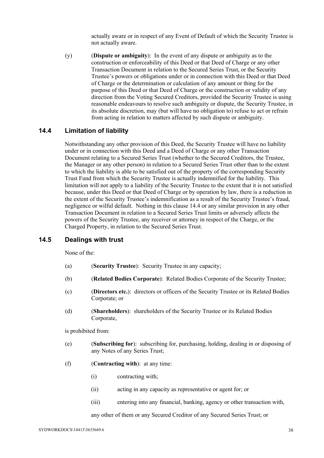actually aware or in respect of any Event of Default of which the Security Trustee is not actually aware.

(y) (**Dispute or ambiguity**): In the event of any dispute or ambiguity as to the construction or enforceability of this Deed or that Deed of Charge or any other Transaction Document in relation to the Secured Series Trust, or the Security Trustee's powers or obligations under or in connection with this Deed or that Deed of Charge or the determination or calculation of any amount or thing for the purpose of this Deed or that Deed of Charge or the construction or validity of any direction from the Voting Secured Creditors, provided the Security Trustee is using reasonable endeavours to resolve such ambiguity or dispute, the Security Trustee, in its absolute discretion, may (but will have no obligation to) refuse to act or refrain from acting in relation to matters affected by such dispute or ambiguity.

#### **14.4 Limitation of liability**

Notwithstanding any other provision of this Deed, the Security Trustee will have no liability under or in connection with this Deed and a Deed of Charge or any other Transaction Document relating to a Secured Series Trust (whether to the Secured Creditors, the Trustee, the Manager or any other person) in relation to a Secured Series Trust other than to the extent to which the liability is able to be satisfied out of the property of the corresponding Security Trust Fund from which the Security Trustee is actually indemnified for the liability. This limitation will not apply to a liability of the Security Trustee to the extent that it is not satisfied because, under this Deed or that Deed of Charge or by operation by law, there is a reduction in the extent of the Security Trustee's indemnification as a result of the Security Trustee's fraud, negligence or wilful default. Nothing in this clause 14.4 or any similar provision in any other Transaction Document in relation to a Secured Series Trust limits or adversely affects the powers of the Security Trustee, any receiver or attorney in respect of the Charge, or the Charged Property, in relation to the Secured Series Trust.

#### **14.5 Dealings with trust**

None of the:

- (a) (**Security Trustee**): Security Trustee in any capacity;
- (b) (**Related Bodies Corporate**): Related Bodies Corporate of the Security Trustee;
- (c) (**Directors etc.**): directors or officers of the Security Trustee or its Related Bodies Corporate; or
- (d) (**Shareholders**): shareholders of the Security Trustee or its Related Bodies Corporate,

is prohibited from:

- (e) (**Subscribing for**): subscribing for, purchasing, holding, dealing in or disposing of any Notes of any Series Trust;
- (f) (**Contracting with**): at any time:
	- (i) contracting with;
	- (ii) acting in any capacity as representative or agent for; or
	- (iii) entering into any financial, banking, agency or other transaction with,

any other of them or any Secured Creditor of any Secured Series Trust; or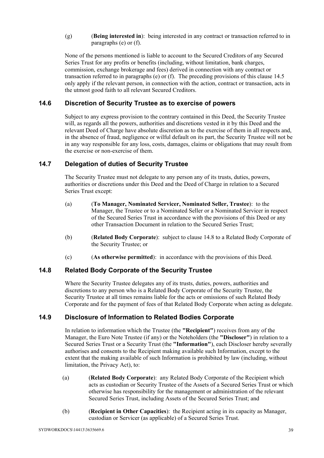(g) (**Being interested in**): being interested in any contract or transaction referred to in paragraphs (e) or (f).

None of the persons mentioned is liable to account to the Secured Creditors of any Secured Series Trust for any profits or benefits (including, without limitation, bank charges, commission, exchange brokerage and fees) derived in connection with any contract or transaction referred to in paragraphs (e) or (f). The preceding provisions of this clause 14.5 only apply if the relevant person, in connection with the action, contract or transaction, acts in the utmost good faith to all relevant Secured Creditors.

### **14.6 Discretion of Security Trustee as to exercise of powers**

Subject to any express provision to the contrary contained in this Deed, the Security Trustee will, as regards all the powers, authorities and discretions vested in it by this Deed and the relevant Deed of Charge have absolute discretion as to the exercise of them in all respects and, in the absence of fraud, negligence or wilful default on its part, the Security Trustee will not be in any way responsible for any loss, costs, damages, claims or obligations that may result from the exercise or non-exercise of them.

### **14.7 Delegation of duties of Security Trustee**

The Security Trustee must not delegate to any person any of its trusts, duties, powers, authorities or discretions under this Deed and the Deed of Charge in relation to a Secured Series Trust except:

- (a) (**To Manager, Nominated Servicer, Nominated Seller, Trustee**): to the Manager, the Trustee or to a Nominated Seller or a Nominated Servicer in respect of the Secured Series Trust in accordance with the provisions of this Deed or any other Transaction Document in relation to the Secured Series Trust;
- (b) (**Related Body Corporate**): subject to clause 14.8 to a Related Body Corporate of the Security Trustee; or
- (c) (**As otherwise permitted**): in accordance with the provisions of this Deed.

### **14.8 Related Body Corporate of the Security Trustee**

Where the Security Trustee delegates any of its trusts, duties, powers, authorities and discretions to any person who is a Related Body Corporate of the Security Trustee, the Security Trustee at all times remains liable for the acts or omissions of such Related Body Corporate and for the payment of fees of that Related Body Corporate when acting as delegate.

#### **14.9 Disclosure of Information to Related Bodies Corporate**

In relation to information which the Trustee (the **"Recipient"**) receives from any of the Manager, the Euro Note Trustee (if any) or the Noteholders (the **"Discloser"**) in relation to a Secured Series Trust or a Security Trust (the **"Information"**), each Discloser hereby severally authorises and consents to the Recipient making available such Information, except to the extent that the making available of such Information is prohibited by law (including, without limitation, the Privacy Act), to:

- (a) (**Related Body Corporate**): any Related Body Corporate of the Recipient which acts as custodian or Security Trustee of the Assets of a Secured Series Trust or which otherwise has responsibility for the management or administration of the relevant Secured Series Trust, including Assets of the Secured Series Trust; and
- (b) (**Recipient in Other Capacities**): the Recipient acting in its capacity as Manager, custodian or Servicer (as applicable) of a Secured Series Trust.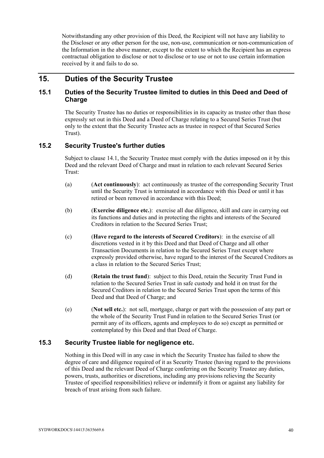Notwithstanding any other provision of this Deed, the Recipient will not have any liability to the Discloser or any other person for the use, non-use, communication or non-communication of the Information in the above manner, except to the extent to which the Recipient has an express contractual obligation to disclose or not to disclose or to use or not to use certain information received by it and fails to do so.

## **15. Duties of the Security Trustee**

### **15.1 Duties of the Security Trustee limited to duties in this Deed and Deed of Charge**

The Security Trustee has no duties or responsibilities in its capacity as trustee other than those expressly set out in this Deed and a Deed of Charge relating to a Secured Series Trust (but only to the extent that the Security Trustee acts as trustee in respect of that Secured Series Trust).

### **15.2 Security Trustee's further duties**

Subject to clause 14.1, the Security Trustee must comply with the duties imposed on it by this Deed and the relevant Deed of Charge and must in relation to each relevant Secured Series Trust:

- (a) (**Act continuously**): act continuously as trustee of the corresponding Security Trust until the Security Trust is terminated in accordance with this Deed or until it has retired or been removed in accordance with this Deed;
- (b) (**Exercise diligence etc.**): exercise all due diligence, skill and care in carrying out its functions and duties and in protecting the rights and interests of the Secured Creditors in relation to the Secured Series Trust;
- (c) (**Have regard to the interests of Secured Creditors**): in the exercise of all discretions vested in it by this Deed and that Deed of Charge and all other Transaction Documents in relation to the Secured Series Trust except where expressly provided otherwise, have regard to the interest of the Secured Creditors as a class in relation to the Secured Series Trust;
- (d) (**Retain the trust fund**): subject to this Deed, retain the Security Trust Fund in relation to the Secured Series Trust in safe custody and hold it on trust for the Secured Creditors in relation to the Secured Series Trust upon the terms of this Deed and that Deed of Charge; and
- (e) (**Not sell etc.**): not sell, mortgage, charge or part with the possession of any part or the whole of the Security Trust Fund in relation to the Secured Series Trust (or permit any of its officers, agents and employees to do so) except as permitted or contemplated by this Deed and that Deed of Charge.

#### **15.3 Security Trustee liable for negligence etc.**

Nothing in this Deed will in any case in which the Security Trustee has failed to show the degree of care and diligence required of it as Security Trustee (having regard to the provisions of this Deed and the relevant Deed of Charge conferring on the Security Trustee any duties, powers, trusts, authorities or discretions, including any provisions relieving the Security Trustee of specified responsibilities) relieve or indemnify it from or against any liability for breach of trust arising from such failure.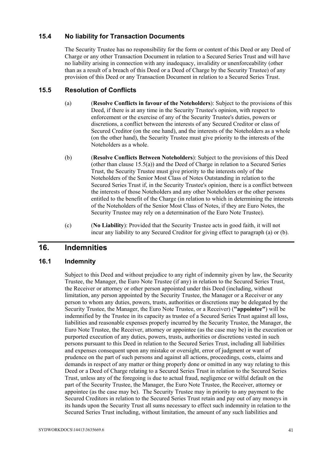### **15.4 No liability for Transaction Documents**

The Security Trustee has no responsibility for the form or content of this Deed or any Deed of Charge or any other Transaction Document in relation to a Secured Series Trust and will have no liability arising in connection with any inadequacy, invalidity or unenforceability (other than as a result of a breach of this Deed or a Deed of Charge by the Security Trustee) of any provision of this Deed or any Transaction Document in relation to a Secured Series Trust.

### **15.5 Resolution of Conflicts**

- (a) (**Resolve Conflicts in favour of the Noteholders**): Subject to the provisions of this Deed, if there is at any time in the Security Trustee's opinion, with respect to enforcement or the exercise of any of the Security Trustee's duties, powers or discretions, a conflict between the interests of any Secured Creditor or class of Secured Creditor (on the one hand), and the interests of the Noteholders as a whole (on the other hand), the Security Trustee must give priority to the interests of the Noteholders as a whole.
- (b) (**Resolve Conflicts Between Noteholders**): Subject to the provisions of this Deed (other than clause 15.5(a)) and the Deed of Charge in relation to a Secured Series Trust, the Security Trustee must give priority to the interests only of the Noteholders of the Senior Most Class of Notes Outstanding in relation to the Secured Series Trust if, in the Security Trustee's opinion, there is a conflict between the interests of those Noteholders and any other Noteholders or the other persons entitled to the benefit of the Charge (in relation to which in determining the interests of the Noteholders of the Senior Most Class of Notes, if they are Euro Notes, the Security Trustee may rely on a determination of the Euro Note Trustee).
- (c) (**No Liability**): Provided that the Security Trustee acts in good faith, it will not incur any liability to any Secured Creditor for giving effect to paragraph (a) or (b).

## **16. Indemnities**

#### **16.1 Indemnity**

Subject to this Deed and without prejudice to any right of indemnity given by law, the Security Trustee, the Manager, the Euro Note Trustee (if any) in relation to the Secured Series Trust, the Receiver or attorney or other person appointed under this Deed (including, without limitation, any person appointed by the Security Trustee, the Manager or a Receiver or any person to whom any duties, powers, trusts, authorities or discretions may be delegated by the Security Trustee, the Manager, the Euro Note Trustee, or a Receiver) (**"appointee"**) will be indemnified by the Trustee in its capacity as trustee of a Secured Series Trust against all loss, liabilities and reasonable expenses properly incurred by the Security Trustee, the Manager, the Euro Note Trustee, the Receiver, attorney or appointee (as the case may be) in the execution or purported execution of any duties, powers, trusts, authorities or discretions vested in such persons pursuant to this Deed in relation to the Secured Series Trust, including all liabilities and expenses consequent upon any mistake or oversight, error of judgment or want of prudence on the part of such persons and against all actions, proceedings, costs, claims and demands in respect of any matter or thing properly done or omitted in any way relating to this Deed or a Deed of Charge relating to a Secured Series Trust in relation to the Secured Series Trust, unless any of the foregoing is due to actual fraud, negligence or wilful default on the part of the Security Trustee, the Manager, the Euro Note Trustee, the Receiver, attorney or appointee (as the case may be). The Security Trustee may in priority to any payment to the Secured Creditors in relation to the Secured Series Trust retain and pay out of any moneys in its hands upon the Security Trust all sums necessary to effect such indemnity in relation to the Secured Series Trust including, without limitation, the amount of any such liabilities and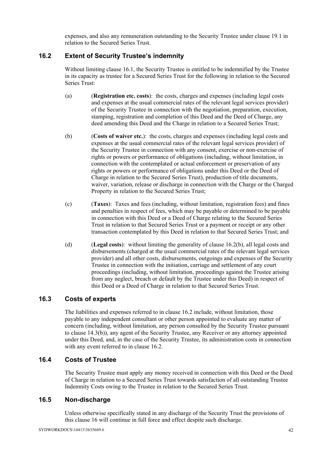expenses, and also any remuneration outstanding to the Security Trustee under clause 19.1 in relation to the Secured Series Trust.

### **16.2 Extent of Security Trustee's indemnity**

Without limiting clause 16.1, the Security Trustee is entitled to be indemnified by the Trustee in its capacity as trustee for a Secured Series Trust for the following in relation to the Secured Series Trust:

- (a) (**Registration etc. costs**): the costs, charges and expenses (including legal costs and expenses at the usual commercial rates of the relevant legal services provider) of the Security Trustee in connection with the negotiation, preparation, execution, stamping, registration and completion of this Deed and the Deed of Charge, any deed amending this Deed and the Charge in relation to a Secured Series Trust;
- (b) (**Costs of waiver etc.**): the costs, charges and expenses (including legal costs and expenses at the usual commercial rates of the relevant legal services provider) of the Security Trustee in connection with any consent, exercise or non-exercise of rights or powers or performance of obligations (including, without limitation, in connection with the contemplated or actual enforcement or preservation of any rights or powers or performance of obligations under this Deed or the Deed of Charge in relation to the Secured Series Trust), production of title documents, waiver, variation, release or discharge in connection with the Charge or the Charged Property in relation to the Secured Series Trust;
- (c) (**Taxes**): Taxes and fees (including, without limitation, registration fees) and fines and penalties in respect of fees, which may be payable or determined to be payable in connection with this Deed or a Deed of Charge relating to the Secured Series Trust in relation to that Secured Series Trust or a payment or receipt or any other transaction contemplated by this Deed in relation to that Secured Series Trust; and
- (d) (**Legal costs**): without limiting the generality of clause 16.2(b), all legal costs and disbursements (charged at the usual commercial rates of the relevant legal services provider) and all other costs, disbursements, outgoings and expenses of the Security Trustee in connection with the initiation, carriage and settlement of any court proceedings (including, without limitation, proceedings against the Trustee arising from any neglect, breach or default by the Trustee under this Deed) in respect of this Deed or a Deed of Charge in relation to that Secured Series Trust.

### **16.3 Costs of experts**

The liabilities and expenses referred to in clause 16.2 include, without limitation, those payable to any independent consultant or other person appointed to evaluate any matter of concern (including, without limitation, any person consulted by the Security Trustee pursuant to clause 14.3(b)), any agent of the Security Trustee, any Receiver or any attorney appointed under this Deed, and, in the case of the Security Trustee, its administration costs in connection with any event referred to in clause 16.2.

### **16.4 Costs of Trustee**

The Security Trustee must apply any money received in connection with this Deed or the Deed of Charge in relation to a Secured Series Trust towards satisfaction of all outstanding Trustee Indemnity Costs owing to the Trustee in relation to the Secured Series Trust.

### **16.5 Non-discharge**

Unless otherwise specifically stated in any discharge of the Security Trust the provisions of this clause 16 will continue in full force and effect despite such discharge.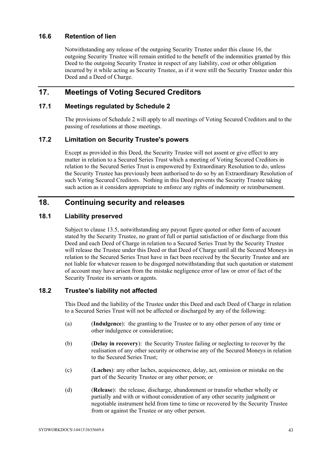### **16.6 Retention of lien**

Notwithstanding any release of the outgoing Security Trustee under this clause 16, the outgoing Security Trustee will remain entitled to the benefit of the indemnities granted by this Deed to the outgoing Security Trustee in respect of any liability, cost or other obligation incurred by it while acting as Security Trustee, as if it were still the Security Trustee under this Deed and a Deed of Charge.

## **17. Meetings of Voting Secured Creditors**

### **17.1 Meetings regulated by Schedule 2**

The provisions of Schedule 2 will apply to all meetings of Voting Secured Creditors and to the passing of resolutions at those meetings.

#### **17.2 Limitation on Security Trustee's powers**

Except as provided in this Deed, the Security Trustee will not assent or give effect to any matter in relation to a Secured Series Trust which a meeting of Voting Secured Creditors in relation to the Secured Series Trust is empowered by Extraordinary Resolution to do, unless the Security Trustee has previously been authorised to do so by an Extraordinary Resolution of such Voting Secured Creditors. Nothing in this Deed prevents the Security Trustee taking such action as it considers appropriate to enforce any rights of indemnity or reimbursement.

## **18. Continuing security and releases**

#### **18.1 Liability preserved**

Subject to clause 13.5, notwithstanding any payout figure quoted or other form of account stated by the Security Trustee, no grant of full or partial satisfaction of or discharge from this Deed and each Deed of Charge in relation to a Secured Series Trust by the Security Trustee will release the Trustee under this Deed or that Deed of Charge until all the Secured Moneys in relation to the Secured Series Trust have in fact been received by the Security Trustee and are not liable for whatever reason to be disgorged notwithstanding that such quotation or statement of account may have arisen from the mistake negligence error of law or error of fact of the Security Trustee its servants or agents.

### **18.2 Trustee's liability not affected**

This Deed and the liability of the Trustee under this Deed and each Deed of Charge in relation to a Secured Series Trust will not be affected or discharged by any of the following:

- (a) (**Indulgence**): the granting to the Trustee or to any other person of any time or other indulgence or consideration;
- (b) (**Delay in recovery**): the Security Trustee failing or neglecting to recover by the realisation of any other security or otherwise any of the Secured Moneys in relation to the Secured Series Trust;
- (c) (**Laches**): any other laches, acquiescence, delay, act, omission or mistake on the part of the Security Trustee or any other person; or
- (d) (**Release**): the release, discharge, abandonment or transfer whether wholly or partially and with or without consideration of any other security judgment or negotiable instrument held from time to time or recovered by the Security Trustee from or against the Trustee or any other person.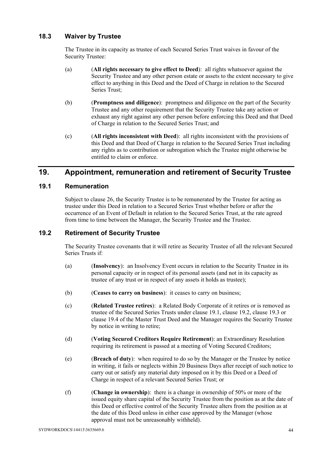### **18.3 Waiver by Trustee**

The Trustee in its capacity as trustee of each Secured Series Trust waives in favour of the Security Trustee:

- (a) (**All rights necessary to give effect to Deed**): all rights whatsoever against the Security Trustee and any other person estate or assets to the extent necessary to give effect to anything in this Deed and the Deed of Charge in relation to the Secured Series Trust;
- (b) (**Promptness and diligence**): promptness and diligence on the part of the Security Trustee and any other requirement that the Security Trustee take any action or exhaust any right against any other person before enforcing this Deed and that Deed of Charge in relation to the Secured Series Trust; and
- (c) (**All rights inconsistent with Deed**): all rights inconsistent with the provisions of this Deed and that Deed of Charge in relation to the Secured Series Trust including any rights as to contribution or subrogation which the Trustee might otherwise be entitled to claim or enforce.

## **19. Appointment, remuneration and retirement of Security Trustee**

#### **19.1 Remuneration**

Subject to clause 26, the Security Trustee is to be remunerated by the Trustee for acting as trustee under this Deed in relation to a Secured Series Trust whether before or after the occurrence of an Event of Default in relation to the Secured Series Trust, at the rate agreed from time to time between the Manager, the Security Trustee and the Trustee.

### **19.2 Retirement of Security Trustee**

The Security Trustee covenants that it will retire as Security Trustee of all the relevant Secured Series Trusts if:

- (a) (**Insolvency**): an Insolvency Event occurs in relation to the Security Trustee in its personal capacity or in respect of its personal assets (and not in its capacity as trustee of any trust or in respect of any assets it holds as trustee);
- (b) (**Ceases to carry on business**): it ceases to carry on business;
- (c) (**Related Trustee retires**): a Related Body Corporate of it retires or is removed as trustee of the Secured Series Trusts under clause 19.1, clause 19.2, clause 19.3 or clause 19.4 of the Master Trust Deed and the Manager requires the Security Trustee by notice in writing to retire;
- (d) (**Voting Secured Creditors Require Retirement**): an Extraordinary Resolution requiring its retirement is passed at a meeting of Voting Secured Creditors;
- (e) (**Breach of duty**): when required to do so by the Manager or the Trustee by notice in writing, it fails or neglects within 20 Business Days after receipt of such notice to carry out or satisfy any material duty imposed on it by this Deed or a Deed of Charge in respect of a relevant Secured Series Trust; or
- (f) (**Change in ownership**): there is a change in ownership of 50% or more of the issued equity share capital of the Security Trustee from the position as at the date of this Deed or effective control of the Security Trustee alters from the position as at the date of this Deed unless in either case approved by the Manager (whose approval must not be unreasonably withheld).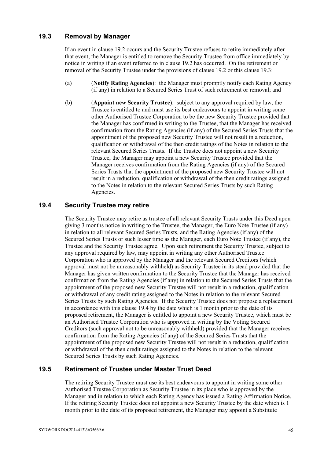#### **19.3 Removal by Manager**

If an event in clause 19.2 occurs and the Security Trustee refuses to retire immediately after that event, the Manager is entitled to remove the Security Trustee from office immediately by notice in writing if an event referred to in clause 19.2 has occurred. On the retirement or removal of the Security Trustee under the provisions of clause 19.2 or this clause 19.3:

- (a) (**Notify Rating Agencies**): the Manager must promptly notify each Rating Agency (if any) in relation to a Secured Series Trust of such retirement or removal; and
- (b) (**Appoint new Security Trustee**): subject to any approval required by law, the Trustee is entitled to and must use its best endeavours to appoint in writing some other Authorised Trustee Corporation to be the new Security Trustee provided that the Manager has confirmed in writing to the Trustee, that the Manager has received confirmation from the Rating Agencies (if any) of the Secured Series Trusts that the appointment of the proposed new Security Trustee will not result in a reduction, qualification or withdrawal of the then credit ratings of the Notes in relation to the relevant Secured Series Trusts. If the Trustee does not appoint a new Security Trustee, the Manager may appoint a new Security Trustee provided that the Manager receives confirmation from the Rating Agencies (if any) of the Secured Series Trusts that the appointment of the proposed new Security Trustee will not result in a reduction, qualification or withdrawal of the then credit ratings assigned to the Notes in relation to the relevant Secured Series Trusts by such Rating Agencies.

#### **19.4 Security Trustee may retire**

The Security Trustee may retire as trustee of all relevant Security Trusts under this Deed upon giving 3 months notice in writing to the Trustee, the Manager, the Euro Note Trustee (if any) in relation to all relevant Secured Series Trusts, and the Rating Agencies (if any) of the Secured Series Trusts or such lesser time as the Manager, each Euro Note Trustee (if any), the Trustee and the Security Trustee agree. Upon such retirement the Security Trustee, subject to any approval required by law, may appoint in writing any other Authorised Trustee Corporation who is approved by the Manager and the relevant Secured Creditors (which approval must not be unreasonably withheld) as Security Trustee in its stead provided that the Manager has given written confirmation to the Security Trustee that the Manager has received confirmation from the Rating Agencies (if any) in relation to the Secured Series Trusts that the appointment of the proposed new Security Trustee will not result in a reduction, qualification or withdrawal of any credit rating assigned to the Notes in relation to the relevant Secured Series Trusts by such Rating Agencies. If the Security Trustee does not propose a replacement in accordance with this clause 19.4 by the date which is 1 month prior to the date of its proposed retirement, the Manager is entitled to appoint a new Security Trustee, which must be an Authorised Trustee Corporation who is approved in writing by the Voting Secured Creditors (such approval not to be unreasonably withheld) provided that the Manager receives confirmation from the Rating Agencies (if any) of the Secured Series Trusts that the appointment of the proposed new Security Trustee will not result in a reduction, qualification or withdrawal of the then credit ratings assigned to the Notes in relation to the relevant Secured Series Trusts by such Rating Agencies.

#### **19.5 Retirement of Trustee under Master Trust Deed**

The retiring Security Trustee must use its best endeavours to appoint in writing some other Authorised Trustee Corporation as Security Trustee in its place who is approved by the Manager and in relation to which each Rating Agency has issued a Rating Affirmation Notice. If the retiring Security Trustee does not appoint a new Security Trustee by the date which is 1 month prior to the date of its proposed retirement, the Manager may appoint a Substitute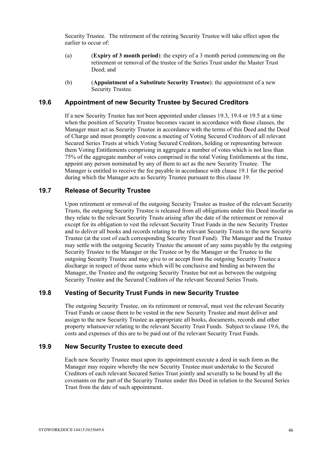Security Trustee. The retirement of the retiring Security Trustee will take effect upon the earlier to occur of:

- (a) (**Expiry of 3 month period**): the expiry of a 3 month period commencing on the retirement or removal of the trustee of the Series Trust under the Master Trust Deed<sup>-</sup> and
- (b) (**Appointment of a Substitute Security Trustee**): the appointment of a new Security Trustee.

#### **19.6 Appointment of new Security Trustee by Secured Creditors**

If a new Security Trustee has not been appointed under clauses 19.3, 19.4 or 19.5 at a time when the position of Security Trustee becomes vacant in accordance with those clauses, the Manager must act as Security Trustee in accordance with the terms of this Deed and the Deed of Charge and must promptly convene a meeting of Voting Secured Creditors of all relevant Secured Series Trusts at which Voting Secured Creditors, holding or representing between them Voting Entitlements comprising in aggregate a number of votes which is not less than 75% of the aggregate number of votes comprised in the total Voting Entitlements at the time, appoint any person nominated by any of them to act as the new Security Trustee. The Manager is entitled to receive the fee payable in accordance with clause 19.1 for the period during which the Manager acts as Security Trustee pursuant to this clause 19.

#### **19.7 Release of Security Trustee**

Upon retirement or removal of the outgoing Security Trustee as trustee of the relevant Security Trusts, the outgoing Security Trustee is released from all obligations under this Deed insofar as they relate to the relevant Security Trusts arising after the date of the retirement or removal except for its obligation to vest the relevant Security Trust Funds in the new Security Trustee and to deliver all books and records relating to the relevant Security Trusts to the new Security Trustee (at the cost of each corresponding Security Trust Fund). The Manager and the Trustee may settle with the outgoing Security Trustee the amount of any sums payable by the outgoing Security Trustee to the Manager or the Trustee or by the Manager or the Trustee to the outgoing Security Trustee and may give to or accept from the outgoing Security Trustee a discharge in respect of those sums which will be conclusive and binding as between the Manager, the Trustee and the outgoing Security Trustee but not as between the outgoing Security Trustee and the Secured Creditors of the relevant Secured Series Trusts.

### **19.8 Vesting of Security Trust Funds in new Security Trustee**

The outgoing Security Trustee, on its retirement or removal, must vest the relevant Security Trust Funds or cause them to be vested in the new Security Trustee and must deliver and assign to the new Security Trustee as appropriate all books, documents, records and other property whatsoever relating to the relevant Security Trust Funds. Subject to clause 19.6, the costs and expenses of this are to be paid out of the relevant Security Trust Funds.

#### **19.9 New Security Trustee to execute deed**

Each new Security Trustee must upon its appointment execute a deed in such form as the Manager may require whereby the new Security Trustee must undertake to the Secured Creditors of each relevant Secured Series Trust jointly and severally to be bound by all the covenants on the part of the Security Trustee under this Deed in relation to the Secured Series Trust from the date of such appointment.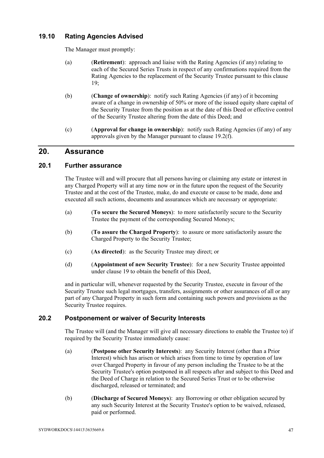### **19.10 Rating Agencies Advised**

The Manager must promptly:

- (a) (**Retirement**): approach and liaise with the Rating Agencies (if any) relating to each of the Secured Series Trusts in respect of any confirmations required from the Rating Agencies to the replacement of the Security Trustee pursuant to this clause  $19<sup>°</sup>$
- (b) (**Change of ownership**): notify such Rating Agencies (if any) of it becoming aware of a change in ownership of 50% or more of the issued equity share capital of the Security Trustee from the position as at the date of this Deed or effective control of the Security Trustee altering from the date of this Deed; and
- (c) (**Approval for change in ownership**): notify such Rating Agencies (if any) of any approvals given by the Manager pursuant to clause 19.2(f).

## **20. Assurance**

#### **20.1 Further assurance**

The Trustee will and will procure that all persons having or claiming any estate or interest in any Charged Property will at any time now or in the future upon the request of the Security Trustee and at the cost of the Trustee, make, do and execute or cause to be made, done and executed all such actions, documents and assurances which are necessary or appropriate:

- (a) (**To secure the Secured Moneys**): to more satisfactorily secure to the Security Trustee the payment of the corresponding Secured Moneys;
- (b) (**To assure the Charged Property**): to assure or more satisfactorily assure the Charged Property to the Security Trustee;
- (c) (**As directed**): as the Security Trustee may direct; or
- (d) (**Appointment of new Security Trustee**): for a new Security Trustee appointed under clause 19 to obtain the benefit of this Deed,

and in particular will, whenever requested by the Security Trustee, execute in favour of the Security Trustee such legal mortgages, transfers, assignments or other assurances of all or any part of any Charged Property in such form and containing such powers and provisions as the Security Trustee requires.

### **20.2 Postponement or waiver of Security Interests**

The Trustee will (and the Manager will give all necessary directions to enable the Trustee to) if required by the Security Trustee immediately cause:

- (a) (**Postpone other Security Interests**): any Security Interest (other than a Prior Interest) which has arisen or which arises from time to time by operation of law over Charged Property in favour of any person including the Trustee to be at the Security Trustee's option postponed in all respects after and subject to this Deed and the Deed of Charge in relation to the Secured Series Trust or to be otherwise discharged, released or terminated; and
- (b) (**Discharge of Secured Moneys**): any Borrowing or other obligation secured by any such Security Interest at the Security Trustee's option to be waived, released, paid or performed.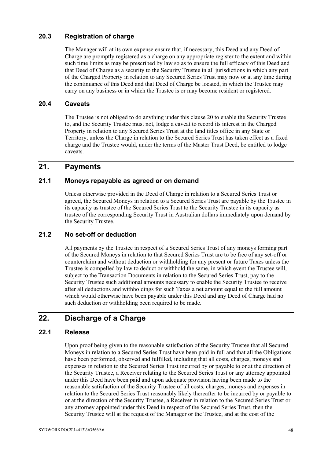### **20.3 Registration of charge**

The Manager will at its own expense ensure that, if necessary, this Deed and any Deed of Charge are promptly registered as a charge on any appropriate register to the extent and within such time limits as may be prescribed by law so as to ensure the full efficacy of this Deed and that Deed of Charge as a security to the Security Trustee in all jurisdictions in which any part of the Charged Property in relation to any Secured Series Trust may now or at any time during the continuance of this Deed and that Deed of Charge be located, in which the Trustee may carry on any business or in which the Trustee is or may become resident or registered.

#### **20.4 Caveats**

The Trustee is not obliged to do anything under this clause 20 to enable the Security Trustee to, and the Security Trustee must not, lodge a caveat to record its interest in the Charged Property in relation to any Secured Series Trust at the land titles office in any State or Territory, unless the Charge in relation to the Secured Series Trust has taken effect as a fixed charge and the Trustee would, under the terms of the Master Trust Deed, be entitled to lodge caveats.

## **21. Payments**

#### **21.1 Moneys repayable as agreed or on demand**

Unless otherwise provided in the Deed of Charge in relation to a Secured Series Trust or agreed, the Secured Moneys in relation to a Secured Series Trust are payable by the Trustee in its capacity as trustee of the Secured Series Trust to the Security Trustee in its capacity as trustee of the corresponding Security Trust in Australian dollars immediately upon demand by the Security Trustee.

### **21.2 No set-off or deduction**

All payments by the Trustee in respect of a Secured Series Trust of any moneys forming part of the Secured Moneys in relation to that Secured Series Trust are to be free of any set-off or counterclaim and without deduction or withholding for any present or future Taxes unless the Trustee is compelled by law to deduct or withhold the same, in which event the Trustee will, subject to the Transaction Documents in relation to the Secured Series Trust, pay to the Security Trustee such additional amounts necessary to enable the Security Trustee to receive after all deductions and withholdings for such Taxes a net amount equal to the full amount which would otherwise have been payable under this Deed and any Deed of Charge had no such deduction or withholding been required to be made.

# **22. Discharge of a Charge**

### **22.1 Release**

Upon proof being given to the reasonable satisfaction of the Security Trustee that all Secured Moneys in relation to a Secured Series Trust have been paid in full and that all the Obligations have been performed, observed and fulfilled, including that all costs, charges, moneys and expenses in relation to the Secured Series Trust incurred by or payable to or at the direction of the Security Trustee, a Receiver relating to the Secured Series Trust or any attorney appointed under this Deed have been paid and upon adequate provision having been made to the reasonable satisfaction of the Security Trustee of all costs, charges, moneys and expenses in relation to the Secured Series Trust reasonably likely thereafter to be incurred by or payable to or at the direction of the Security Trustee, a Receiver in relation to the Secured Series Trust or any attorney appointed under this Deed in respect of the Secured Series Trust, then the Security Trustee will at the request of the Manager or the Trustee, and at the cost of the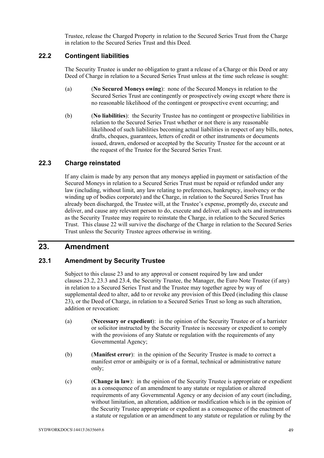Trustee, release the Charged Property in relation to the Secured Series Trust from the Charge in relation to the Secured Series Trust and this Deed.

### **22.2 Contingent liabilities**

The Security Trustee is under no obligation to grant a release of a Charge or this Deed or any Deed of Charge in relation to a Secured Series Trust unless at the time such release is sought:

- (a) (**No Secured Moneys owing**): none of the Secured Moneys in relation to the Secured Series Trust are contingently or prospectively owing except where there is no reasonable likelihood of the contingent or prospective event occurring; and
- (b) (**No liabilities**): the Security Trustee has no contingent or prospective liabilities in relation to the Secured Series Trust whether or not there is any reasonable likelihood of such liabilities becoming actual liabilities in respect of any bills, notes, drafts, cheques, guarantees, letters of credit or other instruments or documents issued, drawn, endorsed or accepted by the Security Trustee for the account or at the request of the Trustee for the Secured Series Trust.

### **22.3 Charge reinstated**

If any claim is made by any person that any moneys applied in payment or satisfaction of the Secured Moneys in relation to a Secured Series Trust must be repaid or refunded under any law (including, without limit, any law relating to preferences, bankruptcy, insolvency or the winding up of bodies corporate) and the Charge, in relation to the Secured Series Trust has already been discharged, the Trustee will, at the Trustee's expense, promptly do, execute and deliver, and cause any relevant person to do, execute and deliver, all such acts and instruments as the Security Trustee may require to reinstate the Charge, in relation to the Secured Series Trust. This clause 22 will survive the discharge of the Charge in relation to the Secured Series Trust unless the Security Trustee agrees otherwise in writing.

## **23. Amendment**

### **23.1 Amendment by Security Trustee**

Subject to this clause 23 and to any approval or consent required by law and under clauses 23.2, 23.3 and 23.4, the Security Trustee, the Manager, the Euro Note Trustee (if any) in relation to a Secured Series Trust and the Trustee may together agree by way of supplemental deed to alter, add to or revoke any provision of this Deed (including this clause 23), or the Deed of Charge, in relation to a Secured Series Trust so long as such alteration, addition or revocation:

- (a) (**Necessary or expedient**): in the opinion of the Security Trustee or of a barrister or solicitor instructed by the Security Trustee is necessary or expedient to comply with the provisions of any Statute or regulation with the requirements of any Governmental Agency;
- (b) (**Manifest error**): in the opinion of the Security Trustee is made to correct a manifest error or ambiguity or is of a formal, technical or administrative nature only;
- (c) (**Change in law**): in the opinion of the Security Trustee is appropriate or expedient as a consequence of an amendment to any statute or regulation or altered requirements of any Governmental Agency or any decision of any court (including, without limitation, an alteration, addition or modification which is in the opinion of the Security Trustee appropriate or expedient as a consequence of the enactment of a statute or regulation or an amendment to any statute or regulation or ruling by the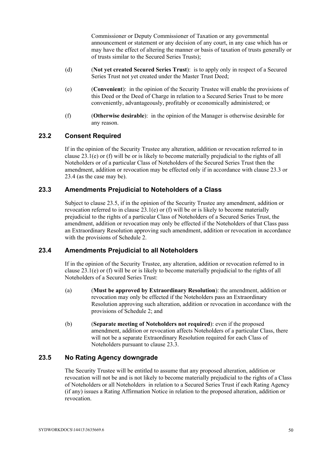Commissioner or Deputy Commissioner of Taxation or any governmental announcement or statement or any decision of any court, in any case which has or may have the effect of altering the manner or basis of taxation of trusts generally or of trusts similar to the Secured Series Trusts);

- (d) (**Not yet created Secured Series Trust**): is to apply only in respect of a Secured Series Trust not yet created under the Master Trust Deed;
- (e) (**Convenient**): in the opinion of the Security Trustee will enable the provisions of this Deed or the Deed of Charge in relation to a Secured Series Trust to be more conveniently, advantageously, profitably or economically administered; or
- (f) (**Otherwise desirable**): in the opinion of the Manager is otherwise desirable for any reason.

#### **23.2 Consent Required**

If in the opinion of the Security Trustee any alteration, addition or revocation referred to in clause 23.1(e) or (f) will be or is likely to become materially prejudicial to the rights of all Noteholders or of a particular Class of Noteholders of the Secured Series Trust then the amendment, addition or revocation may be effected only if in accordance with clause 23.3 or 23.4 (as the case may be).

#### **23.3 Amendments Prejudicial to Noteholders of a Class**

Subject to clause 23.5, if in the opinion of the Security Trustee any amendment, addition or revocation referred to in clause 23.1(e) or (f) will be or is likely to become materially prejudicial to the rights of a particular Class of Noteholders of a Secured Series Trust, the amendment, addition or revocation may only be effected if the Noteholders of that Class pass an Extraordinary Resolution approving such amendment, addition or revocation in accordance with the provisions of Schedule 2.

#### **23.4 Amendments Prejudicial to all Noteholders**

If in the opinion of the Security Trustee, any alteration, addition or revocation referred to in clause 23.1(e) or (f) will be or is likely to become materially prejudicial to the rights of all Noteholders of a Secured Series Trust:

- (a) (**Must be approved by Extraordinary Resolution**): the amendment, addition or revocation may only be effected if the Noteholders pass an Extraordinary Resolution approving such alteration, addition or revocation in accordance with the provisions of Schedule 2; and
- (b) (**Separate meeting of Noteholders not required**): even if the proposed amendment, addition or revocation affects Noteholders of a particular Class, there will not be a separate Extraordinary Resolution required for each Class of Noteholders pursuant to clause 23.3.

### **23.5 No Rating Agency downgrade**

The Security Trustee will be entitled to assume that any proposed alteration, addition or revocation will not be and is not likely to become materially prejudicial to the rights of a Class of Noteholders or all Noteholders in relation to a Secured Series Trust if each Rating Agency (if any) issues a Rating Affirmation Notice in relation to the proposed alteration, addition or revocation.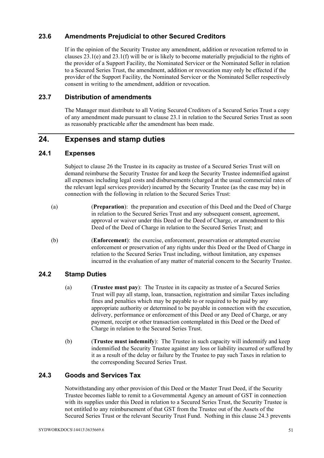### **23.6 Amendments Prejudicial to other Secured Creditors**

If in the opinion of the Security Trustee any amendment, addition or revocation referred to in clauses  $23.1(e)$  and  $23.1(f)$  will be or is likely to become materially prejudicial to the rights of the provider of a Support Facility, the Nominated Servicer or the Nominated Seller in relation to a Secured Series Trust, the amendment, addition or revocation may only be effected if the provider of the Support Facility, the Nominated Servicer or the Nominated Seller respectively consent in writing to the amendment, addition or revocation.

#### **23.7 Distribution of amendments**

The Manager must distribute to all Voting Secured Creditors of a Secured Series Trust a copy of any amendment made pursuant to clause 23.1 in relation to the Secured Series Trust as soon as reasonably practicable after the amendment has been made.

## **24. Expenses and stamp duties**

#### **24.1 Expenses**

Subject to clause 26 the Trustee in its capacity as trustee of a Secured Series Trust will on demand reimburse the Security Trustee for and keep the Security Trustee indemnified against all expenses including legal costs and disbursements (charged at the usual commercial rates of the relevant legal services provider) incurred by the Security Trustee (as the case may be) in connection with the following in relation to the Secured Series Trust:

- (a) (**Preparation**): the preparation and execution of this Deed and the Deed of Charge in relation to the Secured Series Trust and any subsequent consent, agreement, approval or waiver under this Deed or the Deed of Charge, or amendment to this Deed of the Deed of Charge in relation to the Secured Series Trust; and
- (b) (**Enforcement**): the exercise, enforcement, preservation or attempted exercise enforcement or preservation of any rights under this Deed or the Deed of Charge in relation to the Secured Series Trust including, without limitation, any expenses incurred in the evaluation of any matter of material concern to the Security Trustee.

### **24.2 Stamp Duties**

- (a) (**Trustee must pay**): The Trustee in its capacity as trustee of a Secured Series Trust will pay all stamp, loan, transaction, registration and similar Taxes including fines and penalties which may be payable to or required to be paid by any appropriate authority or determined to be payable in connection with the execution, delivery, performance or enforcement of this Deed or any Deed of Charge, or any payment, receipt or other transaction contemplated in this Deed or the Deed of Charge in relation to the Secured Series Trust.
- (b) (**Trustee must indemnify**): The Trustee in such capacity will indemnify and keep indemnified the Security Trustee against any loss or liability incurred or suffered by it as a result of the delay or failure by the Trustee to pay such Taxes in relation to the corresponding Secured Series Trust.

### **24.3 Goods and Services Tax**

Notwithstanding any other provision of this Deed or the Master Trust Deed, if the Security Trustee becomes liable to remit to a Governmental Agency an amount of GST in connection with its supplies under this Deed in relation to a Secured Series Trust, the Security Trustee is not entitled to any reimbursement of that GST from the Trustee out of the Assets of the Secured Series Trust or the relevant Security Trust Fund. Nothing in this clause 24.3 prevents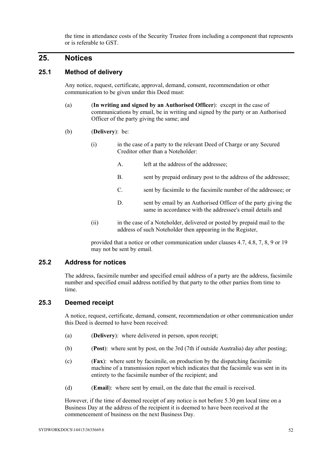the time in attendance costs of the Security Trustee from including a component that represents or is referable to GST.

## **25. Notices**

#### **25.1 Method of delivery**

Any notice, request, certificate, approval, demand, consent, recommendation or other communication to be given under this Deed must:

- (a) (**In writing and signed by an Authorised Officer**): except in the case of communications by email, be in writing and signed by the party or an Authorised Officer of the party giving the same; and
- (b) (**Delivery**): be:
	- (i) in the case of a party to the relevant Deed of Charge or any Secured Creditor other than a Noteholder:
		- A. left at the address of the addressee;
		- B. sent by prepaid ordinary post to the address of the addressee;
		- C. sent by facsimile to the facsimile number of the addressee; or
		- D. sent by email by an Authorised Officer of the party giving the same in accordance with the addressee's email details and
	- (ii) in the case of a Noteholder, delivered or posted by prepaid mail to the address of such Noteholder then appearing in the Register,

provided that a notice or other communication under clauses 4.7, 4.8, 7, 8, 9 or 19 may not be sent by email.

#### **25.2 Address for notices**

The address, facsimile number and specified email address of a party are the address, facsimile number and specified email address notified by that party to the other parties from time to time.

#### **25.3 Deemed receipt**

A notice, request, certificate, demand, consent, recommendation or other communication under this Deed is deemed to have been received:

- (a) (**Delivery**): where delivered in person, upon receipt;
- (b) (**Post**): where sent by post, on the 3rd (7th if outside Australia) day after posting;
- (c) (**Fax**): where sent by facsimile, on production by the dispatching facsimile machine of a transmission report which indicates that the facsimile was sent in its entirety to the facsimile number of the recipient; and
- (d) (**Email**): where sent by email, on the date that the email is received.

However, if the time of deemed receipt of any notice is not before 5.30 pm local time on a Business Day at the address of the recipient it is deemed to have been received at the commencement of business on the next Business Day.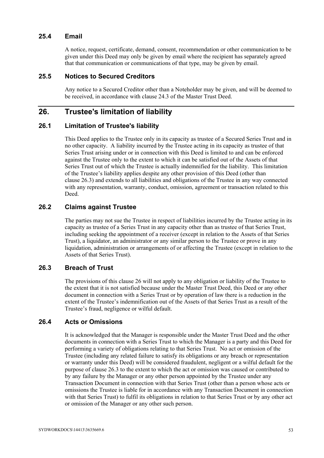#### **25.4 Email**

A notice, request, certificate, demand, consent, recommendation or other communication to be given under this Deed may only be given by email where the recipient has separately agreed that that communication or communications of that type, may be given by email.

#### **25.5 Notices to Secured Creditors**

Any notice to a Secured Creditor other than a Noteholder may be given, and will be deemed to be received, in accordance with clause 24.3 of the Master Trust Deed.

### **26. Trustee's limitation of liability**

#### **26.1 Limitation of Trustee's liability**

This Deed applies to the Trustee only in its capacity as trustee of a Secured Series Trust and in no other capacity. A liability incurred by the Trustee acting in its capacity as trustee of that Series Trust arising under or in connection with this Deed is limited to and can be enforced against the Trustee only to the extent to which it can be satisfied out of the Assets of that Series Trust out of which the Trustee is actually indemnified for the liability. This limitation of the Trustee's liability applies despite any other provision of this Deed (other than clause 26.3) and extends to all liabilities and obligations of the Trustee in any way connected with any representation, warranty, conduct, omission, agreement or transaction related to this Deed.

#### **26.2 Claims against Trustee**

The parties may not sue the Trustee in respect of liabilities incurred by the Trustee acting in its capacity as trustee of a Series Trust in any capacity other than as trustee of that Series Trust, including seeking the appointment of a receiver (except in relation to the Assets of that Series Trust), a liquidator, an administrator or any similar person to the Trustee or prove in any liquidation, administration or arrangements of or affecting the Trustee (except in relation to the Assets of that Series Trust).

#### **26.3 Breach of Trust**

The provisions of this clause 26 will not apply to any obligation or liability of the Trustee to the extent that it is not satisfied because under the Master Trust Deed, this Deed or any other document in connection with a Series Trust or by operation of law there is a reduction in the extent of the Trustee's indemnification out of the Assets of that Series Trust as a result of the Trustee's fraud, negligence or wilful default.

#### **26.4 Acts or Omissions**

It is acknowledged that the Manager is responsible under the Master Trust Deed and the other documents in connection with a Series Trust to which the Manager is a party and this Deed for performing a variety of obligations relating to that Series Trust. No act or omission of the Trustee (including any related failure to satisfy its obligations or any breach or representation or warranty under this Deed) will be considered fraudulent, negligent or a wilful default for the purpose of clause 26.3 to the extent to which the act or omission was caused or contributed to by any failure by the Manager or any other person appointed by the Trustee under any Transaction Document in connection with that Series Trust (other than a person whose acts or omissions the Trustee is liable for in accordance with any Transaction Document in connection with that Series Trust) to fulfil its obligations in relation to that Series Trust or by any other act or omission of the Manager or any other such person.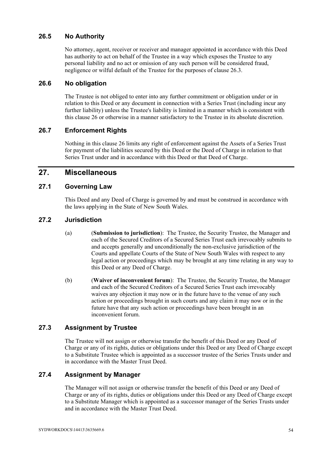#### **26.5 No Authority**

No attorney, agent, receiver or receiver and manager appointed in accordance with this Deed has authority to act on behalf of the Trustee in a way which exposes the Trustee to any personal liability and no act or omission of any such person will be considered fraud, negligence or wilful default of the Trustee for the purposes of clause 26.3.

#### **26.6 No obligation**

The Trustee is not obliged to enter into any further commitment or obligation under or in relation to this Deed or any document in connection with a Series Trust (including incur any further liability) unless the Trustee's liability is limited in a manner which is consistent with this clause 26 or otherwise in a manner satisfactory to the Trustee in its absolute discretion.

#### **26.7 Enforcement Rights**

Nothing in this clause 26 limits any right of enforcement against the Assets of a Series Trust for payment of the liabilities secured by this Deed or the Deed of Charge in relation to that Series Trust under and in accordance with this Deed or that Deed of Charge.

## **27. Miscellaneous**

#### **27.1 Governing Law**

This Deed and any Deed of Charge is governed by and must be construed in accordance with the laws applying in the State of New South Wales.

### **27.2 Jurisdiction**

- (a) (**Submission to jurisdiction**): The Trustee, the Security Trustee, the Manager and each of the Secured Creditors of a Secured Series Trust each irrevocably submits to and accepts generally and unconditionally the non-exclusive jurisdiction of the Courts and appellate Courts of the State of New South Wales with respect to any legal action or proceedings which may be brought at any time relating in any way to this Deed or any Deed of Charge.
- (b) (**Waiver of inconvenient forum**): The Trustee, the Security Trustee, the Manager and each of the Secured Creditors of a Secured Series Trust each irrevocably waives any objection it may now or in the future have to the venue of any such action or proceedings brought in such courts and any claim it may now or in the future have that any such action or proceedings have been brought in an inconvenient forum.

### **27.3 Assignment by Trustee**

The Trustee will not assign or otherwise transfer the benefit of this Deed or any Deed of Charge or any of its rights, duties or obligations under this Deed or any Deed of Charge except to a Substitute Trustee which is appointed as a successor trustee of the Series Trusts under and in accordance with the Master Trust Deed.

### **27.4 Assignment by Manager**

The Manager will not assign or otherwise transfer the benefit of this Deed or any Deed of Charge or any of its rights, duties or obligations under this Deed or any Deed of Charge except to a Substitute Manager which is appointed as a successor manager of the Series Trusts under and in accordance with the Master Trust Deed.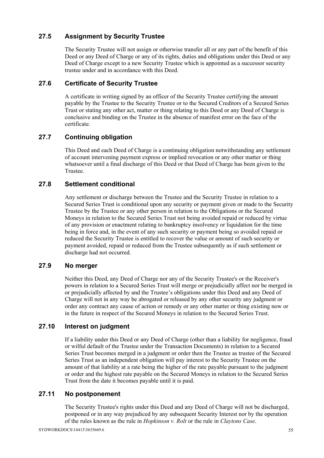## **27.5 Assignment by Security Trustee**

The Security Trustee will not assign or otherwise transfer all or any part of the benefit of this Deed or any Deed of Charge or any of its rights, duties and obligations under this Deed or any Deed of Charge except to a new Security Trustee which is appointed as a successor security trustee under and in accordance with this Deed.

### **27.6 Certificate of Security Trustee**

A certificate in writing signed by an officer of the Security Trustee certifying the amount payable by the Trustee to the Security Trustee or to the Secured Creditors of a Secured Series Trust or stating any other act, matter or thing relating to this Deed or any Deed of Charge is conclusive and binding on the Trustee in the absence of manifest error on the face of the certificate.

## **27.7 Continuing obligation**

This Deed and each Deed of Charge is a continuing obligation notwithstanding any settlement of account intervening payment express or implied revocation or any other matter or thing whatsoever until a final discharge of this Deed or that Deed of Charge has been given to the Trustee.

### **27.8 Settlement conditional**

Any settlement or discharge between the Trustee and the Security Trustee in relation to a Secured Series Trust is conditional upon any security or payment given or made to the Security Trustee by the Trustee or any other person in relation to the Obligations or the Secured Moneys in relation to the Secured Series Trust not being avoided repaid or reduced by virtue of any provision or enactment relating to bankruptcy insolvency or liquidation for the time being in force and, in the event of any such security or payment being so avoided repaid or reduced the Security Trustee is entitled to recover the value or amount of such security or payment avoided, repaid or reduced from the Trustee subsequently as if such settlement or discharge had not occurred.

### **27.9 No merger**

Neither this Deed, any Deed of Charge nor any of the Security Trustee's or the Receiver's powers in relation to a Secured Series Trust will merge or prejudicially affect nor be merged in or prejudicially affected by and the Trustee's obligations under this Deed and any Deed of Charge will not in any way be abrogated or released by any other security any judgment or order any contract any cause of action or remedy or any other matter or thing existing now or in the future in respect of the Secured Moneys in relation to the Secured Series Trust.

### **27.10 Interest on judgment**

If a liability under this Deed or any Deed of Charge (other than a liability for negligence, fraud or wilful default of the Trustee under the Transaction Documents) in relation to a Secured Series Trust becomes merged in a judgment or order then the Trustee as trustee of the Secured Series Trust as an independent obligation will pay interest to the Security Trustee on the amount of that liability at a rate being the higher of the rate payable pursuant to the judgment or order and the highest rate payable on the Secured Moneys in relation to the Secured Series Trust from the date it becomes payable until it is paid.

## **27.11 No postponement**

The Security Trustee's rights under this Deed and any Deed of Charge will not be discharged, postponed or in any way prejudiced by any subsequent Security Interest nor by the operation of the rules known as the rule in *Hopkinson v. Rolt* or the rule in *Claytons Case*.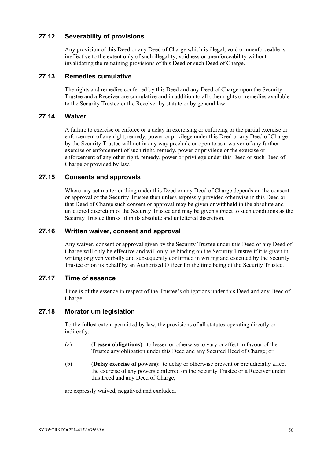#### **27.12 Severability of provisions**

Any provision of this Deed or any Deed of Charge which is illegal, void or unenforceable is ineffective to the extent only of such illegality, voidness or unenforceability without invalidating the remaining provisions of this Deed or such Deed of Charge.

#### **27.13 Remedies cumulative**

The rights and remedies conferred by this Deed and any Deed of Charge upon the Security Trustee and a Receiver are cumulative and in addition to all other rights or remedies available to the Security Trustee or the Receiver by statute or by general law.

#### **27.14 Waiver**

A failure to exercise or enforce or a delay in exercising or enforcing or the partial exercise or enforcement of any right, remedy, power or privilege under this Deed or any Deed of Charge by the Security Trustee will not in any way preclude or operate as a waiver of any further exercise or enforcement of such right, remedy, power or privilege or the exercise or enforcement of any other right, remedy, power or privilege under this Deed or such Deed of Charge or provided by law.

#### **27.15 Consents and approvals**

Where any act matter or thing under this Deed or any Deed of Charge depends on the consent or approval of the Security Trustee then unless expressly provided otherwise in this Deed or that Deed of Charge such consent or approval may be given or withheld in the absolute and unfettered discretion of the Security Trustee and may be given subject to such conditions as the Security Trustee thinks fit in its absolute and unfettered discretion.

#### **27.16 Written waiver, consent and approval**

Any waiver, consent or approval given by the Security Trustee under this Deed or any Deed of Charge will only be effective and will only be binding on the Security Trustee if it is given in writing or given verbally and subsequently confirmed in writing and executed by the Security Trustee or on its behalf by an Authorised Officer for the time being of the Security Trustee.

#### **27.17 Time of essence**

Time is of the essence in respect of the Trustee's obligations under this Deed and any Deed of Charge.

#### **27.18 Moratorium legislation**

To the fullest extent permitted by law, the provisions of all statutes operating directly or indirectly:

- (a) (**Lessen obligations**): to lessen or otherwise to vary or affect in favour of the Trustee any obligation under this Deed and any Secured Deed of Charge; or
- (b) (**Delay exercise of powers**): to delay or otherwise prevent or prejudicially affect the exercise of any powers conferred on the Security Trustee or a Receiver under this Deed and any Deed of Charge,

are expressly waived, negatived and excluded.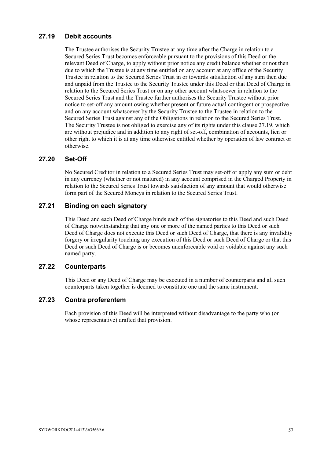### **27.19 Debit accounts**

The Trustee authorises the Security Trustee at any time after the Charge in relation to a Secured Series Trust becomes enforceable pursuant to the provisions of this Deed or the relevant Deed of Charge, to apply without prior notice any credit balance whether or not then due to which the Trustee is at any time entitled on any account at any office of the Security Trustee in relation to the Secured Series Trust in or towards satisfaction of any sum then due and unpaid from the Trustee to the Security Trustee under this Deed or that Deed of Charge in relation to the Secured Series Trust or on any other account whatsoever in relation to the Secured Series Trust and the Trustee further authorises the Security Trustee without prior notice to set-off any amount owing whether present or future actual contingent or prospective and on any account whatsoever by the Security Trustee to the Trustee in relation to the Secured Series Trust against any of the Obligations in relation to the Secured Series Trust. The Security Trustee is not obliged to exercise any of its rights under this clause 27.19, which are without prejudice and in addition to any right of set-off, combination of accounts, lien or other right to which it is at any time otherwise entitled whether by operation of law contract or otherwise.

#### **27.20 Set-Off**

No Secured Creditor in relation to a Secured Series Trust may set-off or apply any sum or debt in any currency (whether or not matured) in any account comprised in the Charged Property in relation to the Secured Series Trust towards satisfaction of any amount that would otherwise form part of the Secured Moneys in relation to the Secured Series Trust.

### **27.21 Binding on each signatory**

This Deed and each Deed of Charge binds each of the signatories to this Deed and such Deed of Charge notwithstanding that any one or more of the named parties to this Deed or such Deed of Charge does not execute this Deed or such Deed of Charge, that there is any invalidity forgery or irregularity touching any execution of this Deed or such Deed of Charge or that this Deed or such Deed of Charge is or becomes unenforceable void or voidable against any such named party.

#### **27.22 Counterparts**

This Deed or any Deed of Charge may be executed in a number of counterparts and all such counterparts taken together is deemed to constitute one and the same instrument.

### **27.23 Contra proferentem**

Each provision of this Deed will be interpreted without disadvantage to the party who (or whose representative) drafted that provision.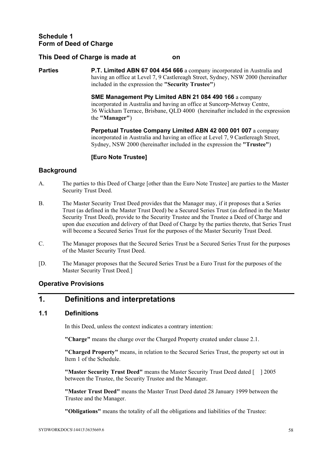#### **This Deed of Charge is made at on**

**Parties P.T. Limited ABN 67 004 454 666** a company incorporated in Australia and having an office at Level 7, 9 Castlereagh Street, Sydney, NSW 2000 (hereinafter included in the expression the **"Security Trustee"**)

> **SME Management Pty Limited ABN 21 084 490 166** a company incorporated in Australia and having an office at Suncorp-Metway Centre, 36 Wickham Terrace, Brisbane, QLD 4000 (hereinafter included in the expression the **"Manager"**)

 **Perpetual Trustee Company Limited ABN 42 000 001 007** a company incorporated in Australia and having an office at Level 7, 9 Castlereagh Street, Sydney, NSW 2000 (hereinafter included in the expression the **"Trustee"**)

#### **[Euro Note Trustee]**

#### **Background**

- A. The parties to this Deed of Charge [other than the Euro Note Trustee] are parties to the Master Security Trust Deed.
- B. The Master Security Trust Deed provides that the Manager may, if it proposes that a Series Trust (as defined in the Master Trust Deed) be a Secured Series Trust (as defined in the Master Security Trust Deed), provide to the Security Trustee and the Trustee a Deed of Charge and upon due execution and delivery of that Deed of Charge by the parties thereto, that Series Trust will become a Secured Series Trust for the purposes of the Master Security Trust Deed.
- C. The Manager proposes that the Secured Series Trust be a Secured Series Trust for the purposes of the Master Security Trust Deed.
- [D. The Manager proposes that the Secured Series Trust be a Euro Trust for the purposes of the Master Security Trust Deed.]

#### **Operative Provisions**

# **1. Definitions and interpretations**

### **1.1 Definitions**

In this Deed, unless the context indicates a contrary intention:

**"Charge"** means the charge over the Charged Property created under clause 2.1.

**"Charged Property"** means, in relation to the Secured Series Trust, the property set out in Item 1 of the Schedule.

**"Master Security Trust Deed"** means the Master Security Trust Deed dated [ ] 2005 between the Trustee, the Security Trustee and the Manager.

**"Master Trust Deed"** means the Master Trust Deed dated 28 January 1999 between the Trustee and the Manager.

**"Obligations"** means the totality of all the obligations and liabilities of the Trustee: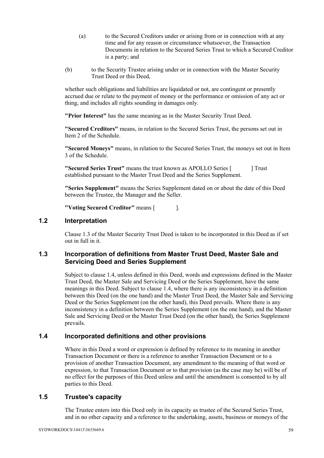- (a) to the Secured Creditors under or arising from or in connection with at any time and for any reason or circumstance whatsoever, the Transaction Documents in relation to the Secured Series Trust to which a Secured Creditor is a party; and
- (b) to the Security Trustee arising under or in connection with the Master Security Trust Deed or this Deed,

whether such obligations and liabilities are liquidated or not, are contingent or presently accrued due or relate to the payment of money or the performance or omission of any act or thing, and includes all rights sounding in damages only.

**"Prior Interest"** has the same meaning as in the Master Security Trust Deed.

**"Secured Creditors"** means, in relation to the Secured Series Trust, the persons set out in Item 2 of the Schedule.

**"Secured Moneys"** means, in relation to the Secured Series Trust, the moneys set out in Item 3 of the Schedule.

**"Secured Series Trust"** means the trust known as APOLLO Series [  $\qquad$  ] Trust established pursuant to the Master Trust Deed and the Series Supplement.

**"Series Supplement"** means the Series Supplement dated on or about the date of this Deed between the Trustee, the Manager and the Seller.

**"Voting Secured Creditor"** means [ ].

#### **1.2 Interpretation**

Clause 1.3 of the Master Security Trust Deed is taken to be incorporated in this Deed as if set out in full in it.

#### **1.3 Incorporation of definitions from Master Trust Deed, Master Sale and Servicing Deed and Series Supplement**

Subject to clause 1.4, unless defined in this Deed, words and expressions defined in the Master Trust Deed, the Master Sale and Servicing Deed or the Series Supplement, have the same meanings in this Deed. Subject to clause 1.4, where there is any inconsistency in a definition between this Deed (on the one hand) and the Master Trust Deed, the Master Sale and Servicing Deed or the Series Supplement (on the other hand), this Deed prevails. Where there is any inconsistency in a definition between the Series Supplement (on the one hand), and the Master Sale and Servicing Deed or the Master Trust Deed (on the other hand), the Series Supplement prevails.

#### **1.4 Incorporated definitions and other provisions**

Where in this Deed a word or expression is defined by reference to its meaning in another Transaction Document or there is a reference to another Transaction Document or to a provision of another Transaction Document, any amendment to the meaning of that word or expression, to that Transaction Document or to that provision (as the case may be) will be of no effect for the purposes of this Deed unless and until the amendment is consented to by all parties to this Deed.

#### **1.5 Trustee's capacity**

The Trustee enters into this Deed only in its capacity as trustee of the Secured Series Trust, and in no other capacity and a reference to the undertaking, assets, business or moneys of the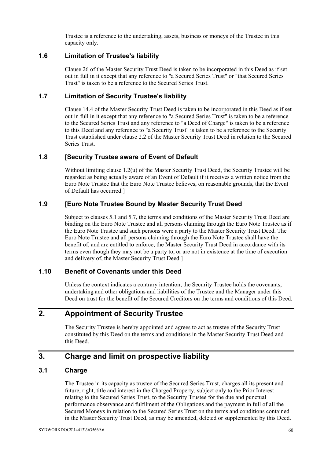Trustee is a reference to the undertaking, assets, business or moneys of the Trustee in this capacity only.

#### **1.6 Limitation of Trustee's liability**

Clause 26 of the Master Security Trust Deed is taken to be incorporated in this Deed as if set out in full in it except that any reference to "a Secured Series Trust" or "that Secured Series Trust" is taken to be a reference to the Secured Series Trust.

#### **1.7 Limitation of Security Trustee's liability**

Clause 14.4 of the Master Security Trust Deed is taken to be incorporated in this Deed as if set out in full in it except that any reference to "a Secured Series Trust" is taken to be a reference to the Secured Series Trust and any reference to "a Deed of Charge" is taken to be a reference to this Deed and any reference to "a Security Trust" is taken to be a reference to the Security Trust established under clause 2.2 of the Master Security Trust Deed in relation to the Secured Series Trust.

#### **1.8 [Security Trustee aware of Event of Default**

Without limiting clause 1.2(u) of the Master Security Trust Deed, the Security Trustee will be regarded as being actually aware of an Event of Default if it receives a written notice from the Euro Note Trustee that the Euro Note Trustee believes, on reasonable grounds, that the Event of Default has occurred.]

#### **1.9 [Euro Note Trustee Bound by Master Security Trust Deed**

Subject to clauses 5.1 and 5.7, the terms and conditions of the Master Security Trust Deed are binding on the Euro Note Trustee and all persons claiming through the Euro Note Trustee as if the Euro Note Trustee and such persons were a party to the Master Security Trust Deed. The Euro Note Trustee and all persons claiming through the Euro Note Trustee shall have the benefit of, and are entitled to enforce, the Master Security Trust Deed in accordance with its terms even though they may not be a party to, or are not in existence at the time of execution and delivery of, the Master Security Trust Deed.]

### **1.10 Benefit of Covenants under this Deed**

Unless the context indicates a contrary intention, the Security Trustee holds the covenants, undertaking and other obligations and liabilities of the Trustee and the Manager under this Deed on trust for the benefit of the Secured Creditors on the terms and conditions of this Deed.

# **2. Appointment of Security Trustee**

The Security Trustee is hereby appointed and agrees to act as trustee of the Security Trust constituted by this Deed on the terms and conditions in the Master Security Trust Deed and this Deed.

# **3. Charge and limit on prospective liability**

#### **3.1 Charge**

The Trustee in its capacity as trustee of the Secured Series Trust, charges all its present and future, right, title and interest in the Charged Property, subject only to the Prior Interest relating to the Secured Series Trust, to the Security Trustee for the due and punctual performance observance and fulfilment of the Obligations and the payment in full of all the Secured Moneys in relation to the Secured Series Trust on the terms and conditions contained in the Master Security Trust Deed, as may be amended, deleted or supplemented by this Deed.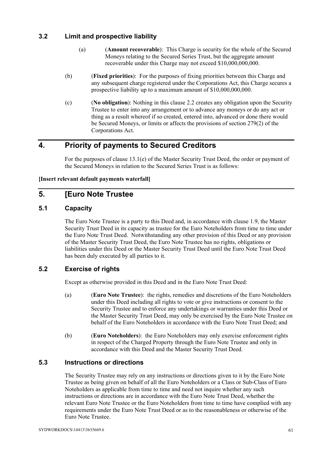### **3.2 Limit and prospective liability**

- (a) (**Amount recoverable**): This Charge is security for the whole of the Secured Moneys relating to the Secured Series Trust, but the aggregate amount recoverable under this Charge may not exceed \$10,000,000,000.
- (b) (**Fixed priorities**): For the purposes of fixing priorities between this Charge and any subsequent charge registered under the Corporations Act, this Charge secures a prospective liability up to a maximum amount of \$10,000,000,000.
- (c) (**No obligation**): Nothing in this clause 2.2 creates any obligation upon the Security Trustee to enter into any arrangement or to advance any moneys or do any act or thing as a result whereof if so created, entered into, advanced or done there would be Secured Moneys, or limits or affects the provisions of section 279(2) of the Corporations Act.

# **4. Priority of payments to Secured Creditors**

For the purposes of clause 13.1(e) of the Master Security Trust Deed, the order or payment of the Secured Moneys in relation to the Secured Series Trust is as follows:

#### **[Insert relevant default payments waterfall]**

## **5. [Euro Note Trustee**

### **5.1 Capacity**

The Euro Note Trustee is a party to this Deed and, in accordance with clause 1.9, the Master Security Trust Deed in its capacity as trustee for the Euro Noteholders from time to time under the Euro Note Trust Deed. Notwithstanding any other provision of this Deed or any provision of the Master Security Trust Deed, the Euro Note Trustee has no rights, obligations or liabilities under this Deed or the Master Security Trust Deed until the Euro Note Trust Deed has been duly executed by all parties to it.

### **5.2 Exercise of rights**

Except as otherwise provided in this Deed and in the Euro Note Trust Deed:

- (a) (**Euro Note Trustee**): the rights, remedies and discretions of the Euro Noteholders under this Deed including all rights to vote or give instructions or consent to the Security Trustee and to enforce any undertakings or warranties under this Deed or the Master Security Trust Deed, may only be exercised by the Euro Note Trustee on behalf of the Euro Noteholders in accordance with the Euro Note Trust Deed; and
- (b) (**Euro Noteholders**): the Euro Noteholders may only exercise enforcement rights in respect of the Charged Property through the Euro Note Trustee and only in accordance with this Deed and the Master Security Trust Deed.

#### **5.3 Instructions or directions**

The Security Trustee may rely on any instructions or directions given to it by the Euro Note Trustee as being given on behalf of all the Euro Noteholders or a Class or Sub-Class of Euro Noteholders as applicable from time to time and need not inquire whether any such instructions or directions are in accordance with the Euro Note Trust Deed, whether the relevant Euro Note Trustee or the Euro Noteholders from time to time have complied with any requirements under the Euro Note Trust Deed or as to the reasonableness or otherwise of the Euro Note Trustee.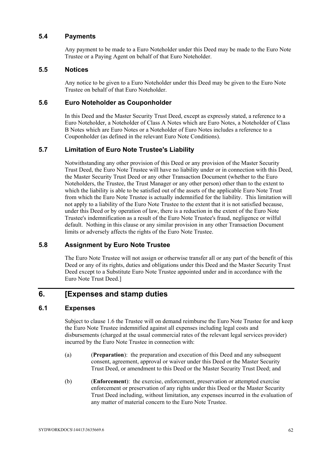#### **5.4 Payments**

Any payment to be made to a Euro Noteholder under this Deed may be made to the Euro Note Trustee or a Paying Agent on behalf of that Euro Noteholder.

#### **5.5 Notices**

Any notice to be given to a Euro Noteholder under this Deed may be given to the Euro Note Trustee on behalf of that Euro Noteholder.

#### **5.6 Euro Noteholder as Couponholder**

In this Deed and the Master Security Trust Deed, except as expressly stated, a reference to a Euro Noteholder, a Noteholder of Class A Notes which are Euro Notes, a Noteholder of Class B Notes which are Euro Notes or a Noteholder of Euro Notes includes a reference to a Couponholder (as defined in the relevant Euro Note Conditions).

#### **5.7 Limitation of Euro Note Trustee's Liability**

Notwithstanding any other provision of this Deed or any provision of the Master Security Trust Deed, the Euro Note Trustee will have no liability under or in connection with this Deed, the Master Security Trust Deed or any other Transaction Document (whether to the Euro Noteholders, the Trustee, the Trust Manager or any other person) other than to the extent to which the liability is able to be satisfied out of the assets of the applicable Euro Note Trust from which the Euro Note Trustee is actually indemnified for the liability. This limitation will not apply to a liability of the Euro Note Trustee to the extent that it is not satisfied because, under this Deed or by operation of law, there is a reduction in the extent of the Euro Note Trustee's indemnification as a result of the Euro Note Trustee's fraud, negligence or wilful default. Nothing in this clause or any similar provision in any other Transaction Document limits or adversely affects the rights of the Euro Note Trustee.

### **5.8 Assignment by Euro Note Trustee**

The Euro Note Trustee will not assign or otherwise transfer all or any part of the benefit of this Deed or any of its rights, duties and obligations under this Deed and the Master Security Trust Deed except to a Substitute Euro Note Trustee appointed under and in accordance with the Euro Note Trust Deed.]

## **6. [Expenses and stamp duties**

#### **6.1 Expenses**

Subject to clause 1.6 the Trustee will on demand reimburse the Euro Note Trustee for and keep the Euro Note Trustee indemnified against all expenses including legal costs and disbursements (charged at the usual commercial rates of the relevant legal services provider) incurred by the Euro Note Trustee in connection with:

- (a) (**Preparation**): the preparation and execution of this Deed and any subsequent consent, agreement, approval or waiver under this Deed or the Master Security Trust Deed, or amendment to this Deed or the Master Security Trust Deed; and
- (b) (**Enforcement**): the exercise, enforcement, preservation or attempted exercise enforcement or preservation of any rights under this Deed or the Master Security Trust Deed including, without limitation, any expenses incurred in the evaluation of any matter of material concern to the Euro Note Trustee.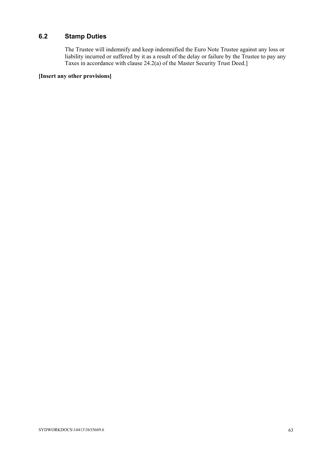# **6.2 Stamp Duties**

The Trustee will indemnify and keep indemnified the Euro Note Trustee against any loss or liability incurred or suffered by it as a result of the delay or failure by the Trustee to pay any Taxes in accordance with clause 24.2(a) of the Master Security Trust Deed.]

#### **[Insert any other provisions]**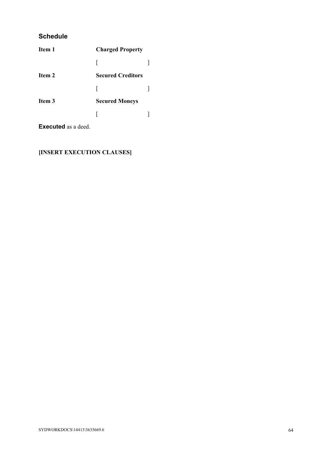### **Schedule**

| Item 1 | <b>Charged Property</b>  |  |
|--------|--------------------------|--|
|        |                          |  |
| Item 2 | <b>Secured Creditors</b> |  |
|        |                          |  |
| Item 3 | <b>Secured Moneys</b>    |  |
|        |                          |  |
|        |                          |  |

**Executed** as a deed.

## **[INSERT EXECUTION CLAUSES]**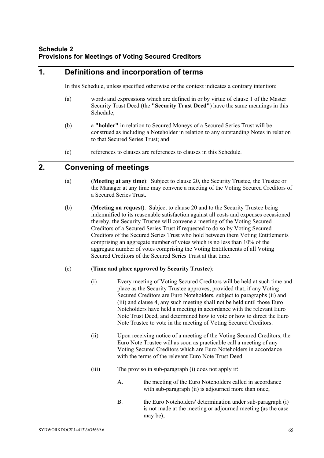# **1. Definitions and incorporation of terms**

In this Schedule, unless specified otherwise or the context indicates a contrary intention:

- (a) words and expressions which are defined in or by virtue of clause 1 of the Master Security Trust Deed (the **"Security Trust Deed"**) have the same meanings in this Schedule;
- (b) a **"holder"** in relation to Secured Moneys of a Secured Series Trust will be construed as including a Noteholder in relation to any outstanding Notes in relation to that Secured Series Trust; and
- (c) references to clauses are references to clauses in this Schedule.

## **2. Convening of meetings**

- (a) (**Meeting at any time**): Subject to clause 20, the Security Trustee, the Trustee or the Manager at any time may convene a meeting of the Voting Secured Creditors of a Secured Series Trust.
- (b) (**Meeting on request**): Subject to clause 20 and to the Security Trustee being indemnified to its reasonable satisfaction against all costs and expenses occasioned thereby, the Security Trustee will convene a meeting of the Voting Secured Creditors of a Secured Series Trust if requested to do so by Voting Secured Creditors of the Secured Series Trust who hold between them Voting Entitlements comprising an aggregate number of votes which is no less than 10% of the aggregate number of votes comprising the Voting Entitlements of all Voting Secured Creditors of the Secured Series Trust at that time.

#### (c) (**Time and place approved by Security Trustee**):

- (i) Every meeting of Voting Secured Creditors will be held at such time and place as the Security Trustee approves, provided that, if any Voting Secured Creditors are Euro Noteholders, subject to paragraphs (ii) and (iii) and clause 4, any such meeting shall not be held until those Euro Noteholders have held a meeting in accordance with the relevant Euro Note Trust Deed, and determined how to vote or how to direct the Euro Note Trustee to vote in the meeting of Voting Secured Creditors.
- (ii) Upon receiving notice of a meeting of the Voting Secured Creditors, the Euro Note Trustee will as soon as practicable call a meeting of any Voting Secured Creditors which are Euro Noteholders in accordance with the terms of the relevant Euro Note Trust Deed.
- (iii) The proviso in sub-paragraph (i) does not apply if:
	- A. the meeting of the Euro Noteholders called in accordance with sub-paragraph (ii) is adjourned more than once;
	- B. the Euro Noteholders' determination under sub-paragraph (i) is not made at the meeting or adjourned meeting (as the case may be);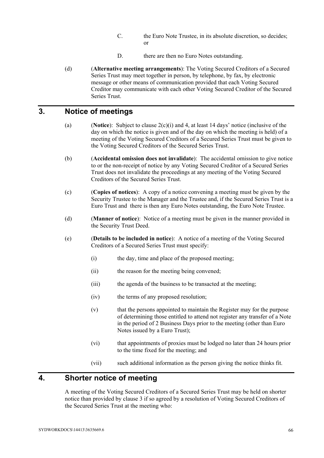- C. the Euro Note Trustee, in its absolute discretion, so decides; or
- D. there are then no Euro Notes outstanding.
- (d) (**Alternative meeting arrangements**): The Voting Secured Creditors of a Secured Series Trust may meet together in person, by telephone, by fax, by electronic message or other means of communication provided that each Voting Secured Creditor may communicate with each other Voting Secured Creditor of the Secured Series Trust.

## **3. Notice of meetings**

- (a) (**Notice**): Subject to clause 2(c)(i) and 4, at least 14 days' notice (inclusive of the day on which the notice is given and of the day on which the meeting is held) of a meeting of the Voting Secured Creditors of a Secured Series Trust must be given to the Voting Secured Creditors of the Secured Series Trust.
- (b) (**Accidental omission does not invalidate**): The accidental omission to give notice to or the non-receipt of notice by any Voting Secured Creditor of a Secured Series Trust does not invalidate the proceedings at any meeting of the Voting Secured Creditors of the Secured Series Trust.
- (c) (**Copies of notices**): A copy of a notice convening a meeting must be given by the Security Trustee to the Manager and the Trustee and, if the Secured Series Trust is a Euro Trust and there is then any Euro Notes outstanding, the Euro Note Trustee.
- (d) (**Manner of notice**): Notice of a meeting must be given in the manner provided in the Security Trust Deed.
- (e) (**Details to be included in notice**): A notice of a meeting of the Voting Secured Creditors of a Secured Series Trust must specify:
	- (i) the day, time and place of the proposed meeting;
	- (ii) the reason for the meeting being convened;
	- (iii) the agenda of the business to be transacted at the meeting;
	- (iv) the terms of any proposed resolution;
	- (v) that the persons appointed to maintain the Register may for the purpose of determining those entitled to attend not register any transfer of a Note in the period of 2 Business Days prior to the meeting (other than Euro Notes issued by a Euro Trust);
	- (vi) that appointments of proxies must be lodged no later than 24 hours prior to the time fixed for the meeting; and
	- (vii) such additional information as the person giving the notice thinks fit.

## **4. Shorter notice of meeting**

A meeting of the Voting Secured Creditors of a Secured Series Trust may be held on shorter notice than provided by clause 3 if so agreed by a resolution of Voting Secured Creditors of the Secured Series Trust at the meeting who: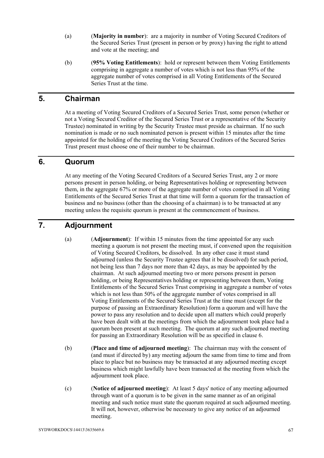- (a) (**Majority in number**): are a majority in number of Voting Secured Creditors of the Secured Series Trust (present in person or by proxy) having the right to attend and vote at the meeting; and
- (b) (**95% Voting Entitlements**): hold or represent between them Voting Entitlements comprising in aggregate a number of votes which is not less than 95% of the aggregate number of votes comprised in all Voting Entitlements of the Secured Series Trust at the time.

## **5. Chairman**

At a meeting of Voting Secured Creditors of a Secured Series Trust, some person (whether or not a Voting Secured Creditor of the Secured Series Trust or a representative of the Security Trustee) nominated in writing by the Security Trustee must preside as chairman. If no such nomination is made or no such nominated person is present within 15 minutes after the time appointed for the holding of the meeting the Voting Secured Creditors of the Secured Series Trust present must choose one of their number to be chairman.

## **6. Quorum**

At any meeting of the Voting Secured Creditors of a Secured Series Trust, any 2 or more persons present in person holding, or being Representatives holding or representing between them, in the aggregate 67% or more of the aggregate number of votes comprised in all Voting Entitlements of the Secured Series Trust at that time will form a quorum for the transaction of business and no business (other than the choosing of a chairman) is to be transacted at any meeting unless the requisite quorum is present at the commencement of business.

# **7. Adjournment**

- (a) (**Adjournment**): If within 15 minutes from the time appointed for any such meeting a quorum is not present the meeting must, if convened upon the requisition of Voting Secured Creditors, be dissolved. In any other case it must stand adjourned (unless the Security Trustee agrees that it be dissolved) for such period, not being less than 7 days nor more than 42 days, as may be appointed by the chairman. At such adjourned meeting two or more persons present in person holding, or being Representatives holding or representing between them, Voting Entitlements of the Secured Series Trust comprising in aggregate a number of votes which is not less than 50% of the aggregate number of votes comprised in all Voting Entitlements of the Secured Series Trust at the time must (except for the purpose of passing an Extraordinary Resolution) form a quorum and will have the power to pass any resolution and to decide upon all matters which could properly have been dealt with at the meetings from which the adjournment took place had a quorum been present at such meeting. The quorum at any such adjourned meeting for passing an Extraordinary Resolution will be as specified in clause 6.
- (b) (**Place and time of adjourned meeting**): The chairman may with the consent of (and must if directed by) any meeting adjourn the same from time to time and from place to place but no business may be transacted at any adjourned meeting except business which might lawfully have been transacted at the meeting from which the adjournment took place.
- (c) (**Notice of adjourned meeting**): At least 5 days' notice of any meeting adjourned through want of a quorum is to be given in the same manner as of an original meeting and such notice must state the quorum required at such adjourned meeting. It will not, however, otherwise be necessary to give any notice of an adjourned meeting.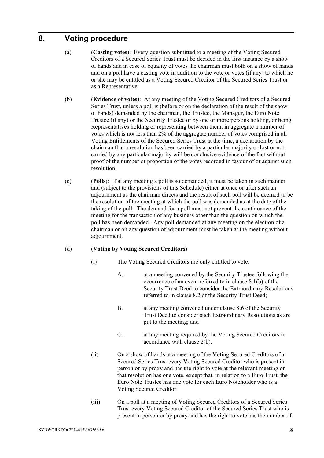#### **8. Voting procedure**

- (a) (**Casting votes**): Every question submitted to a meeting of the Voting Secured Creditors of a Secured Series Trust must be decided in the first instance by a show of hands and in case of equality of votes the chairman must both on a show of hands and on a poll have a casting vote in addition to the vote or votes (if any) to which he or she may be entitled as a Voting Secured Creditor of the Secured Series Trust or as a Representative.
- (b) (**Evidence of votes**): At any meeting of the Voting Secured Creditors of a Secured Series Trust, unless a poll is (before or on the declaration of the result of the show of hands) demanded by the chairman, the Trustee, the Manager, the Euro Note Trustee (if any) or the Security Trustee or by one or more persons holding, or being Representatives holding or representing between them, in aggregate a number of votes which is not less than 2% of the aggregate number of votes comprised in all Voting Entitlements of the Secured Series Trust at the time, a declaration by the chairman that a resolution has been carried by a particular majority or lost or not carried by any particular majority will be conclusive evidence of the fact without proof of the number or proportion of the votes recorded in favour of or against such resolution.
- (c) (**Polls**): If at any meeting a poll is so demanded, it must be taken in such manner and (subject to the provisions of this Schedule) either at once or after such an adjournment as the chairman directs and the result of such poll will be deemed to be the resolution of the meeting at which the poll was demanded as at the date of the taking of the poll. The demand for a poll must not prevent the continuance of the meeting for the transaction of any business other than the question on which the poll has been demanded. Any poll demanded at any meeting on the election of a chairman or on any question of adjournment must be taken at the meeting without adjournment.

#### (d) (**Voting by Voting Secured Creditors**):

- (i) The Voting Secured Creditors are only entitled to vote:
	- A. at a meeting convened by the Security Trustee following the occurrence of an event referred to in clause 8.1(b) of the Security Trust Deed to consider the Extraordinary Resolutions referred to in clause 8.2 of the Security Trust Deed;
	- B. at any meeting convened under clause 8.6 of the Security Trust Deed to consider such Extraordinary Resolutions as are put to the meeting; and
	- C. at any meeting required by the Voting Secured Creditors in accordance with clause 2(b).
- (ii) On a show of hands at a meeting of the Voting Secured Creditors of a Secured Series Trust every Voting Secured Creditor who is present in person or by proxy and has the right to vote at the relevant meeting on that resolution has one vote, except that, in relation to a Euro Trust, the Euro Note Trustee has one vote for each Euro Noteholder who is a Voting Secured Creditor.
- (iii) On a poll at a meeting of Voting Secured Creditors of a Secured Series Trust every Voting Secured Creditor of the Secured Series Trust who is present in person or by proxy and has the right to vote has the number of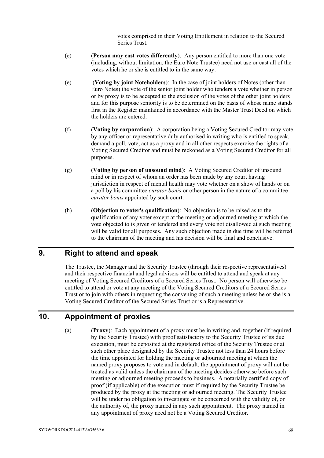votes comprised in their Voting Entitlement in relation to the Secured Series Trust.

- (e) (**Person may cast votes differently**): Any person entitled to more than one vote (including, without limitation, the Euro Note Trustee) need not use or cast all of the votes which he or she is entitled to in the same way.
- (e) (**Voting by joint Noteholders**): In the case of joint holders of Notes (other than Euro Notes) the vote of the senior joint holder who tenders a vote whether in person or by proxy is to be accepted to the exclusion of the votes of the other joint holders and for this purpose seniority is to be determined on the basis of whose name stands first in the Register maintained in accordance with the Master Trust Deed on which the holders are entered.
- (f) (**Voting by corporation**): A corporation being a Voting Secured Creditor may vote by any officer or representative duly authorised in writing who is entitled to speak, demand a poll, vote, act as a proxy and in all other respects exercise the rights of a Voting Secured Creditor and must be reckoned as a Voting Secured Creditor for all purposes.
- (g) (**Voting by person of unsound mind**): A Voting Secured Creditor of unsound mind or in respect of whom an order has been made by any court having jurisdiction in respect of mental health may vote whether on a show of hands or on a poll by his committee *curator bonis* or other person in the nature of a committee *curator bonis* appointed by such court.
- (h) (**Objection to voter's qualification**): No objection is to be raised as to the qualification of any voter except at the meeting or adjourned meeting at which the vote objected to is given or tendered and every vote not disallowed at such meeting will be valid for all purposes. Any such objection made in due time will be referred to the chairman of the meeting and his decision will be final and conclusive.

#### **9. Right to attend and speak**

The Trustee, the Manager and the Security Trustee (through their respective representatives) and their respective financial and legal advisers will be entitled to attend and speak at any meeting of Voting Secured Creditors of a Secured Series Trust. No person will otherwise be entitled to attend or vote at any meeting of the Voting Secured Creditors of a Secured Series Trust or to join with others in requesting the convening of such a meeting unless he or she is a Voting Secured Creditor of the Secured Series Trust or is a Representative.

## **10. Appointment of proxies**

(a) (**Proxy**): Each appointment of a proxy must be in writing and, together (if required by the Security Trustee) with proof satisfactory to the Security Trustee of its due execution, must be deposited at the registered office of the Security Trustee or at such other place designated by the Security Trustee not less than 24 hours before the time appointed for holding the meeting or adjourned meeting at which the named proxy proposes to vote and in default, the appointment of proxy will not be treated as valid unless the chairman of the meeting decides otherwise before such meeting or adjourned meeting proceeds to business. A notarially certified copy of proof (if applicable) of due execution must if required by the Security Trustee be produced by the proxy at the meeting or adjourned meeting. The Security Trustee will be under no obligation to investigate or be concerned with the validity of, or the authority of, the proxy named in any such appointment. The proxy named in any appointment of proxy need not be a Voting Secured Creditor.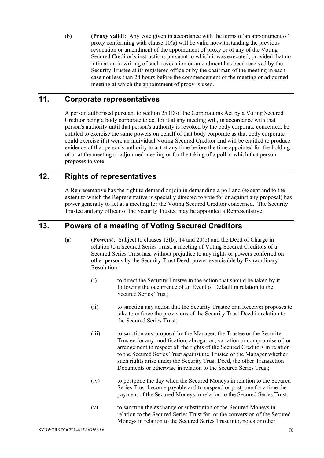(b) (**Proxy valid**): Any vote given in accordance with the terms of an appointment of proxy conforming with clause 10(a) will be valid notwithstanding the previous revocation or amendment of the appointment of proxy or of any of the Voting Secured Creditor's instructions pursuant to which it was executed, provided that no intimation in writing of such revocation or amendment has been received by the Security Trustee at its registered office or by the chairman of the meeting in each case not less than 24 hours before the commencement of the meeting or adjourned meeting at which the appointment of proxy is used.

## **11. Corporate representatives**

A person authorised pursuant to section 250D of the Corporations Act by a Voting Secured Creditor being a body corporate to act for it at any meeting will, in accordance with that person's authority until that person's authority is revoked by the body corporate concerned, be entitled to exercise the same powers on behalf of that body corporate as that body corporate could exercise if it were an individual Voting Secured Creditor and will be entitled to produce evidence of that person's authority to act at any time before the time appointed for the holding of or at the meeting or adjourned meeting or for the taking of a poll at which that person proposes to vote.

#### **12. Rights of representatives**

A Representative has the right to demand or join in demanding a poll and (except and to the extent to which the Representative is specially directed to vote for or against any proposal) has power generally to act at a meeting for the Voting Secured Creditor concerned. The Security Trustee and any officer of the Security Trustee may be appointed a Representative.

## **13. Powers of a meeting of Voting Secured Creditors**

- (a) (**Powers**): Subject to clauses 13(b), 14 and 20(b) and the Deed of Charge in relation to a Secured Series Trust, a meeting of Voting Secured Creditors of a Secured Series Trust has, without prejudice to any rights or powers conferred on other persons by the Security Trust Deed, power exercisable by Extraordinary Resolution:
	- (i) to direct the Security Trustee in the action that should be taken by it following the occurrence of an Event of Default in relation to the Secured Series Trust;
	- (ii) to sanction any action that the Security Trustee or a Receiver proposes to take to enforce the provisions of the Security Trust Deed in relation to the Secured Series Trust;
	- (iii) to sanction any proposal by the Manager, the Trustee or the Security Trustee for any modification, abrogation, variation or compromise of, or arrangement in respect of, the rights of the Secured Creditors in relation to the Secured Series Trust against the Trustee or the Manager whether such rights arise under the Security Trust Deed, the other Transaction Documents or otherwise in relation to the Secured Series Trust;
	- (iv) to postpone the day when the Secured Moneys in relation to the Secured Series Trust become payable and to suspend or postpone for a time the payment of the Secured Moneys in relation to the Secured Series Trust;
	- (v) to sanction the exchange or substitution of the Secured Moneys in relation to the Secured Series Trust for, or the conversion of the Secured Moneys in relation to the Secured Series Trust into, notes or other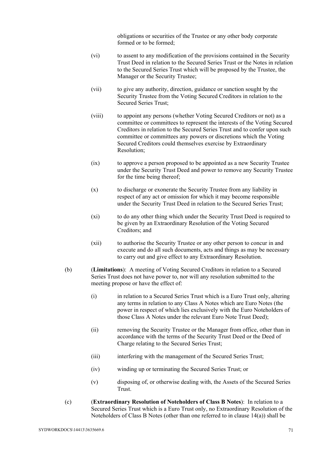obligations or securities of the Trustee or any other body corporate formed or to be formed;

- (vi) to assent to any modification of the provisions contained in the Security Trust Deed in relation to the Secured Series Trust or the Notes in relation to the Secured Series Trust which will be proposed by the Trustee, the Manager or the Security Trustee;
- (vii) to give any authority, direction, guidance or sanction sought by the Security Trustee from the Voting Secured Creditors in relation to the Secured Series Trust;
- (viii) to appoint any persons (whether Voting Secured Creditors or not) as a committee or committees to represent the interests of the Voting Secured Creditors in relation to the Secured Series Trust and to confer upon such committee or committees any powers or discretions which the Voting Secured Creditors could themselves exercise by Extraordinary Resolution;
- (ix) to approve a person proposed to be appointed as a new Security Trustee under the Security Trust Deed and power to remove any Security Trustee for the time being thereof;
- (x) to discharge or exonerate the Security Trustee from any liability in respect of any act or omission for which it may become responsible under the Security Trust Deed in relation to the Secured Series Trust;
- (xi) to do any other thing which under the Security Trust Deed is required to be given by an Extraordinary Resolution of the Voting Secured Creditors; and
- (xii) to authorise the Security Trustee or any other person to concur in and execute and do all such documents, acts and things as may be necessary to carry out and give effect to any Extraordinary Resolution.
- (b) (**Limitations**): A meeting of Voting Secured Creditors in relation to a Secured Series Trust does not have power to, nor will any resolution submitted to the meeting propose or have the effect of:
	- (i) in relation to a Secured Series Trust which is a Euro Trust only, altering any terms in relation to any Class A Notes which are Euro Notes (the power in respect of which lies exclusively with the Euro Noteholders of those Class A Notes under the relevant Euro Note Trust Deed);
	- (ii) removing the Security Trustee or the Manager from office, other than in accordance with the terms of the Security Trust Deed or the Deed of Charge relating to the Secured Series Trust;
	- (iii) interfering with the management of the Secured Series Trust;
	- (iv) winding up or terminating the Secured Series Trust; or
	- (v) disposing of, or otherwise dealing with, the Assets of the Secured Series Trust.
- (c) (**Extraordinary Resolution of Noteholders of Class B Notes**): In relation to a Secured Series Trust which is a Euro Trust only, no Extraordinary Resolution of the Noteholders of Class B Notes (other than one referred to in clause 14(a)) shall be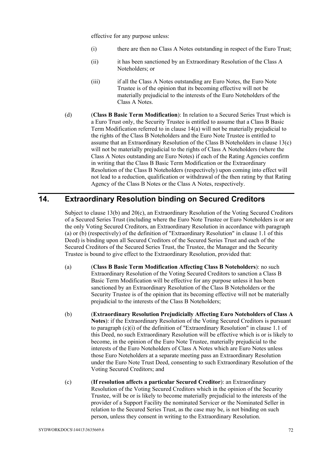effective for any purpose unless:

- (i) there are then no Class A Notes outstanding in respect of the Euro Trust;
- (ii) it has been sanctioned by an Extraordinary Resolution of the Class A Noteholders; or
- (iii) if all the Class A Notes outstanding are Euro Notes, the Euro Note Trustee is of the opinion that its becoming effective will not be materially prejudicial to the interests of the Euro Noteholders of the Class A Notes.
- (d) (**Class B Basic Term Modification**): In relation to a Secured Series Trust which is a Euro Trust only, the Security Trustee is entitled to assume that a Class B Basic Term Modification referred to in clause 14(a) will not be materially prejudicial to the rights of the Class B Noteholders and the Euro Note Trustee is entitled to assume that an Extraordinary Resolution of the Class B Noteholders in clause 13(c) will not be materially prejudicial to the rights of Class A Noteholders (where the Class A Notes outstanding are Euro Notes) if each of the Rating Agencies confirm in writing that the Class B Basic Term Modification or the Extraordinary Resolution of the Class B Noteholders (respectively) upon coming into effect will not lead to a reduction, qualification or withdrawal of the then rating by that Rating Agency of the Class B Notes or the Class A Notes, respectively.

## **14. Extraordinary Resolution binding on Secured Creditors**

Subject to clause 13(b) and 20(c), an Extraordinary Resolution of the Voting Secured Creditors of a Secured Series Trust (including where the Euro Note Trustee or Euro Noteholders is or are the only Voting Secured Creditors, an Extraordinary Resolution in accordance with paragraph (a) or (b) (respectively) of the definition of "Extraordinary Resolution" in clause 1.1 of this Deed) is binding upon all Secured Creditors of the Secured Series Trust and each of the Secured Creditors of the Secured Series Trust, the Trustee, the Manager and the Security Trustee is bound to give effect to the Extraordinary Resolution, provided that:

- (a) (**Class B Basic Term Modification Affecting Class B Noteholders**): no such Extraordinary Resolution of the Voting Secured Creditors to sanction a Class B Basic Term Modification will be effective for any purpose unless it has been sanctioned by an Extraordinary Resolution of the Class B Noteholders or the Security Trustee is of the opinion that its becoming effective will not be materially prejudicial to the interests of the Class B Noteholders;
- (b) (**Extraordinary Resolution Prejudicially Affecting Euro Noteholders of Class A Notes**): if the Extraordinary Resolution of the Voting Secured Creditors is pursuant to paragraph (c)(i) of the definition of "Extraordinary Resolution" in clause 1.1 of this Deed, no such Extraordinary Resolution will be effective which is or is likely to become, in the opinion of the Euro Note Trustee, materially prejudicial to the interests of the Euro Noteholders of Class A Notes which are Euro Notes unless those Euro Noteholders at a separate meeting pass an Extraordinary Resolution under the Euro Note Trust Deed, consenting to such Extraordinary Resolution of the Voting Secured Creditors; and
- (c) (**If resolution affects a particular Secured Creditor**): an Extraordinary Resolution of the Voting Secured Creditors which in the opinion of the Security Trustee, will be or is likely to become materially prejudicial to the interests of the provider of a Support Facility the nominated Servicer or the Nominated Seller in relation to the Secured Series Trust, as the case may be, is not binding on such person, unless they consent in writing to the Extraordinary Resolution.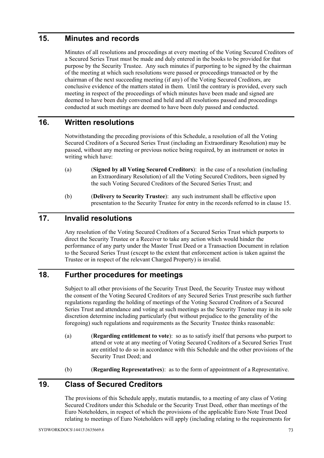## **15. Minutes and records**

Minutes of all resolutions and proceedings at every meeting of the Voting Secured Creditors of a Secured Series Trust must be made and duly entered in the books to be provided for that purpose by the Security Trustee. Any such minutes if purporting to be signed by the chairman of the meeting at which such resolutions were passed or proceedings transacted or by the chairman of the next succeeding meeting (if any) of the Voting Secured Creditors, are conclusive evidence of the matters stated in them. Until the contrary is provided, every such meeting in respect of the proceedings of which minutes have been made and signed are deemed to have been duly convened and held and all resolutions passed and proceedings conducted at such meetings are deemed to have been duly passed and conducted.

#### **16. Written resolutions**

Notwithstanding the preceding provisions of this Schedule, a resolution of all the Voting Secured Creditors of a Secured Series Trust (including an Extraordinary Resolution) may be passed, without any meeting or previous notice being required, by an instrument or notes in writing which have:

- (a) (**Signed by all Voting Secured Creditors**): in the case of a resolution (including an Extraordinary Resolution) of all the Voting Secured Creditors, been signed by the such Voting Secured Creditors of the Secured Series Trust; and
- (b) (**Delivery to Security Trustee**): any such instrument shall be effective upon presentation to the Security Trustee for entry in the records referred to in clause 15.

## **17. Invalid resolutions**

Any resolution of the Voting Secured Creditors of a Secured Series Trust which purports to direct the Security Trustee or a Receiver to take any action which would hinder the performance of any party under the Master Trust Deed or a Transaction Document in relation to the Secured Series Trust (except to the extent that enforcement action is taken against the Trustee or in respect of the relevant Charged Property) is invalid.

# **18. Further procedures for meetings**

Subject to all other provisions of the Security Trust Deed, the Security Trustee may without the consent of the Voting Secured Creditors of any Secured Series Trust prescribe such further regulations regarding the holding of meetings of the Voting Secured Creditors of a Secured Series Trust and attendance and voting at such meetings as the Security Trustee may in its sole discretion determine including particularly (but without prejudice to the generality of the foregoing) such regulations and requirements as the Security Trustee thinks reasonable:

- (a) (**Regarding entitlement to vote**): so as to satisfy itself that persons who purport to attend or vote at any meeting of Voting Secured Creditors of a Secured Series Trust are entitled to do so in accordance with this Schedule and the other provisions of the Security Trust Deed; and
- (b) (**Regarding Representatives**): as to the form of appointment of a Representative.

## **19. Class of Secured Creditors**

The provisions of this Schedule apply, mutatis mutandis, to a meeting of any class of Voting Secured Creditors under this Schedule or the Security Trust Deed, other than meetings of the Euro Noteholders, in respect of which the provisions of the applicable Euro Note Trust Deed relating to meetings of Euro Noteholders will apply (including relating to the requirements for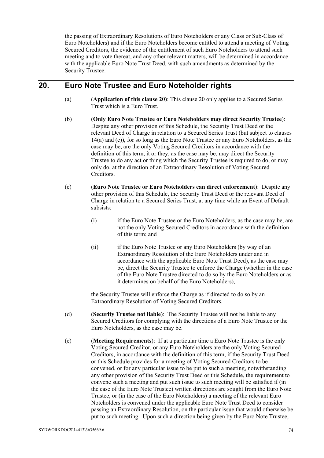the passing of Extraordinary Resolutions of Euro Noteholders or any Class or Sub-Class of Euro Noteholders) and if the Euro Noteholders become entitled to attend a meeting of Voting Secured Creditors, the evidence of the entitlement of such Euro Noteholders to attend such meeting and to vote thereat, and any other relevant matters, will be determined in accordance with the applicable Euro Note Trust Deed, with such amendments as determined by the Security Trustee.

#### **20. Euro Note Trustee and Euro Noteholder rights**

- (a) (**Application of this clause 20)**: This clause 20 only applies to a Secured Series Trust which is a Euro Trust.
- (b) (**Only Euro Note Trustee or Euro Noteholders may direct Security Trustee**): Despite any other provision of this Schedule, the Security Trust Deed or the relevant Deed of Charge in relation to a Secured Series Trust (but subject to clauses 14(a) and (c)), for so long as the Euro Note Trustee or any Euro Noteholders, as the case may be, are the only Voting Secured Creditors in accordance with the definition of this term, it or they, as the case may be, may direct the Security Trustee to do any act or thing which the Security Trustee is required to do, or may only do, at the direction of an Extraordinary Resolution of Voting Secured Creditors.
- (c) (**Euro Note Trustee or Euro Noteholders can direct enforcement**): Despite any other provision of this Schedule, the Security Trust Deed or the relevant Deed of Charge in relation to a Secured Series Trust, at any time while an Event of Default subsists:
	- (i) if the Euro Note Trustee or the Euro Noteholders, as the case may be, are not the only Voting Secured Creditors in accordance with the definition of this term; and
	- (ii) if the Euro Note Trustee or any Euro Noteholders (by way of an Extraordinary Resolution of the Euro Noteholders under and in accordance with the applicable Euro Note Trust Deed), as the case may be, direct the Security Trustee to enforce the Charge (whether in the case of the Euro Note Trustee directed to do so by the Euro Noteholders or as it determines on behalf of the Euro Noteholders),

the Security Trustee will enforce the Charge as if directed to do so by an Extraordinary Resolution of Voting Secured Creditors.

- (d) (**Security Trustee not liable**): The Security Trustee will not be liable to any Secured Creditors for complying with the directions of a Euro Note Trustee or the Euro Noteholders, as the case may be.
- (e) (**Meeting Requirements**): If at a particular time a Euro Note Trustee is the only Voting Secured Creditor, or any Euro Noteholders are the only Voting Secured Creditors, in accordance with the definition of this term, if the Security Trust Deed or this Schedule provides for a meeting of Voting Secured Creditors to be convened, or for any particular issue to be put to such a meeting, notwithstanding any other provision of the Security Trust Deed or this Schedule, the requirement to convene such a meeting and put such issue to such meeting will be satisfied if (in the case of the Euro Note Trustee) written directions are sought from the Euro Note Trustee, or (in the case of the Euro Noteholders) a meeting of the relevant Euro Noteholders is convened under the applicable Euro Note Trust Deed to consider passing an Extraordinary Resolution, on the particular issue that would otherwise be put to such meeting. Upon such a direction being given by the Euro Note Trustee,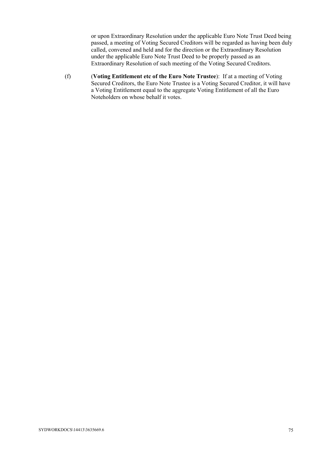or upon Extraordinary Resolution under the applicable Euro Note Trust Deed being passed, a meeting of Voting Secured Creditors will be regarded as having been duly called, convened and held and for the direction or the Extraordinary Resolution under the applicable Euro Note Trust Deed to be properly passed as an Extraordinary Resolution of such meeting of the Voting Secured Creditors.

(f) (**Voting Entitlement etc of the Euro Note Trustee**): If at a meeting of Voting Secured Creditors, the Euro Note Trustee is a Voting Secured Creditor, it will have a Voting Entitlement equal to the aggregate Voting Entitlement of all the Euro Noteholders on whose behalf it votes.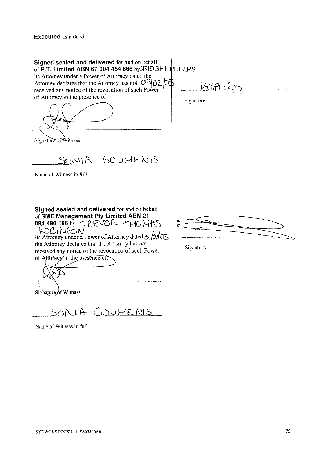Executed as a deed

| Signed sealed and delivered for and on behalf<br>of P.T. Limited ABN 67 004 454 666 b BRIDGET PHELPS<br>its Attorney under a Power of Attorney dated the,<br>Attorney declares that the Attorney has not $\mathbb{C}$ 02 02 05<br>received any notice of the revocation of such Power<br>of Attorney in the presence of: | Signature |
|--------------------------------------------------------------------------------------------------------------------------------------------------------------------------------------------------------------------------------------------------------------------------------------------------------------------------|-----------|
| Signature of Witness                                                                                                                                                                                                                                                                                                     |           |

SONIA GOUMENIS

Name of Witness in full

Signed sealed and delivered for and on behalf  $\frac{1}{\sqrt{2}}$  its Attorney under a Power of Attorney dated 3j/0/ $\frac{1}{\sqrt{2}}$  -the Attorney declares that the Attorney has not the Attorney declares that the Attorney has not<br>received any notice of the revocation of such Power<br>of Attorney in the presence of: ~~SME Management **Pty** Limited **ABN 21 084 490 166 by** TREVOR THOMAS KOBINSON\_

 $\leq$ **F** .-

Sighature  $\oint f$  Witness

SONIA GOUMENIS

Name of Witness in full